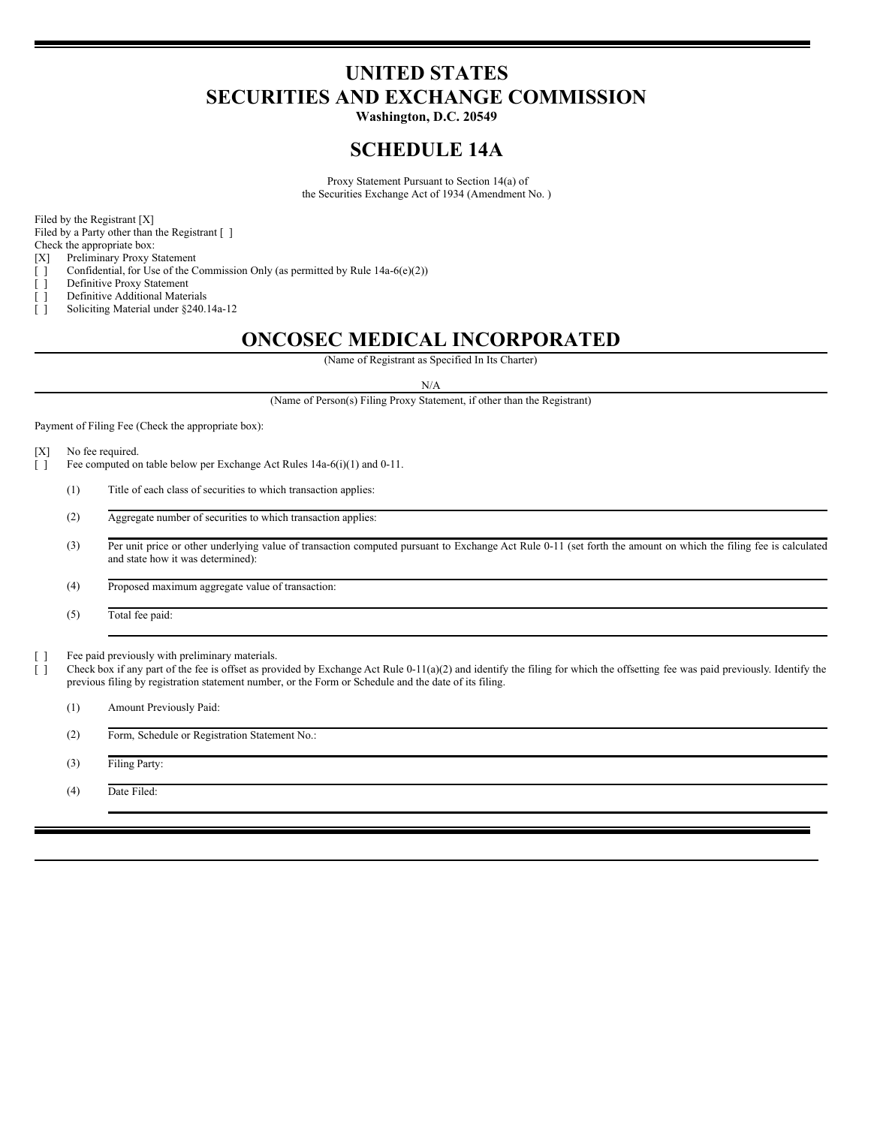# **UNITED STATES SECURITIES AND EXCHANGE COMMISSION**

**Washington, D.C. 20549**

# **SCHEDULE 14A**

Proxy Statement Pursuant to Section 14(a) of the Securities Exchange Act of 1934 (Amendment No. )

Filed by the Registrant [X]

Filed by a Party other than the Registrant [ ]

Check the appropriate box:

[X] Preliminary Proxy Statement

[ ] Confidential, for Use of the Commission Only (as permitted by Rule 14a-6(e)(2))

- [ ] Definitive Proxy Statement
- [ ] Definitive Additional Materials
- [ ] Soliciting Material under §240.14a-12

# **ONCOSEC MEDICAL INCORPORATED**

(Name of Registrant as Specified In Its Charter)

N/A

(Name of Person(s) Filing Proxy Statement, if other than the Registrant)

Payment of Filing Fee (Check the appropriate box):

- [X] No fee required.
- [ ] Fee computed on table below per Exchange Act Rules 14a-6(i)(1) and 0-11.
	- (1) Title of each class of securities to which transaction applies:
	- (2) Aggregate number of securities to which transaction applies:
	- (3) Per unit price or other underlying value of transaction computed pursuant to Exchange Act Rule 0-11 (set forth the amount on which the filing fee is calculated and state how it was determined):

(4) Proposed maximum aggregate value of transaction:

(5) Total fee paid:

[ ] Fee paid previously with preliminary materials.

[ ] Check box if any part of the fee is offset as provided by Exchange Act Rule 0-11(a)(2) and identify the filing for which the offsetting fee was paid previously. Identify the previous filing by registration statement number, or the Form or Schedule and the date of its filing.

(1) Amount Previously Paid:

(2) Form, Schedule or Registration Statement No.:

(3) Filing Party:

(4) Date Filed: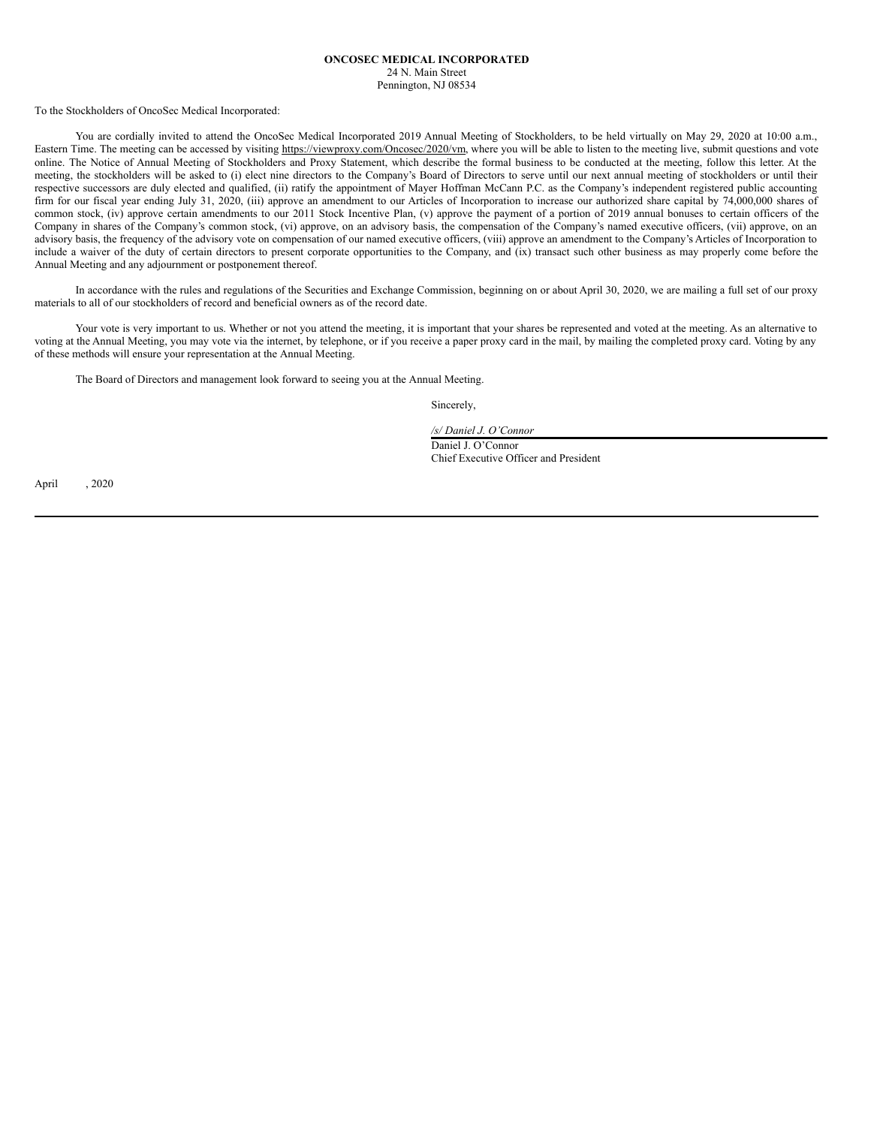# **ONCOSEC MEDICAL INCORPORATED**

24 N. Main Street Pennington, NJ 08534

To the Stockholders of OncoSec Medical Incorporated:

You are cordially invited to attend the OncoSec Medical Incorporated 2019 Annual Meeting of Stockholders, to be held virtually on May 29, 2020 at 10:00 a.m., Eastern Time. The meeting can be accessed by visiting https://viewproxy.com/Oncosec/2020/vm, where you will be able to listen to the meeting live, submit questions and vote online. The Notice of Annual Meeting of Stockholders and Proxy Statement, which describe the formal business to be conducted at the meeting, follow this letter. At the meeting, the stockholders will be asked to (i) elect nine directors to the Company's Board of Directors to serve until our next annual meeting of stockholders or until their respective successors are duly elected and qualified, (ii) ratify the appointment of Mayer Hoffman McCann P.C. as the Company's independent registered public accounting firm for our fiscal year ending July 31, 2020, (iii) approve an amendment to our Articles of Incorporation to increase our authorized share capital by 74,000,000 shares of common stock, (iv) approve certain amendments to our 2011 Stock Incentive Plan, (v) approve the payment of a portion of 2019 annual bonuses to certain officers of the Company in shares of the Company's common stock, (vi) approve, on an advisory basis, the compensation of the Company's named executive officers, (vii) approve, on an advisory basis, the frequency of the advisory vote on compensation of our named executive officers, (viii) approve an amendment to the Company's Articles of Incorporation to include a waiver of the duty of certain directors to present corporate opportunities to the Company, and (ix) transact such other business as may properly come before the Annual Meeting and any adjournment or postponement thereof.

In accordance with the rules and regulations of the Securities and Exchange Commission, beginning on or about April 30, 2020, we are mailing a full set of our proxy materials to all of our stockholders of record and beneficial owners as of the record date.

Your vote is very important to us. Whether or not you attend the meeting, it is important that your shares be represented and voted at the meeting. As an alternative to voting at the Annual Meeting, you may vote via the internet, by telephone, or if you receive a paper proxy card in the mail, by mailing the completed proxy card. Voting by any of these methods will ensure your representation at the Annual Meeting.

The Board of Directors and management look forward to seeing you at the Annual Meeting.

Sincerely,

*/s/ Daniel J. O'Connor*

Daniel J. O'Connor Chief Executive Officer and President

April , 2020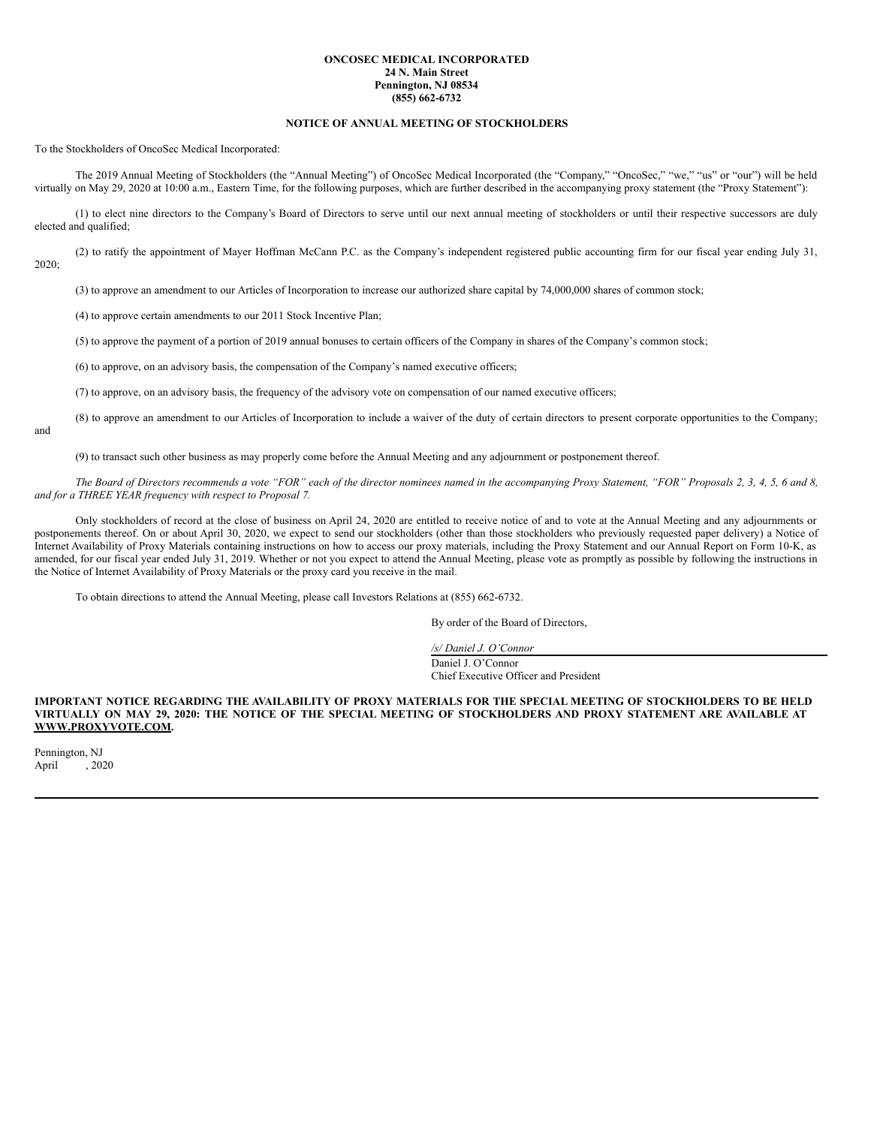#### **ONCOSEC MEDICAL INCORPORATED 24 N. Main Street Pennington, NJ 08534 (855) 662-6732**

# **NOTICE OF ANNUAL MEETING OF STOCKHOLDERS**

To the Stockholders of OncoSec Medical Incorporated:

The 2019 Annual Meeting of Stockholders (the "Annual Meeting") of OncoSec Medical Incorporated (the "Company," "OncoSec," "we," "us" or "our") will be held virtually on May 29, 2020 at 10:00 a.m., Eastern Time, for the following purposes, which are further described in the accompanying proxy statement (the "Proxy Statement"):

(1) to elect nine directors to the Company's Board of Directors to serve until our next annual meeting of stockholders or until their respective successors are duly elected and qualified;

(2) to ratify the appointment of Mayer Hoffman McCann P.C. as the Company's independent registered public accounting firm for our fiscal year ending July 31, 2020;

(3) to approve an amendment to our Articles of Incorporation to increase our authorized share capital by 74,000,000 shares of common stock;

(4) to approve certain amendments to our 2011 Stock Incentive Plan;

(5) to approve the payment of a portion of 2019 annual bonuses to certain officers of the Company in shares of the Company's common stock;

(6) to approve, on an advisory basis, the compensation of the Company's named executive officers;

(7) to approve, on an advisory basis, the frequency of the advisory vote on compensation of our named executive officers;

(8) to approve an amendment to our Articles of Incorporation to include a waiver of the duty of certain directors to present corporate opportunities to the Company; and

(9) to transact such other business as may properly come before the Annual Meeting and any adjournment or postponement thereof.

The Board of Directors recommends a vote "FOR" each of the director nominees named in the accompanying Proxy Statement, "FOR" Proposals 2, 3, 4, 5, 6 and 8, *and for a THREE YEAR frequency with respect to Proposal 7.*

Only stockholders of record at the close of business on April 24, 2020 are entitled to receive notice of and to vote at the Annual Meeting and any adjournments or postponements thereof. On or about April 30, 2020, we expect to send our stockholders (other than those stockholders who previously requested paper delivery) a Notice of Internet Availability of Proxy Materials containing instructions on how to access our proxy materials, including the Proxy Statement and our Annual Report on Form 10-K, as amended, for our fiscal year ended July 31, 2019. Whether or not you expect to attend the Annual Meeting, please vote as promptly as possible by following the instructions in the Notice of Internet Availability of Proxy Materials or the proxy card you receive in the mail.

To obtain directions to attend the Annual Meeting, please call Investors Relations at (855) 662-6732.

By order of the Board of Directors,

*/s/ Daniel J. O'Connor* Daniel J. O'Connor Chief Executive Officer and President

IMPORTANT NOTICE REGARDING THE AVAILABILITY OF PROXY MATERIALS FOR THE SPECIAL MEETING OF STOCKHOLDERS TO BE HELD VIRTUALLY ON MAY 29, 2020: THE NOTICE OF THE SPECIAL MEETING OF STOCKHOLDERS AND PROXY STATEMENT ARE AVAILABLE AT **WWW.PROXYVOTE.COM.**

Pennington, NJ<br>April , 2020 April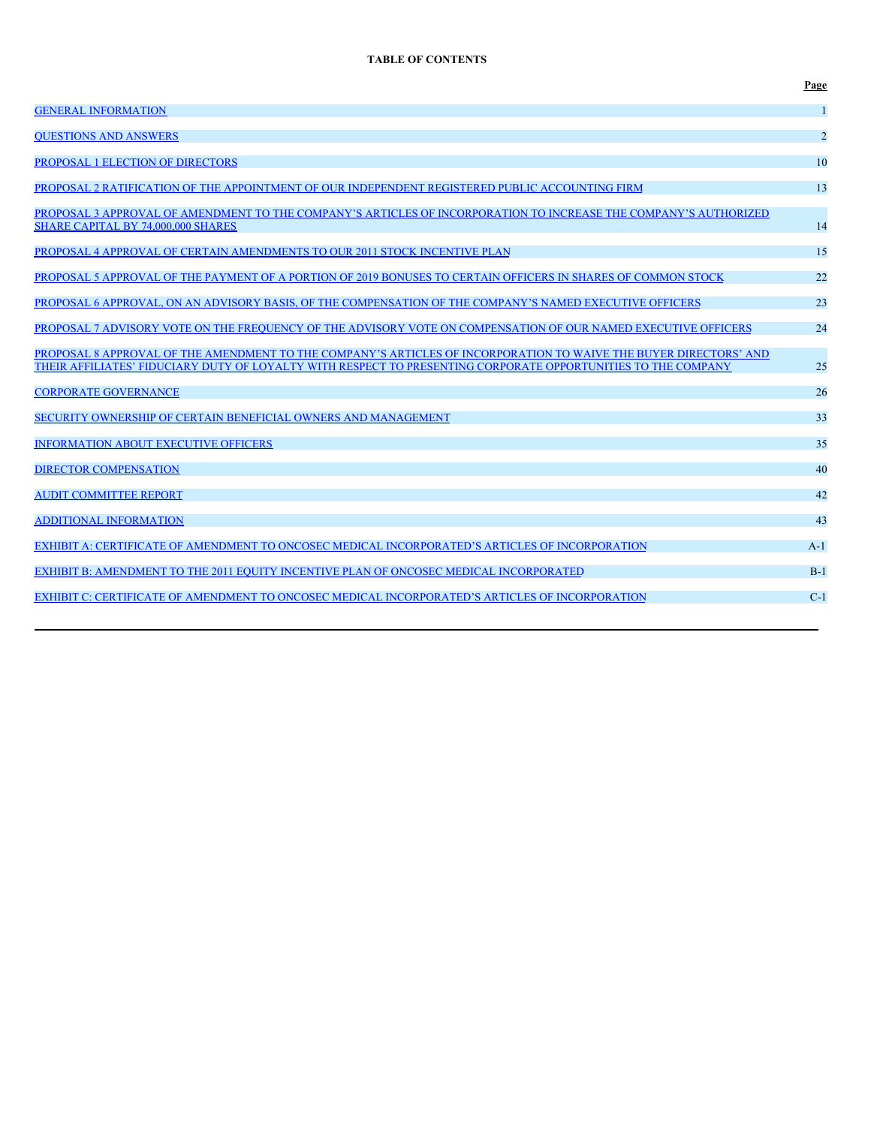# **TABLE OF CONTENTS**

|                                                                                                                                                                                                                                    | Page           |
|------------------------------------------------------------------------------------------------------------------------------------------------------------------------------------------------------------------------------------|----------------|
| <b>GENERAL INFORMATION</b>                                                                                                                                                                                                         | -1             |
| <b>OUESTIONS AND ANSWERS</b>                                                                                                                                                                                                       | $\overline{2}$ |
| PROPOSAL 1 ELECTION OF DIRECTORS                                                                                                                                                                                                   | 10             |
| PROPOSAL 2 RATIFICATION OF THE APPOINTMENT OF OUR INDEPENDENT REGISTERED PUBLIC ACCOUNTING FIRM                                                                                                                                    | 13             |
| PROPOSAL 3 APPROVAL OF AMENDMENT TO THE COMPANY'S ARTICLES OF INCORPORATION TO INCREASE THE COMPANY'S AUTHORIZED<br><b>SHARE CAPITAL BY 74,000,000 SHARES</b>                                                                      | 14             |
| PROPOSAL 4 APPROVAL OF CERTAIN AMENDMENTS TO OUR 2011 STOCK INCENTIVE PLAN                                                                                                                                                         | 15             |
| PROPOSAL 5 APPROVAL OF THE PAYMENT OF A PORTION OF 2019 BONUSES TO CERTAIN OFFICERS IN SHARES OF COMMON STOCK                                                                                                                      | 22             |
| PROPOSAL 6 APPROVAL, ON AN ADVISORY BASIS, OF THE COMPENSATION OF THE COMPANY'S NAMED EXECUTIVE OFFICERS                                                                                                                           | 23             |
| PROPOSAL 7 ADVISORY VOTE ON THE FREQUENCY OF THE ADVISORY VOTE ON COMPENSATION OF OUR NAMED EXECUTIVE OFFICERS                                                                                                                     | 24             |
| PROPOSAL 8 APPROVAL OF THE AMENDMENT TO THE COMPANY'S ARTICLES OF INCORPORATION TO WAIVE THE BUYER DIRECTORS' AND<br>THEIR AFFILIATES' FIDUCIARY DUTY OF LOYALTY WITH RESPECT TO PRESENTING CORPORATE OPPORTUNITIES TO THE COMPANY | 25             |
| <b>CORPORATE GOVERNANCE</b>                                                                                                                                                                                                        | 26             |
| SECURITY OWNERSHIP OF CERTAIN BENEFICIAL OWNERS AND MANAGEMENT                                                                                                                                                                     | 33             |
| <b>INFORMATION ABOUT EXECUTIVE OFFICERS</b>                                                                                                                                                                                        | 35             |
| <b>DIRECTOR COMPENSATION</b>                                                                                                                                                                                                       | 40             |
| <b>AUDIT COMMITTEE REPORT</b>                                                                                                                                                                                                      | 42             |
| <b>ADDITIONAL INFORMATION</b>                                                                                                                                                                                                      | 43             |
| EXHIBIT A: CERTIFICATE OF AMENDMENT TO ONCOSEC MEDICAL INCORPORATED'S ARTICLES OF INCORPORATION                                                                                                                                    | $A-1$          |
| EXHIBIT B: AMENDMENT TO THE 2011 EOUITY INCENTIVE PLAN OF ONCOSEC MEDICAL INCORPORATED                                                                                                                                             | $B-1$          |
| EXHIBIT C: CERTIFICATE OF AMENDMENT TO ONCOSEC MEDICAL INCORPORATED'S ARTICLES OF INCORPORATION                                                                                                                                    | $C-1$          |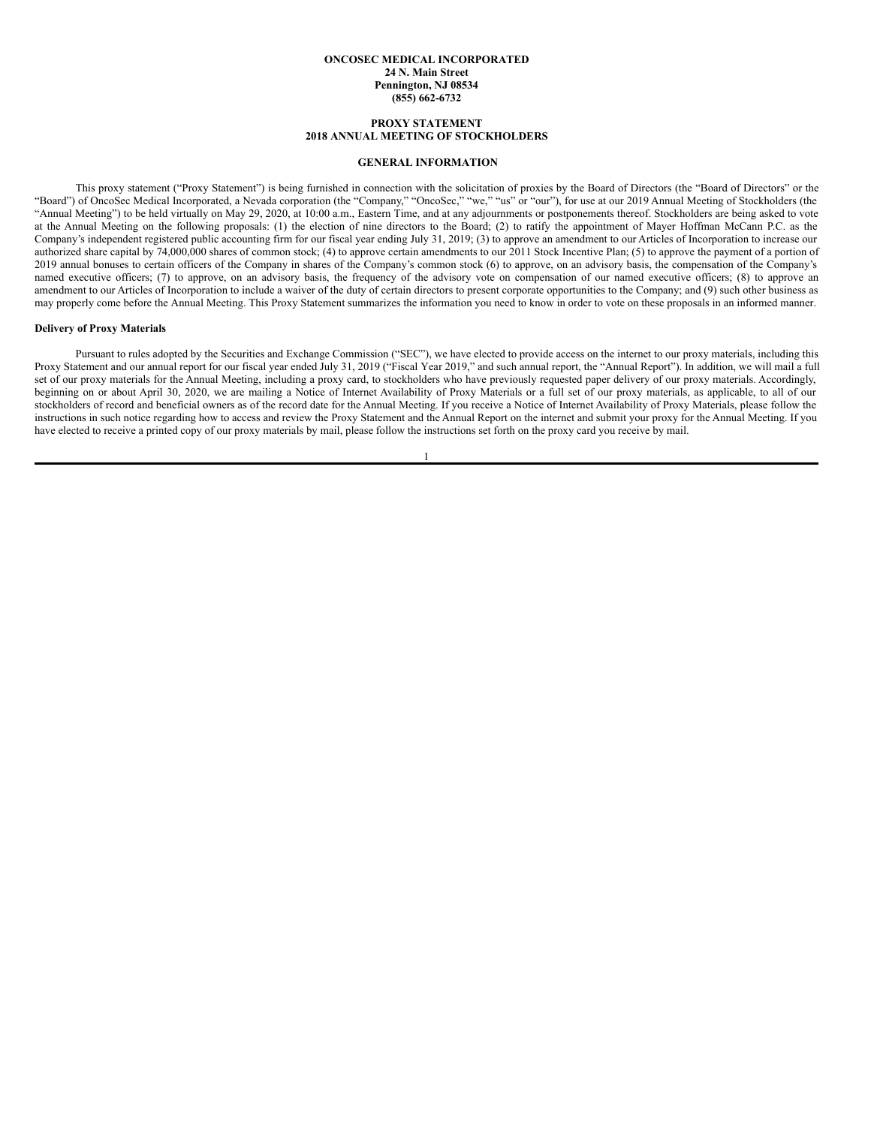#### **ONCOSEC MEDICAL INCORPORATED 24 N. Main Street Pennington, NJ 08534 (855) 662-6732**

# **PROXY STATEMENT 2018 ANNUAL MEETING OF STOCKHOLDERS**

# <span id="page-4-0"></span>**GENERAL INFORMATION**

This proxy statement ("Proxy Statement") is being furnished in connection with the solicitation of proxies by the Board of Directors (the "Board of Directors" or the "Board") of OncoSec Medical Incorporated, a Nevada corporation (the "Company," "OncoSec," "we," "us" or "our"), for use at our 2019 Annual Meeting of Stockholders (the "Annual Meeting") to be held virtually on May 29, 2020, at 10:00 a.m., Eastern Time, and at any adjournments or postponements thereof. Stockholders are being asked to vote at the Annual Meeting on the following proposals: (1) the election of nine directors to the Board; (2) to ratify the appointment of Mayer Hoffman McCann P.C. as the Company's independent registered public accounting firm for our fiscal year ending July 31, 2019; (3) to approve an amendment to our Articles of Incorporation to increase our authorized share capital by 74,000,000 shares of common stock; (4) to approve certain amendments to our 2011 Stock Incentive Plan; (5) to approve the payment of a portion of 2019 annual bonuses to certain officers of the Company in shares of the Company's common stock (6) to approve, on an advisory basis, the compensation of the Company's named executive officers; (7) to approve, on an advisory basis, the frequency of the advisory vote on compensation of our named executive officers; (8) to approve an amendment to our Articles of Incorporation to include a waiver of the duty of certain directors to present corporate opportunities to the Company; and (9) such other business as may properly come before the Annual Meeting. This Proxy Statement summarizes the information you need to know in order to vote on these proposals in an informed manner.

#### **Delivery of Proxy Materials**

Pursuant to rules adopted by the Securities and Exchange Commission ("SEC"), we have elected to provide access on the internet to our proxy materials, including this Proxy Statement and our annual report for our fiscal year ended July 31, 2019 ("Fiscal Year 2019," and such annual report, the "Annual Report"). In addition, we will mail a full set of our proxy materials for the Annual Meeting, including a proxy card, to stockholders who have previously requested paper delivery of our proxy materials. Accordingly, beginning on or about April 30, 2020, we are mailing a Notice of Internet Availability of Proxy Materials or a full set of our proxy materials, as applicable, to all of our stockholders of record and beneficial owners as of the record date for the Annual Meeting. If you receive a Notice of Internet Availability of Proxy Materials, please follow the instructions in such notice regarding how to access and review the Proxy Statement and the Annual Report on the internet and submit your proxy for the Annual Meeting. If you have elected to receive a printed copy of our proxy materials by mail, please follow the instructions set forth on the proxy card you receive by mail.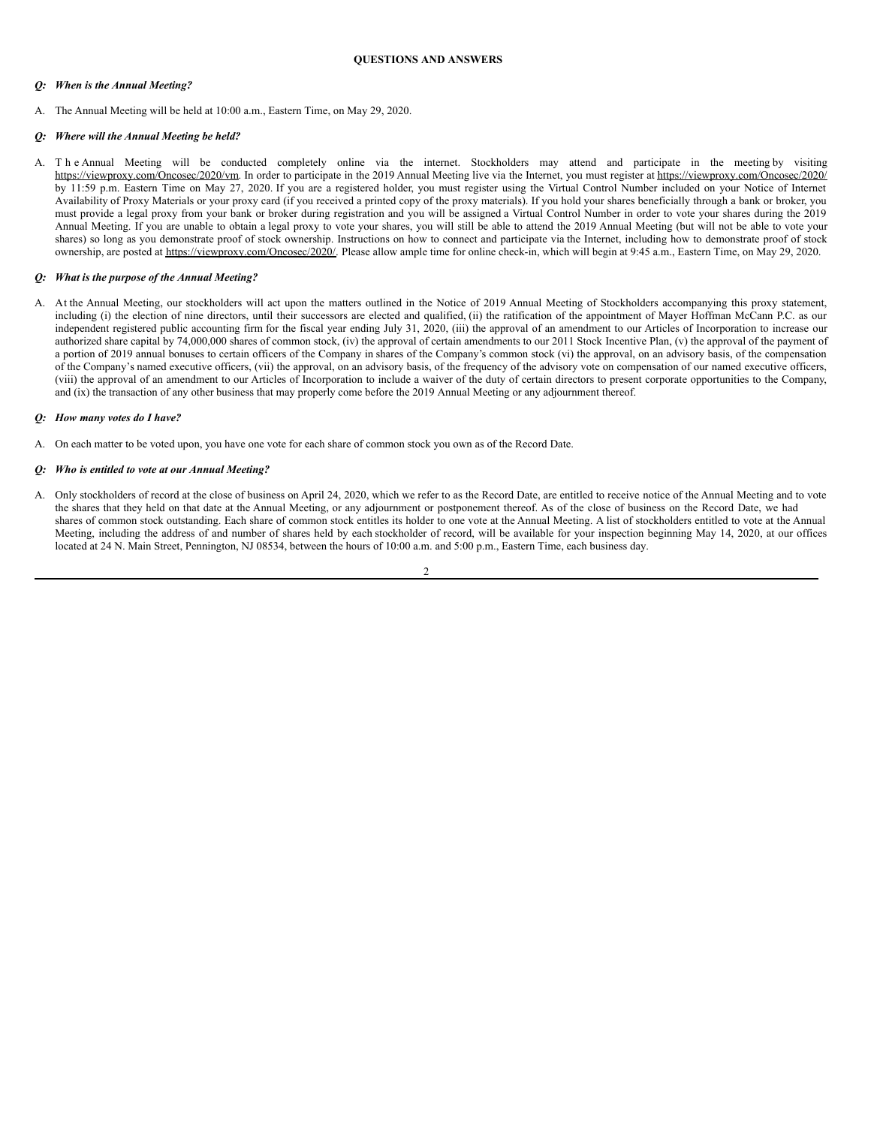# <span id="page-5-0"></span>*Q: When is the Annual Meeting?*

A. The Annual Meeting will be held at 10:00 a.m., Eastern Time, on May 29, 2020.

# *Q: Where will the Annual Meeting be held?*

A. T h e Annual Meeting will be conducted completely online via the internet. Stockholders may attend and participate in the meeting by visiting https://viewproxy.com/Oncosec/2020/vm. In order to participate in the 2019 Annual Meeting live via the Internet, you must register at https://viewproxy.com/Oncosec/2020/ by 11:59 p.m. Eastern Time on May 27, 2020. If you are a registered holder, you must register using the Virtual Control Number included on your Notice of Internet Availability of Proxy Materials or your proxy card (if you received a printed copy of the proxy materials). If you hold your shares beneficially through a bank or broker, you must provide a legal proxy from your bank or broker during registration and you will be assigned a Virtual Control Number in order to vote your shares during the 2019 Annual Meeting. If you are unable to obtain a legal proxy to vote your shares, you will still be able to attend the 2019 Annual Meeting (but will not be able to vote your shares) so long as you demonstrate proof of stock ownership. Instructions on how to connect and participate via the Internet, including how to demonstrate proof of stock ownership, are posted at https://viewproxy.com/Oncosec/2020/. Please allow ample time for online check-in, which will begin at 9:45 a.m., Eastern Time, on May 29, 2020.

# *Q: What is the purpose of the Annual Meeting?*

A. At the Annual Meeting, our stockholders will act upon the matters outlined in the Notice of 2019 Annual Meeting of Stockholders accompanying this proxy statement, including (i) the election of nine directors, until their successors are elected and qualified, (ii) the ratification of the appointment of Mayer Hoffman McCann P.C. as our independent registered public accounting firm for the fiscal year ending July 31, 2020, (iii) the approval of an amendment to our Articles of Incorporation to increase our authorized share capital by 74,000,000 shares of common stock, (iv) the approval of certain amendments to our 2011 Stock Incentive Plan, (v) the approval of the payment of a portion of 2019 annual bonuses to certain officers of the Company in shares of the Company's common stock (vi) the approval, on an advisory basis, of the compensation of the Company's named executive officers, (vii) the approval, on an advisory basis, of the frequency of the advisory vote on compensation of our named executive officers, (viii) the approval of an amendment to our Articles of Incorporation to include a waiver of the duty of certain directors to present corporate opportunities to the Company, and (ix) the transaction of any other business that may properly come before the 2019 Annual Meeting or any adjournment thereof.

# *Q: How many votes do I have?*

A. On each matter to be voted upon, you have one vote for each share of common stock you own as of the Record Date.

# *Q: Who is entitled to vote at our Annual Meeting?*

A. Only stockholders of record at the close of business on April 24, 2020, which we refer to as the Record Date, are entitled to receive notice of the Annual Meeting and to vote the shares that they held on that date at the Annual Meeting, or any adjournment or postponement thereof. As of the close of business on the Record Date, we had shares of common stock outstanding. Each share of common stock entitles its holder to one vote at the Annual Meeting. A list of stockholders entitled to vote at the Annual Meeting, including the address of and number of shares held by each stockholder of record, will be available for your inspection beginning May 14, 2020, at our offices located at 24 N. Main Street, Pennington, NJ 08534, between the hours of 10:00 a.m. and 5:00 p.m., Eastern Time, each business day.

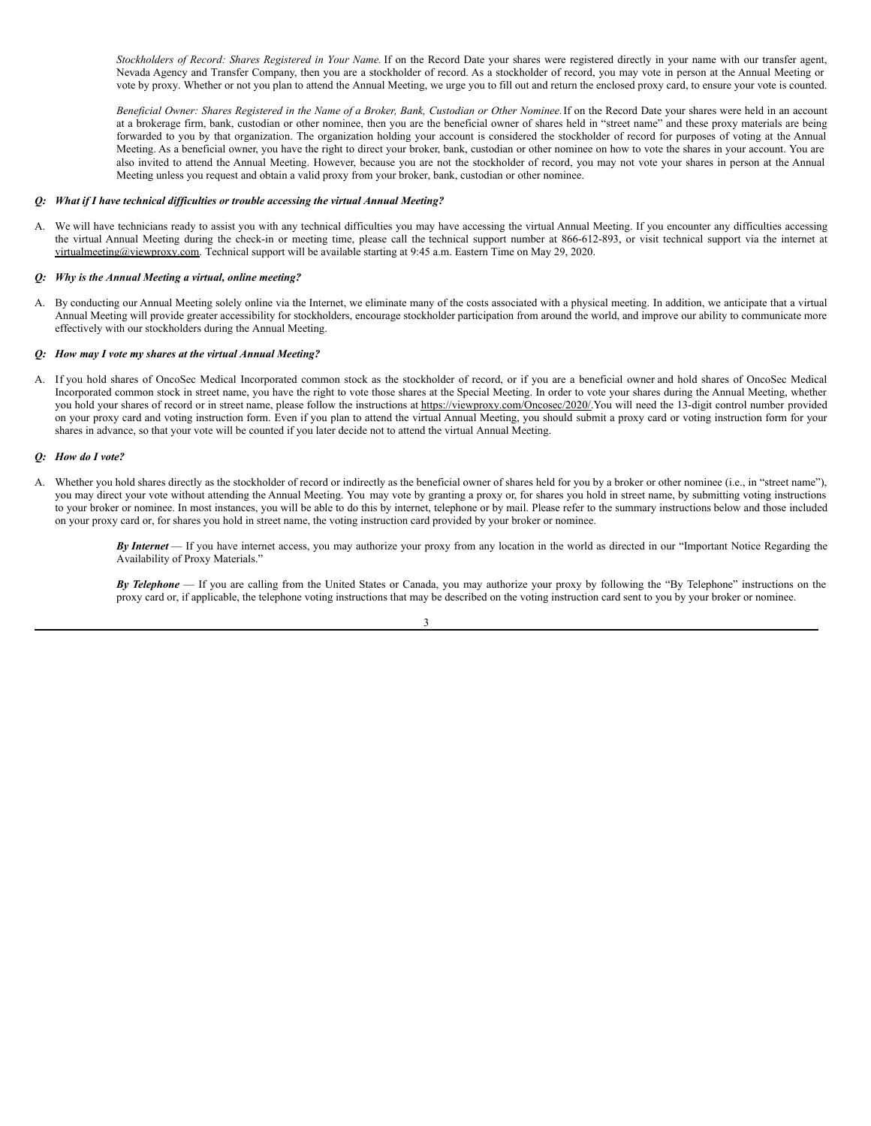*Stockholders of Record: Shares Registered in Your Name.* If on the Record Date your shares were registered directly in your name with our transfer agent, Nevada Agency and Transfer Company, then you are a stockholder of record. As a stockholder of record, you may vote in person at the Annual Meeting or vote by proxy. Whether or not you plan to attend the Annual Meeting, we urge you to fill out and return the enclosed proxy card, to ensure your vote is counted.

Beneficial Owner: Shares Registered in the Name of a Broker, Bank, Custodian or Other Nominee. If on the Record Date your shares were held in an account at a brokerage firm, bank, custodian or other nominee, then you are the beneficial owner of shares held in "street name" and these proxy materials are being forwarded to you by that organization. The organization holding your account is considered the stockholder of record for purposes of voting at the Annual Meeting. As a beneficial owner, you have the right to direct your broker, bank, custodian or other nominee on how to vote the shares in your account. You are also invited to attend the Annual Meeting. However, because you are not the stockholder of record, you may not vote your shares in person at the Annual Meeting unless you request and obtain a valid proxy from your broker, bank, custodian or other nominee.

#### *Q: What if I have technical dif iculties or trouble accessing the virtual Annual Meeting?*

A. We will have technicians ready to assist you with any technical difficulties you may have accessing the virtual Annual Meeting. If you encounter any difficulties accessing the virtual Annual Meeting during the check-in or meeting time, please call the technical support number at 866-612-893, or visit technical support via the internet at virtualmeeting@viewproxy.com. Technical support will be available starting at 9:45 a.m. Eastern Time on May 29, 2020.

#### *Q: Why is the Annual Meeting a virtual, online meeting?*

A. By conducting our Annual Meeting solely online via the Internet, we eliminate many of the costs associated with a physical meeting. In addition, we anticipate that a virtual Annual Meeting will provide greater accessibility for stockholders, encourage stockholder participation from around the world, and improve our ability to communicate more effectively with our stockholders during the Annual Meeting.

#### *Q: How may I vote my shares at the virtual Annual Meeting?*

A. If you hold shares of OncoSec Medical Incorporated common stock as the stockholder of record, or if you are a beneficial owner and hold shares of OncoSec Medical Incorporated common stock in street name, you have the right to vote those shares at the Special Meeting. In order to vote your shares during the Annual Meeting, whether you hold your shares of record or in street name, please follow the instructions at https://viewproxy.com/Oncosec/2020/.You will need the 13-digit control number provided on your proxy card and voting instruction form. Even if you plan to attend the virtual Annual Meeting, you should submit a proxy card or voting instruction form for your shares in advance, so that your vote will be counted if you later decide not to attend the virtual Annual Meeting.

#### *Q: How do I vote?*

A. Whether you hold shares directly as the stockholder of record or indirectly as the beneficial owner of shares held for you by a broker or other nominee (i.e., in "street name"), you may direct your vote without attending the Annual Meeting. You may vote by granting a proxy or, for shares you hold in street name, by submitting voting instructions to your broker or nominee. In most instances, you will be able to do this by internet, telephone or by mail. Please refer to the summary instructions below and those included on your proxy card or, for shares you hold in street name, the voting instruction card provided by your broker or nominee.

> *By Internet* — If you have internet access, you may authorize your proxy from any location in the world as directed in our "Important Notice Regarding the Availability of Proxy Materials."

> *By Telephone* — If you are calling from the United States or Canada, you may authorize your proxy by following the "By Telephone" instructions on the proxy card or, if applicable, the telephone voting instructions that may be described on the voting instruction card sent to you by your broker or nominee.

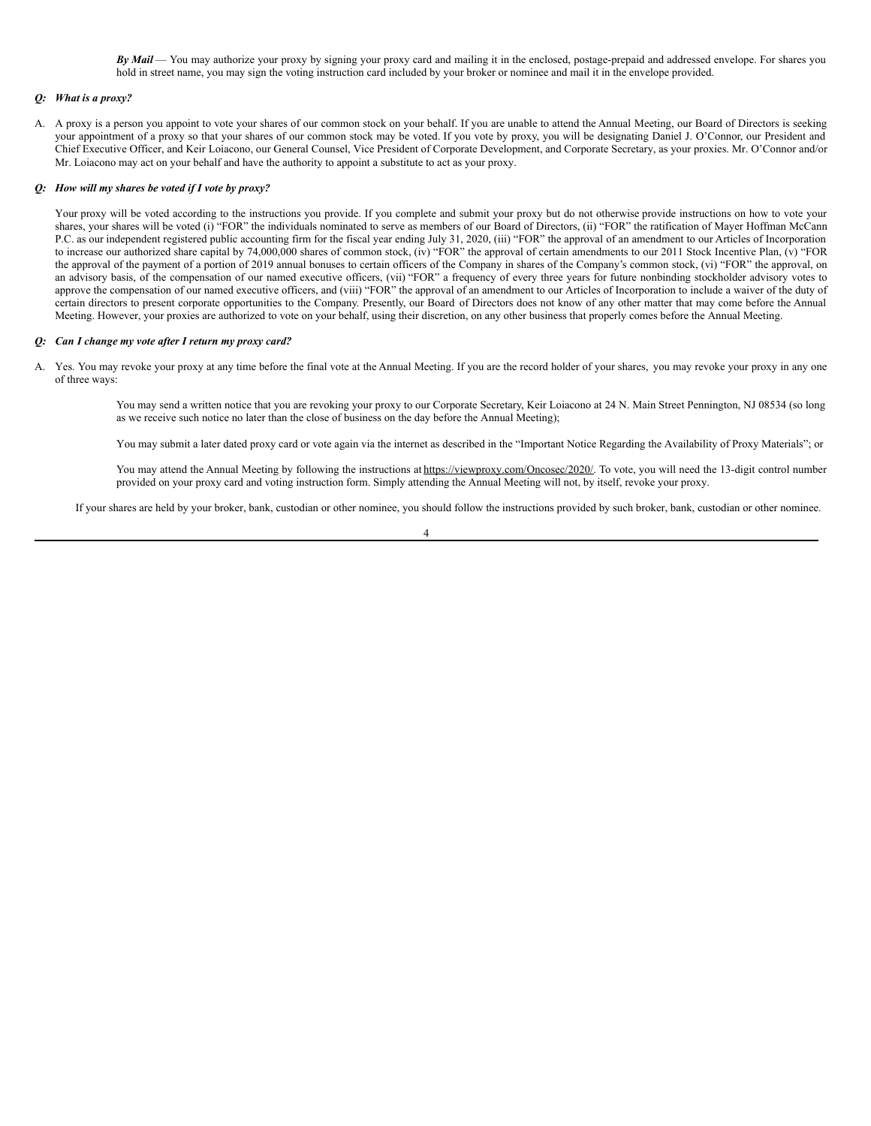*By Mail* — You may authorize your proxy by signing your proxy card and mailing it in the enclosed, postage-prepaid and addressed envelope. For shares you hold in street name, you may sign the voting instruction card included by your broker or nominee and mail it in the envelope provided.

# *Q: What is a proxy?*

A. A proxy is a person you appoint to vote your shares of our common stock on your behalf. If you are unable to attend the Annual Meeting, our Board of Directors is seeking your appointment of a proxy so that your shares of our common stock may be voted. If you vote by proxy, you will be designating Daniel J. O'Connor, our President and Chief Executive Officer, and Keir Loiacono, our General Counsel, Vice President of Corporate Development, and Corporate Secretary, as your proxies. Mr. O'Connor and/or Mr. Loiacono may act on your behalf and have the authority to appoint a substitute to act as your proxy.

# *Q: How will my shares be voted if I vote by proxy?*

Your proxy will be voted according to the instructions you provide. If you complete and submit your proxy but do not otherwise provide instructions on how to vote your shares, your shares will be voted (i) "FOR" the individuals nominated to serve as members of our Board of Directors, (ii) "FOR" the ratification of Mayer Hoffman McCann P.C. as our independent registered public accounting firm for the fiscal year ending July 31, 2020, (iii) "FOR" the approval of an amendment to our Articles of Incorporation to increase our authorized share capital by 74,000,000 shares of common stock, (iv) "FOR" the approval of certain amendments to our 2011 Stock Incentive Plan, (v) "FOR the approval of the payment of a portion of 2019 annual bonuses to certain officers of the Company in shares of the Company's common stock, (vi) "FOR" the approval, on an advisory basis, of the compensation of our named executive officers, (vii) "FOR" a frequency of every three years for future nonbinding stockholder advisory votes to approve the compensation of our named executive officers, and (viii) "FOR" the approval of an amendment to our Articles of Incorporation to include a waiver of the duty of certain directors to present corporate opportunities to the Company. Presently, our Board of Directors does not know of any other matter that may come before the Annual Meeting. However, your proxies are authorized to vote on your behalf, using their discretion, on any other business that properly comes before the Annual Meeting.

# *Q: Can I change my vote after I return my proxy card?*

A. Yes. You may revoke your proxy at any time before the final vote at the Annual Meeting. If you are the record holder of your shares, you may revoke your proxy in any one of three ways:

> You may send a written notice that you are revoking your proxy to our Corporate Secretary, Keir Loiacono at 24 N. Main Street Pennington, NJ 08534 (so long as we receive such notice no later than the close of business on the day before the Annual Meeting);

> You may submit a later dated proxy card or vote again via the internet as described in the "Important Notice Regarding the Availability of Proxy Materials"; or

You may attend the Annual Meeting by following the instructions at https://viewproxy.com/Oncosec/2020/. To vote, you will need the 13-digit control number provided on your proxy card and voting instruction form. Simply attending the Annual Meeting will not, by itself, revoke your proxy.

If your shares are held by your broker, bank, custodian or other nominee, you should follow the instructions provided by such broker, bank, custodian or other nominee.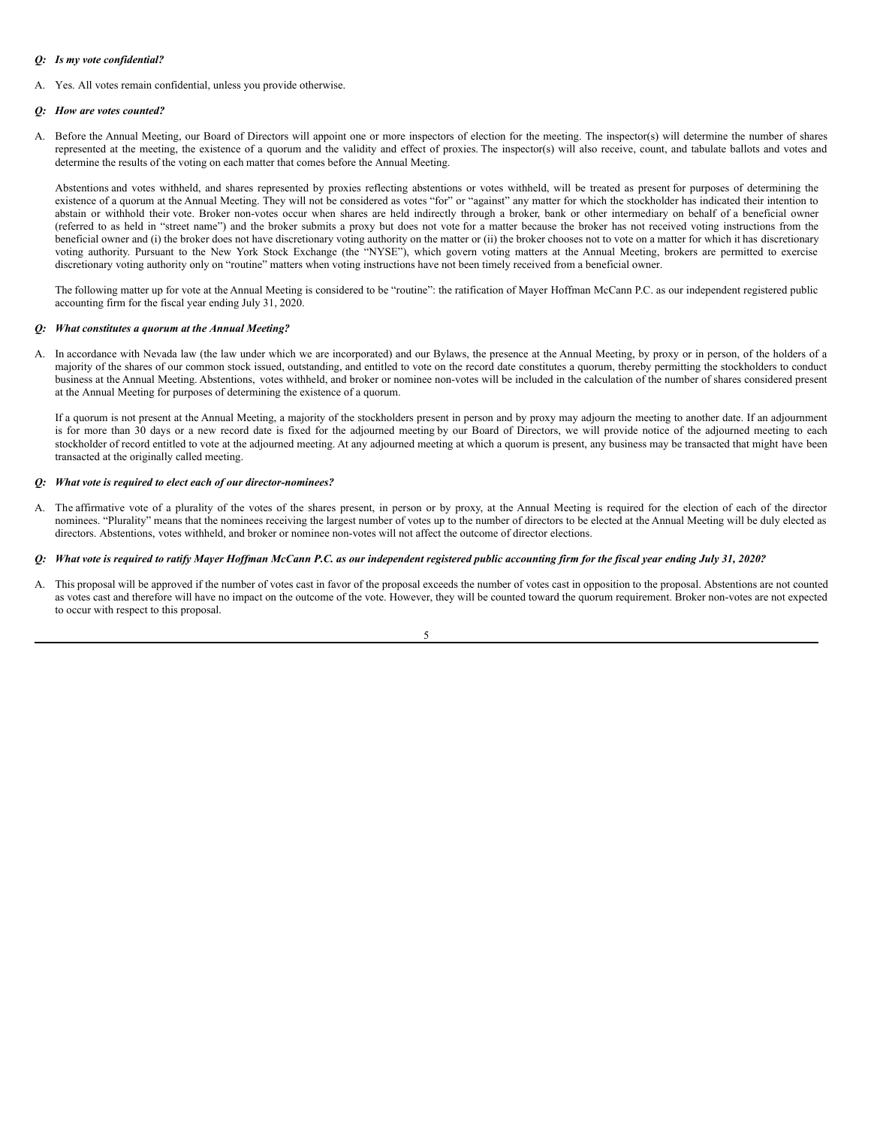# *Q: Is my vote confidential?*

A. Yes. All votes remain confidential, unless you provide otherwise.

# *Q: How are votes counted?*

A. Before the Annual Meeting, our Board of Directors will appoint one or more inspectors of election for the meeting. The inspector(s) will determine the number of shares represented at the meeting, the existence of a quorum and the validity and effect of proxies. The inspector(s) will also receive, count, and tabulate ballots and votes and determine the results of the voting on each matter that comes before the Annual Meeting.

Abstentions and votes withheld, and shares represented by proxies reflecting abstentions or votes withheld, will be treated as present for purposes of determining the existence of a quorum at the Annual Meeting. They will not be considered as votes "for" or "against" any matter for which the stockholder has indicated their intention to abstain or withhold their vote. Broker non-votes occur when shares are held indirectly through a broker, bank or other intermediary on behalf of a beneficial owner (referred to as held in "street name") and the broker submits a proxy but does not vote for a matter because the broker has not received voting instructions from the beneficial owner and (i) the broker does not have discretionary voting authority on the matter or (ii) the broker chooses not to vote on a matter for which it has discretionary voting authority. Pursuant to the New York Stock Exchange (the "NYSE"), which govern voting matters at the Annual Meeting, brokers are permitted to exercise discretionary voting authority only on "routine" matters when voting instructions have not been timely received from a beneficial owner.

The following matter up for vote at the Annual Meeting is considered to be "routine": the ratification of Mayer Hoffman McCann P.C. as our independent registered public accounting firm for the fiscal year ending July 31, 2020.

# *Q: What constitutes a quorum at the Annual Meeting?*

A. In accordance with Nevada law (the law under which we are incorporated) and our Bylaws, the presence at the Annual Meeting, by proxy or in person, of the holders of a majority of the shares of our common stock issued, outstanding, and entitled to vote on the record date constitutes a quorum, thereby permitting the stockholders to conduct business at the Annual Meeting. Abstentions, votes withheld, and broker or nominee non-votes will be included in the calculation of the number of shares considered present at the Annual Meeting for purposes of determining the existence of a quorum.

If a quorum is not present at the Annual Meeting, a majority of the stockholders present in person and by proxy may adjourn the meeting to another date. If an adjournment is for more than 30 days or a new record date is fixed for the adjourned meeting by our Board of Directors, we will provide notice of the adjourned meeting to each stockholder of record entitled to vote at the adjourned meeting. At any adjourned meeting at which a quorum is present, any business may be transacted that might have been transacted at the originally called meeting.

# *Q: What vote is required to elect each of our director-nominees?*

A. The affirmative vote of a plurality of the votes of the shares present, in person or by proxy, at the Annual Meeting is required for the election of each of the director nominees. "Plurality" means that the nominees receiving the largest number of votes up to the number of directors to be elected at the Annual Meeting will be duly elected as directors. Abstentions, votes withheld, and broker or nominee non-votes will not affect the outcome of director elections.

# Q: What vote is required to ratify Mayer Hoffman McCann P.C. as our independent registered public accounting firm for the fiscal year ending July 31, 2020?

A. This proposal will be approved if the number of votes cast in favor of the proposal exceeds the number of votes cast in opposition to the proposal. Abstentions are not counted as votes cast and therefore will have no impact on the outcome of the vote. However, they will be counted toward the quorum requirement. Broker non-votes are not expected to occur with respect to this proposal.

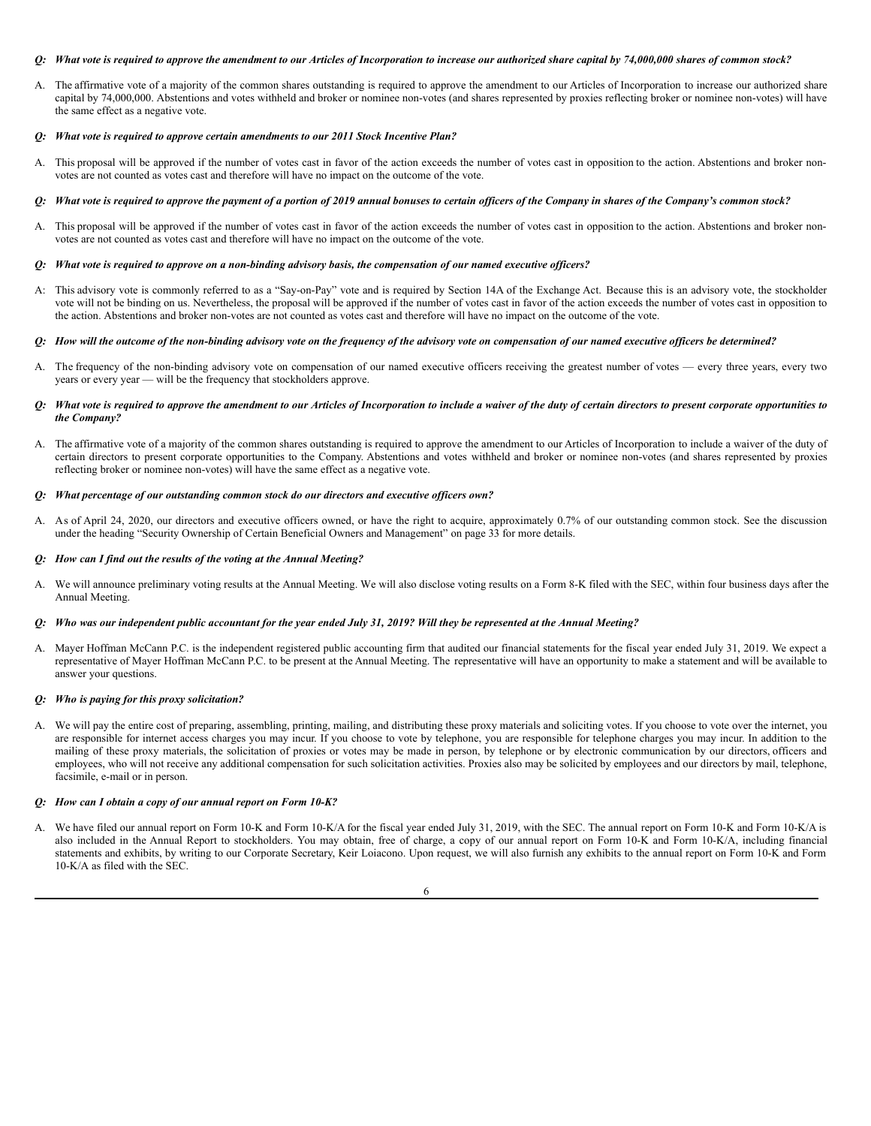# Q: What vote is required to approve the amendment to our Articles of Incorporation to increase our authorized share capital by 74,000,000 shares of common stock?

A. The affirmative vote of a majority of the common shares outstanding is required to approve the amendment to our Articles of Incorporation to increase our authorized share capital by 74,000,000. Abstentions and votes withheld and broker or nominee non-votes (and shares represented by proxies reflecting broker or nominee non-votes) will have the same effect as a negative vote.

#### *Q: What vote is required to approve certain amendments to our 2011 Stock Incentive Plan?*

A. This proposal will be approved if the number of votes cast in favor of the action exceeds the number of votes cast in opposition to the action. Abstentions and broker nonvotes are not counted as votes cast and therefore will have no impact on the outcome of the vote.

# Q: What vote is required to approve the payment of a portion of 2019 annual bonuses to certain officers of the Company in shares of the Company's common stock?

A. This proposal will be approved if the number of votes cast in favor of the action exceeds the number of votes cast in opposition to the action. Abstentions and broker nonvotes are not counted as votes cast and therefore will have no impact on the outcome of the vote.

#### Q: What vote is required to approve on a non-binding advisory basis, the compensation of our named executive officers?

A: This advisory vote is commonly referred to as a "Say-on-Pay" vote and is required by Section 14A of the Exchange Act. Because this is an advisory vote, the stockholder vote will not be binding on us. Nevertheless, the proposal will be approved if the number of votes cast in favor of the action exceeds the number of votes cast in opposition to the action. Abstentions and broker non-votes are not counted as votes cast and therefore will have no impact on the outcome of the vote.

# Q: How will the outcome of the non-binding advisory vote on the frequency of the advisory vote on compensation of our named executive officers be determined?

A. The frequency of the non-binding advisory vote on compensation of our named executive officers receiving the greatest number of votes — every three years, every two years or every year — will be the frequency that stockholders approve.

# Q: What vote is required to approve the amendment to our Articles of Incorporation to include a waiver of the duty of certain directors to present corporate opportunities to *the Company?*

A. The affirmative vote of a majority of the common shares outstanding is required to approve the amendment to our Articles of Incorporation to include a waiver of the duty of certain directors to present corporate opportunities to the Company. Abstentions and votes withheld and broker or nominee non-votes (and shares represented by proxies reflecting broker or nominee non-votes) will have the same effect as a negative vote.

#### *Q: What percentage of our outstanding common stock do our directors and executive of icers own?*

A. As of April 24, 2020, our directors and executive officers owned, or have the right to acquire, approximately 0.7% of our outstanding common stock. See the discussion under the heading "Security Ownership of Certain Beneficial Owners and Management" on page 33 for more details.

#### *Q: How can I find out the results of the voting at the Annual Meeting?*

A. We will announce preliminary voting results at the Annual Meeting. We will also disclose voting results on a Form 8-K filed with the SEC, within four business days after the Annual Meeting.

# Q: Who was our independent public accountant for the year ended July 31, 2019? Will they be represented at the Annual Meeting?

A. Mayer Hoffman McCann P.C. is the independent registered public accounting firm that audited our financial statements for the fiscal year ended July 31, 2019. We expect a representative of Mayer Hoffman McCann P.C. to be present at the Annual Meeting. The representative will have an opportunity to make a statement and will be available to answer your questions.

#### *Q: Who is paying for this proxy solicitation?*

A. We will pay the entire cost of preparing, assembling, printing, mailing, and distributing these proxy materials and soliciting votes. If you choose to vote over the internet, you are responsible for internet access charges you may incur. If you choose to vote by telephone, you are responsible for telephone charges you may incur. In addition to the mailing of these proxy materials, the solicitation of proxies or votes may be made in person, by telephone or by electronic communication by our directors, officers and employees, who will not receive any additional compensation for such solicitation activities. Proxies also may be solicited by employees and our directors by mail, telephone, facsimile, e-mail or in person.

#### *Q: How can I obtain a copy of our annual report on Form 10-K?*

A. We have filed our annual report on Form 10-K and Form 10-K/A for the fiscal year ended July 31, 2019, with the SEC. The annual report on Form 10-K and Form 10-K/A is also included in the Annual Report to stockholders. You may obtain, free of charge, a copy of our annual report on Form 10-K and Form 10-K/A, including financial statements and exhibits, by writing to our Corporate Secretary, Keir Loiacono. Upon request, we will also furnish any exhibits to the annual report on Form 10-K and Form 10-K/A as filed with the SEC.

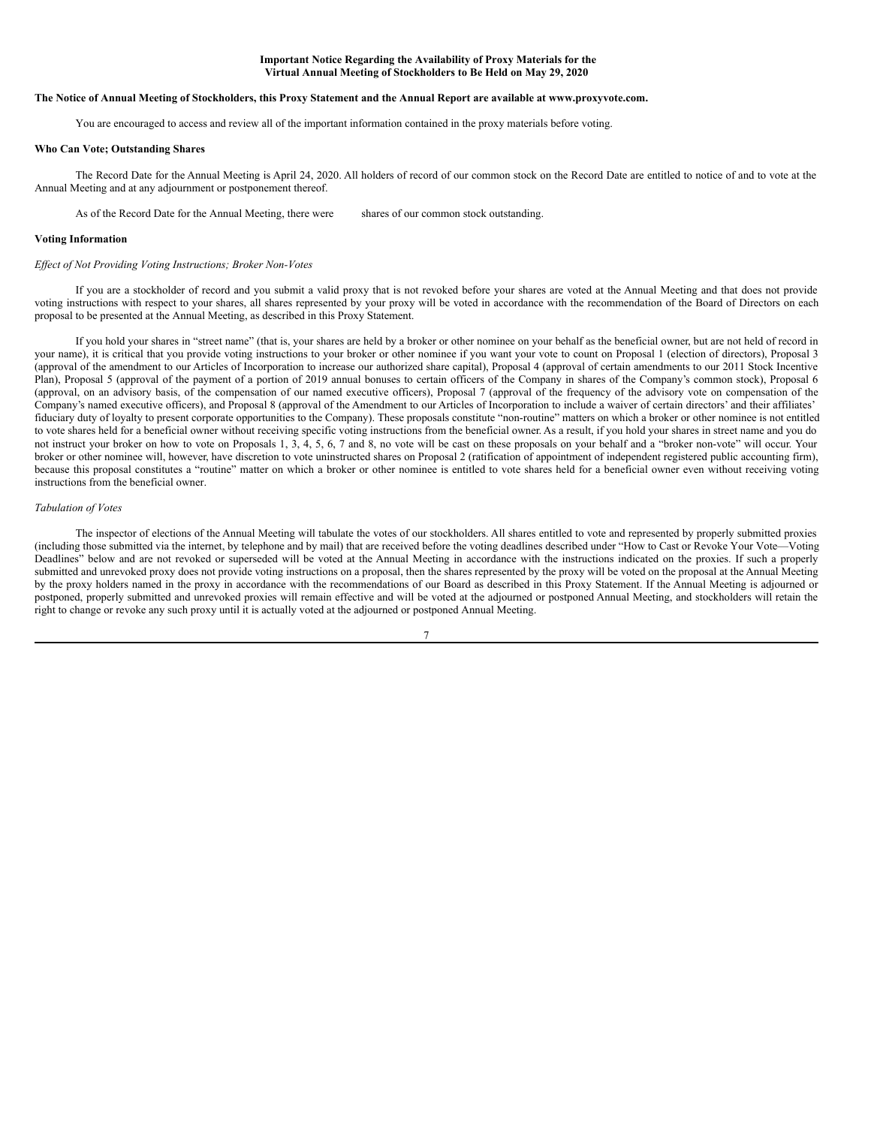#### **Important Notice Regarding the Availability of Proxy Materials for the Virtual Annual Meeting of Stockholders to Be Held on May 29, 2020**

# The Notice of Annual Meeting of Stockholders, this Proxy Statement and the Annual Report are available at www.proxyvote.com.

You are encouraged to access and review all of the important information contained in the proxy materials before voting.

## **Who Can Vote; Outstanding Shares**

The Record Date for the Annual Meeting is April 24, 2020. All holders of record of our common stock on the Record Date are entitled to notice of and to vote at the Annual Meeting and at any adjournment or postponement thereof.

As of the Record Date for the Annual Meeting, there were shares of our common stock outstanding.

#### **Voting Information**

#### *Ef ect of Not Providing Voting Instructions; Broker Non-Votes*

If you are a stockholder of record and you submit a valid proxy that is not revoked before your shares are voted at the Annual Meeting and that does not provide voting instructions with respect to your shares, all shares represented by your proxy will be voted in accordance with the recommendation of the Board of Directors on each proposal to be presented at the Annual Meeting, as described in this Proxy Statement.

If you hold your shares in "street name" (that is, your shares are held by a broker or other nominee on your behalf as the beneficial owner, but are not held of record in your name), it is critical that you provide voting instructions to your broker or other nominee if you want your vote to count on Proposal 1 (election of directors), Proposal 3 (approval of the amendment to our Articles of Incorporation to increase our authorized share capital), Proposal 4 (approval of certain amendments to our 2011 Stock Incentive Plan), Proposal 5 (approval of the payment of a portion of 2019 annual bonuses to certain officers of the Company in shares of the Company's common stock), Proposal 6 (approval, on an advisory basis, of the compensation of our named executive officers), Proposal 7 (approval of the frequency of the advisory vote on compensation of the Company's named executive officers), and Proposal 8 (approval of the Amendment to our Articles of Incorporation to include a waiver of certain directors' and their affiliates' fiduciary duty of loyalty to present corporate opportunities to the Company). These proposals constitute "non-routine" matters on which a broker or other nominee is not entitled to vote shares held for a beneficial owner without receiving specific voting instructions from the beneficial owner. As a result, if you hold your shares in street name and you do not instruct your broker on how to vote on Proposals 1, 3, 4, 5, 6, 7 and 8, no vote will be cast on these proposals on your behalf and a "broker non-vote" will occur. Your broker or other nominee will, however, have discretion to vote uninstructed shares on Proposal 2 (ratification of appointment of independent registered public accounting firm), because this proposal constitutes a "routine" matter on which a broker or other nominee is entitled to vote shares held for a beneficial owner even without receiving voting instructions from the beneficial owner.

## *Tabulation of Votes*

The inspector of elections of the Annual Meeting will tabulate the votes of our stockholders. All shares entitled to vote and represented by properly submitted proxies (including those submitted via the internet, by telephone and by mail) that are received before the voting deadlines described under "How to Cast or Revoke Your Vote—Voting Deadlines" below and are not revoked or superseded will be voted at the Annual Meeting in accordance with the instructions indicated on the proxies. If such a properly submitted and unrevoked proxy does not provide voting instructions on a proposal, then the shares represented by the proxy will be voted on the proposal at the Annual Meeting by the proxy holders named in the proxy in accordance with the recommendations of our Board as described in this Proxy Statement. If the Annual Meeting is adjourned or postponed, properly submitted and unrevoked proxies will remain effective and will be voted at the adjourned or postponed Annual Meeting, and stockholders will retain the right to change or revoke any such proxy until it is actually voted at the adjourned or postponed Annual Meeting.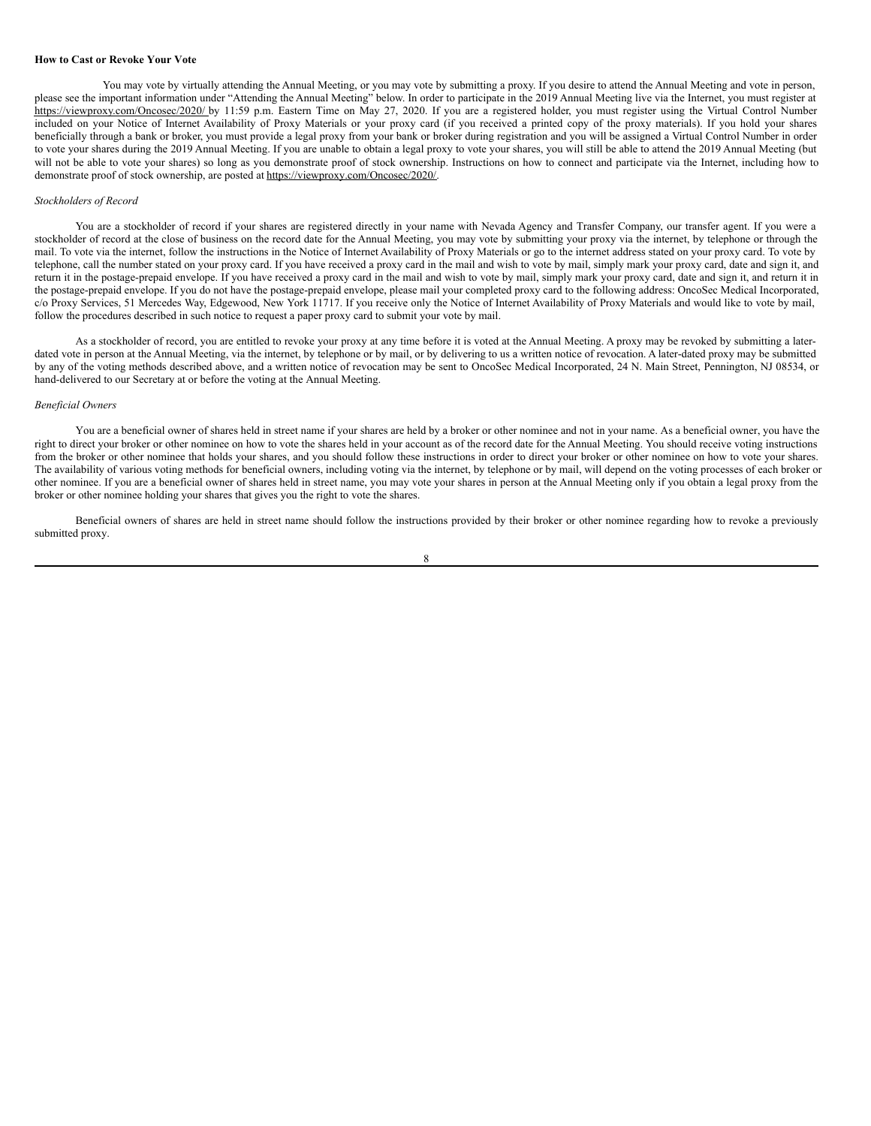#### **How to Cast or Revoke Your Vote**

You may vote by virtually attending the Annual Meeting, or you may vote by submitting a proxy. If you desire to attend the Annual Meeting and vote in person, please see the important information under "Attending the Annual Meeting" below. In order to participate in the 2019 Annual Meeting live via the Internet, you must register at https://viewproxy.com/Oncosec/2020/ by 11:59 p.m. Eastern Time on May 27, 2020. If you are a registered holder, you must register using the Virtual Control Number included on your Notice of Internet Availability of Proxy Materials or your proxy card (if you received a printed copy of the proxy materials). If you hold your shares beneficially through a bank or broker, you must provide a legal proxy from your bank or broker during registration and you will be assigned a Virtual Control Number in order to vote your shares during the 2019 Annual Meeting. If you are unable to obtain a legal proxy to vote your shares, you will still be able to attend the 2019 Annual Meeting (but will not be able to vote your shares) so long as you demonstrate proof of stock ownership. Instructions on how to connect and participate via the Internet, including how to demonstrate proof of stock ownership, are posted at https://viewproxy.com/Oncosec/2020/.

## *Stockholders of Record*

You are a stockholder of record if your shares are registered directly in your name with Nevada Agency and Transfer Company, our transfer agent. If you were a stockholder of record at the close of business on the record date for the Annual Meeting, you may vote by submitting your proxy via the internet, by telephone or through the mail. To vote via the internet, follow the instructions in the Notice of Internet Availability of Proxy Materials or go to the internet address stated on your proxy card. To vote by telephone, call the number stated on your proxy card. If you have received a proxy card in the mail and wish to vote by mail, simply mark your proxy card, date and sign it, and return it in the postage-prepaid envelope. If you have received a proxy card in the mail and wish to vote by mail, simply mark your proxy card, date and sign it, and return it in the postage-prepaid envelope. If you do not have the postage-prepaid envelope, please mail your completed proxy card to the following address: OncoSec Medical Incorporated, c/o Proxy Services, 51 Mercedes Way, Edgewood, New York 11717. If you receive only the Notice of Internet Availability of Proxy Materials and would like to vote by mail, follow the procedures described in such notice to request a paper proxy card to submit your vote by mail.

As a stockholder of record, you are entitled to revoke your proxy at any time before it is voted at the Annual Meeting. A proxy may be revoked by submitting a laterdated vote in person at the Annual Meeting, via the internet, by telephone or by mail, or by delivering to us a written notice of revocation. A later-dated proxy may be submitted by any of the voting methods described above, and a written notice of revocation may be sent to OncoSec Medical Incorporated, 24 N. Main Street, Pennington, NJ 08534, or hand-delivered to our Secretary at or before the voting at the Annual Meeting.

# *Beneficial Owners*

You are a beneficial owner of shares held in street name if your shares are held by a broker or other nominee and not in your name. As a beneficial owner, you have the right to direct your broker or other nominee on how to vote the shares held in your account as of the record date for the Annual Meeting. You should receive voting instructions from the broker or other nominee that holds your shares, and you should follow these instructions in order to direct your broker or other nominee on how to vote your shares. The availability of various voting methods for beneficial owners, including voting via the internet, by telephone or by mail, will depend on the voting processes of each broker or other nominee. If you are a beneficial owner of shares held in street name, you may vote your shares in person at the Annual Meeting only if you obtain a legal proxy from the broker or other nominee holding your shares that gives you the right to vote the shares.

Beneficial owners of shares are held in street name should follow the instructions provided by their broker or other nominee regarding how to revoke a previously submitted proxy.

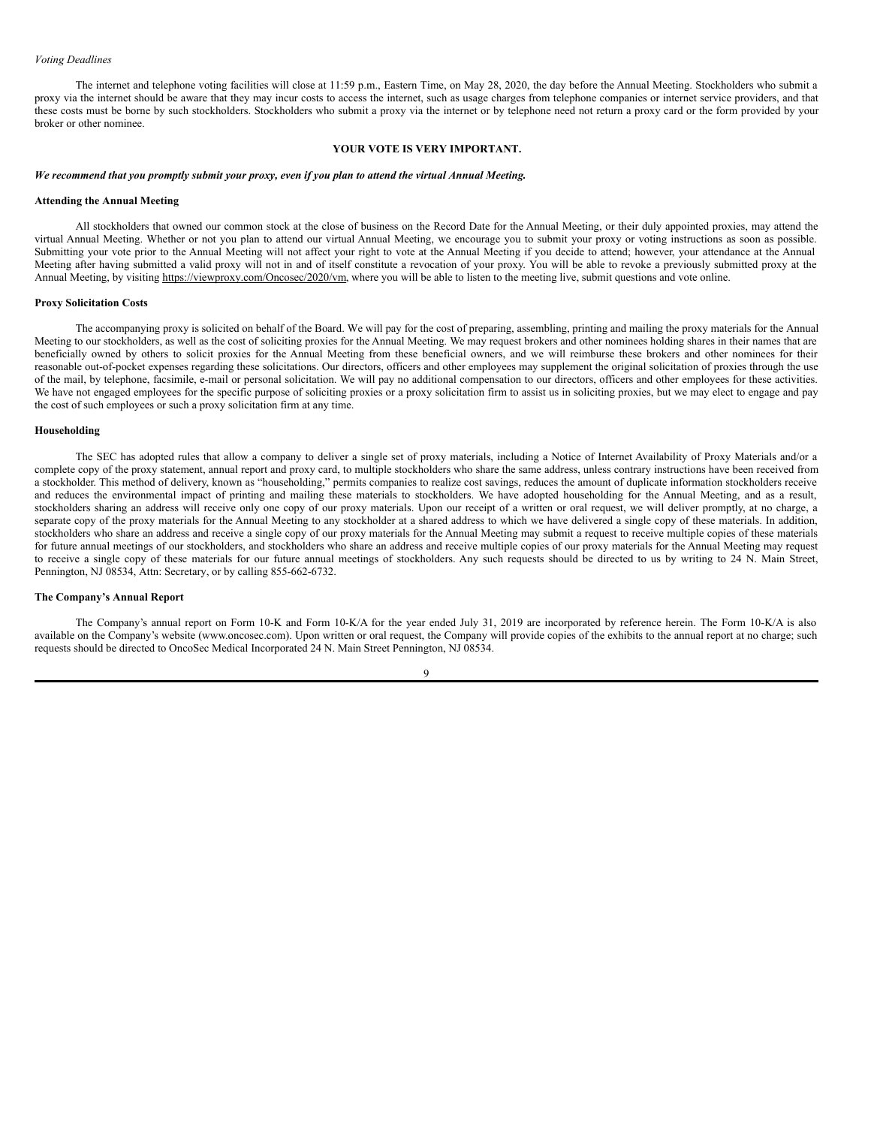#### *Voting Deadlines*

The internet and telephone voting facilities will close at 11:59 p.m., Eastern Time, on May 28, 2020, the day before the Annual Meeting. Stockholders who submit a proxy via the internet should be aware that they may incur costs to access the internet, such as usage charges from telephone companies or internet service providers, and that these costs must be borne by such stockholders. Stockholders who submit a proxy via the internet or by telephone need not return a proxy card or the form provided by your broker or other nominee.

#### **YOUR VOTE IS VERY IMPORTANT.**

#### We recommend that you promptly submit your proxy, even if you plan to attend the virtual Annual Meeting.

#### **Attending the Annual Meeting**

All stockholders that owned our common stock at the close of business on the Record Date for the Annual Meeting, or their duly appointed proxies, may attend the virtual Annual Meeting. Whether or not you plan to attend our virtual Annual Meeting, we encourage you to submit your proxy or voting instructions as soon as possible. Submitting your vote prior to the Annual Meeting will not affect your right to vote at the Annual Meeting if you decide to attend; however, your attendance at the Annual Meeting after having submitted a valid proxy will not in and of itself constitute a revocation of your proxy. You will be able to revoke a previously submitted proxy at the Annual Meeting, by visiting https://viewproxy.com/Oncosec/2020/vm, where you will be able to listen to the meeting live, submit questions and vote online.

#### **Proxy Solicitation Costs**

The accompanying proxy is solicited on behalf of the Board. We will pay for the cost of preparing, assembling, printing and mailing the proxy materials for the Annual Meeting to our stockholders, as well as the cost of soliciting proxies for the Annual Meeting. We may request brokers and other nominees holding shares in their names that are beneficially owned by others to solicit proxies for the Annual Meeting from these beneficial owners, and we will reimburse these brokers and other nominees for their reasonable out-of-pocket expenses regarding these solicitations. Our directors, officers and other employees may supplement the original solicitation of proxies through the use of the mail, by telephone, facsimile, e-mail or personal solicitation. We will pay no additional compensation to our directors, officers and other employees for these activities. We have not engaged employees for the specific purpose of soliciting proxies or a proxy solicitation firm to assist us in soliciting proxies, but we may elect to engage and pay the cost of such employees or such a proxy solicitation firm at any time.

#### **Householding**

The SEC has adopted rules that allow a company to deliver a single set of proxy materials, including a Notice of Internet Availability of Proxy Materials and/or a complete copy of the proxy statement, annual report and proxy card, to multiple stockholders who share the same address, unless contrary instructions have been received from a stockholder. This method of delivery, known as "householding," permits companies to realize cost savings, reduces the amount of duplicate information stockholders receive and reduces the environmental impact of printing and mailing these materials to stockholders. We have adopted householding for the Annual Meeting, and as a result, stockholders sharing an address will receive only one copy of our proxy materials. Upon our receipt of a written or oral request, we will deliver promptly, at no charge, a separate copy of the proxy materials for the Annual Meeting to any stockholder at a shared address to which we have delivered a single copy of these materials. In addition, stockholders who share an address and receive a single copy of our proxy materials for the Annual Meeting may submit a request to receive multiple copies of these materials for future annual meetings of our stockholders, and stockholders who share an address and receive multiple copies of our proxy materials for the Annual Meeting may request to receive a single copy of these materials for our future annual meetings of stockholders. Any such requests should be directed to us by writing to 24 N. Main Street, Pennington, NJ 08534, Attn: Secretary, or by calling 855-662-6732.

#### **The Company's Annual Report**

The Company's annual report on Form 10-K and Form 10-K/A for the year ended July 31, 2019 are incorporated by reference herein. The Form 10-K/A is also available on the Company's website (www.oncosec.com). Upon written or oral request, the Company will provide copies of the exhibits to the annual report at no charge; such requests should be directed to OncoSec Medical Incorporated 24 N. Main Street Pennington, NJ 08534.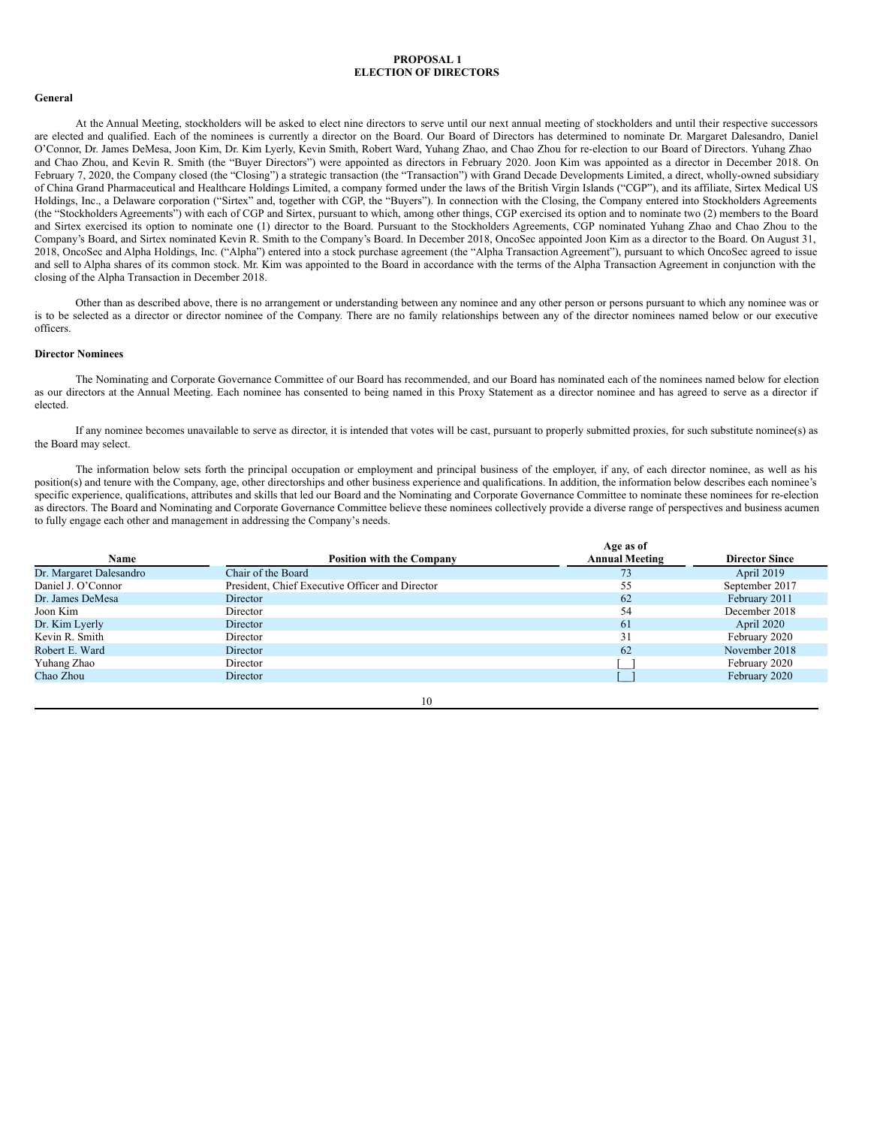# <span id="page-13-0"></span>**PROPOSAL 1 ELECTION OF DIRECTORS**

# **General**

At the Annual Meeting, stockholders will be asked to elect nine directors to serve until our next annual meeting of stockholders and until their respective successors are elected and qualified. Each of the nominees is currently a director on the Board. Our Board of Directors has determined to nominate Dr. Margaret Dalesandro, Daniel O'Connor, Dr. James DeMesa, Joon Kim, Dr. Kim Lyerly, Kevin Smith, Robert Ward, Yuhang Zhao, and Chao Zhou for re-election to our Board of Directors. Yuhang Zhao and Chao Zhou, and Kevin R. Smith (the "Buyer Directors") were appointed as directors in February 2020. Joon Kim was appointed as a director in December 2018. On February 7, 2020, the Company closed (the "Closing") a strategic transaction (the "Transaction") with Grand Decade Developments Limited, a direct, wholly-owned subsidiary of China Grand Pharmaceutical and Healthcare Holdings Limited, a company formed under the laws of the British Virgin Islands ("CGP"), and its affiliate, Sirtex Medical US Holdings, Inc., a Delaware corporation ("Sirtex" and, together with CGP, the "Buyers"). In connection with the Closing, the Company entered into Stockholders Agreements (the "Stockholders Agreements") with each of CGP and Sirtex, pursuant to which, among other things, CGP exercised its option and to nominate two (2) members to the Board and Sirtex exercised its option to nominate one (1) director to the Board. Pursuant to the Stockholders Agreements, CGP nominated Yuhang Zhao and Chao Zhou to the Company's Board, and Sirtex nominated Kevin R. Smith to the Company's Board. In December 2018, OncoSec appointed Joon Kim as a director to the Board. On August 31, 2018, OncoSec and Alpha Holdings, Inc. ("Alpha") entered into a stock purchase agreement (the "Alpha Transaction Agreement"), pursuant to which OncoSec agreed to issue and sell to Alpha shares of its common stock. Mr. Kim was appointed to the Board in accordance with the terms of the Alpha Transaction Agreement in conjunction with the closing of the Alpha Transaction in December 2018.

Other than as described above, there is no arrangement or understanding between any nominee and any other person or persons pursuant to which any nominee was or is to be selected as a director or director nominee of the Company. There are no family relationships between any of the director nominees named below or our executive officers.

## **Director Nominees**

The Nominating and Corporate Governance Committee of our Board has recommended, and our Board has nominated each of the nominees named below for election as our directors at the Annual Meeting. Each nominee has consented to being named in this Proxy Statement as a director nominee and has agreed to serve as a director if elected.

If any nominee becomes unavailable to serve as director, it is intended that votes will be cast, pursuant to properly submitted proxies, for such substitute nominee(s) as the Board may select.

The information below sets forth the principal occupation or employment and principal business of the employer, if any, of each director nominee, as well as his position(s) and tenure with the Company, age, other directorships and other business experience and qualifications. In addition, the information below describes each nominee's specific experience, qualifications, attributes and skills that led our Board and the Nominating and Corporate Governance Committee to nominate these nominees for re-election as directors. The Board and Nominating and Corporate Governance Committee believe these nominees collectively provide a diverse range of perspectives and business acumen to fully engage each other and management in addressing the Company's needs.

| <b>Position with the Company</b>                | Age as of<br><b>Annual Meeting</b> | <b>Director Since</b> |
|-------------------------------------------------|------------------------------------|-----------------------|
| Chair of the Board                              | 73                                 | April 2019            |
| President, Chief Executive Officer and Director | 55                                 | September 2017        |
| Director                                        | 62                                 | February 2011         |
| Director                                        | 54                                 | December 2018         |
| Director                                        | 61                                 | April 2020            |
| Director                                        | 31                                 | February 2020         |
| Director                                        | 62                                 | November 2018         |
| Director                                        |                                    | February 2020         |
| Director                                        |                                    | February 2020         |
|                                                 |                                    |                       |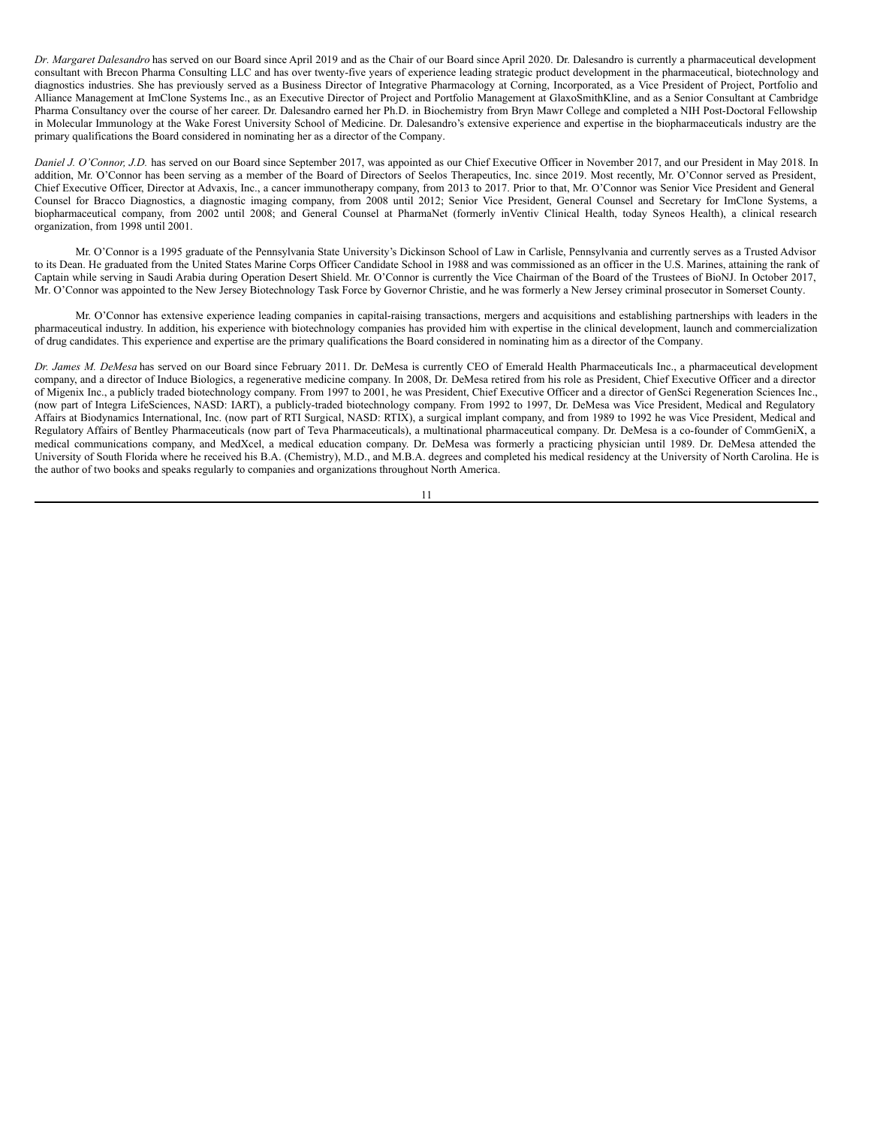*Dr. Margaret Dalesandro* has served on our Board since April 2019 and as the Chair of our Board since April 2020. Dr. Dalesandro is currently a pharmaceutical development consultant with Brecon Pharma Consulting LLC and has over twenty-five years of experience leading strategic product development in the pharmaceutical, biotechnology and diagnostics industries. She has previously served as a Business Director of Integrative Pharmacology at Corning, Incorporated, as a Vice President of Project, Portfolio and Alliance Management at ImClone Systems Inc., as an Executive Director of Project and Portfolio Management at GlaxoSmithKline, and as a Senior Consultant at Cambridge Pharma Consultancy over the course of her career. Dr. Dalesandro earned her Ph.D. in Biochemistry from Bryn Mawr College and completed a NIH Post-Doctoral Fellowship in Molecular Immunology at the Wake Forest University School of Medicine. Dr. Dalesandro's extensive experience and expertise in the biopharmaceuticals industry are the primary qualifications the Board considered in nominating her as a director of the Company.

*Daniel J. O'Connor, J.D.* has served on our Board since September 2017, was appointed as our Chief Executive Officer in November 2017, and our President in May 2018. In addition, Mr. O'Connor has been serving as a member of the Board of Directors of Seelos Therapeutics, Inc. since 2019. Most recently, Mr. O'Connor served as President, Chief Executive Officer, Director at Advaxis, Inc., a cancer immunotherapy company, from 2013 to 2017. Prior to that, Mr. O'Connor was Senior Vice President and General Counsel for Bracco Diagnostics, a diagnostic imaging company, from 2008 until 2012; Senior Vice President, General Counsel and Secretary for ImClone Systems, a biopharmaceutical company, from 2002 until 2008; and General Counsel at PharmaNet (formerly inVentiv Clinical Health, today Syneos Health), a clinical research organization, from 1998 until 2001.

Mr. O'Connor is a 1995 graduate of the Pennsylvania State University's Dickinson School of Law in Carlisle, Pennsylvania and currently serves as a Trusted Advisor to its Dean. He graduated from the United States Marine Corps Officer Candidate School in 1988 and was commissioned as an officer in the U.S. Marines, attaining the rank of Captain while serving in Saudi Arabia during Operation Desert Shield. Mr. O'Connor is currently the Vice Chairman of the Board of the Trustees of BioNJ. In October 2017, Mr. O'Connor was appointed to the New Jersey Biotechnology Task Force by Governor Christie, and he was formerly a New Jersey criminal prosecutor in Somerset County.

Mr. O'Connor has extensive experience leading companies in capital-raising transactions, mergers and acquisitions and establishing partnerships with leaders in the pharmaceutical industry. In addition, his experience with biotechnology companies has provided him with expertise in the clinical development, launch and commercialization of drug candidates. This experience and expertise are the primary qualifications the Board considered in nominating him as a director of the Company.

*Dr. James M. DeMesa* has served on our Board since February 2011. Dr. DeMesa is currently CEO of Emerald Health Pharmaceuticals Inc., a pharmaceutical development company, and a director of Induce Biologics, a regenerative medicine company. In 2008, Dr. DeMesa retired from his role as President, Chief Executive Officer and a director of Migenix Inc., a publicly traded biotechnology company. From 1997 to 2001, he was President, Chief Executive Officer and a director of GenSci Regeneration Sciences Inc., (now part of Integra LifeSciences, NASD: IART), a publicly-traded biotechnology company. From 1992 to 1997, Dr. DeMesa was Vice President, Medical and Regulatory Affairs at Biodynamics International, Inc. (now part of RTI Surgical, NASD: RTIX), a surgical implant company, and from 1989 to 1992 he was Vice President, Medical and Regulatory Affairs of Bentley Pharmaceuticals (now part of Teva Pharmaceuticals), a multinational pharmaceutical company. Dr. DeMesa is a co-founder of CommGeniX, a medical communications company, and MedXcel, a medical education company. Dr. DeMesa was formerly a practicing physician until 1989. Dr. DeMesa attended the University of South Florida where he received his B.A. (Chemistry), M.D., and M.B.A. degrees and completed his medical residency at the University of North Carolina. He is the author of two books and speaks regularly to companies and organizations throughout North America.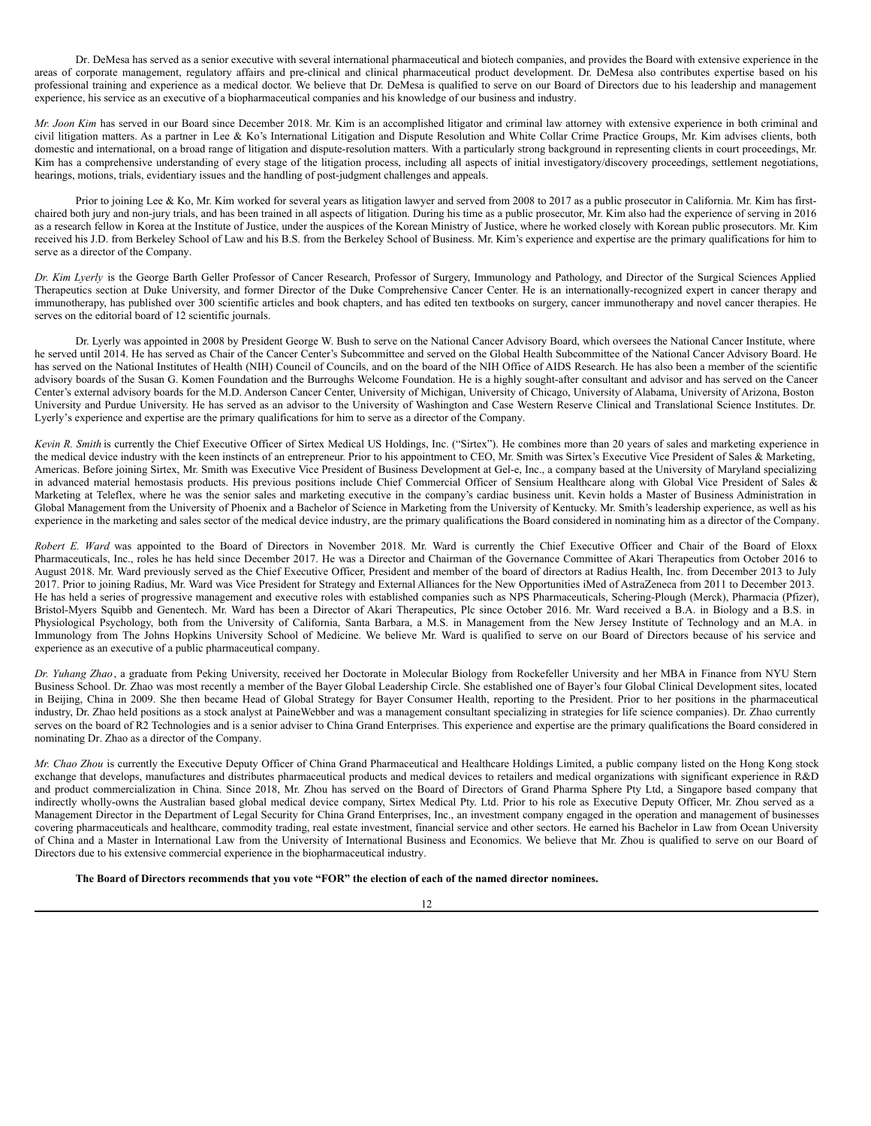Dr. DeMesa has served as a senior executive with several international pharmaceutical and biotech companies, and provides the Board with extensive experience in the areas of corporate management, regulatory affairs and pre-clinical and clinical pharmaceutical product development. Dr. DeMesa also contributes expertise based on his professional training and experience as a medical doctor. We believe that Dr. DeMesa is qualified to serve on our Board of Directors due to his leadership and management experience, his service as an executive of a biopharmaceutical companies and his knowledge of our business and industry.

*Mr. Joon Kim* has served in our Board since December 2018. Mr. Kim is an accomplished litigator and criminal law attorney with extensive experience in both criminal and civil litigation matters. As a partner in Lee & Ko's International Litigation and Dispute Resolution and White Collar Crime Practice Groups, Mr. Kim advises clients, both domestic and international, on a broad range of litigation and dispute-resolution matters. With a particularly strong background in representing clients in court proceedings, Mr. Kim has a comprehensive understanding of every stage of the litigation process, including all aspects of initial investigatory/discovery proceedings, settlement negotiations, hearings, motions, trials, evidentiary issues and the handling of post-judgment challenges and appeals.

Prior to joining Lee & Ko, Mr. Kim worked for several years as litigation lawyer and served from 2008 to 2017 as a public prosecutor in California. Mr. Kim has firstchaired both jury and non-jury trials, and has been trained in all aspects of litigation. During his time as a public prosecutor, Mr. Kim also had the experience of serving in 2016 as a research fellow in Korea at the Institute of Justice, under the auspices of the Korean Ministry of Justice, where he worked closely with Korean public prosecutors. Mr. Kim received his J.D. from Berkeley School of Law and his B.S. from the Berkeley School of Business. Mr. Kim's experience and expertise are the primary qualifications for him to serve as a director of the Company.

*Dr. Kim Lyerly* is the George Barth Geller Professor of Cancer Research, Professor of Surgery, Immunology and Pathology, and Director of the Surgical Sciences Applied Therapeutics section at Duke University, and former Director of the Duke Comprehensive Cancer Center. He is an internationally-recognized expert in cancer therapy and immunotherapy, has published over 300 scientific articles and book chapters, and has edited ten textbooks on surgery, cancer immunotherapy and novel cancer therapies. He serves on the editorial board of 12 scientific journals.

Dr. Lyerly was appointed in 2008 by President George W. Bush to serve on the National Cancer Advisory Board, which oversees the National Cancer Institute, where he served until 2014. He has served as Chair of the Cancer Center's Subcommittee and served on the Global Health Subcommittee of the National Cancer Advisory Board. He has served on the National Institutes of Health (NIH) Council of Councils, and on the board of the NIH Office of AIDS Research. He has also been a member of the scientific advisory boards of the Susan G. Komen Foundation and the Burroughs Welcome Foundation. He is a highly sought-after consultant and advisor and has served on the Cancer Center's external advisory boards for the M.D. Anderson Cancer Center, University of Michigan, University of Chicago, University of Alabama, University of Arizona, Boston University and Purdue University. He has served as an advisor to the University of Washington and Case Western Reserve Clinical and Translational Science Institutes. Dr. Lyerly's experience and expertise are the primary qualifications for him to serve as a director of the Company.

*Kevin R. Smith* is currently the Chief Executive Officer of Sirtex Medical US Holdings, Inc. ("Sirtex"). He combines more than 20 years of sales and marketing experience in the medical device industry with the keen instincts of an entrepreneur. Prior to his appointment to CEO, Mr. Smith was Sirtex's Executive Vice President of Sales & Marketing, Americas. Before joining Sirtex, Mr. Smith was Executive Vice President of Business Development at Gel-e, Inc., a company based at the University of Maryland specializing in advanced material hemostasis products. His previous positions include Chief Commercial Officer of Sensium Healthcare along with Global Vice President of Sales & Marketing at Teleflex, where he was the senior sales and marketing executive in the company's cardiac business unit. Kevin holds a Master of Business Administration in Global Management from the University of Phoenix and a Bachelor of Science in Marketing from the University of Kentucky. Mr. Smith's leadership experience, as well as his experience in the marketing and sales sector of the medical device industry, are the primary qualifications the Board considered in nominating him as a director of the Company.

*Robert E. Ward* was appointed to the Board of Directors in November 2018. Mr. Ward is currently the Chief Executive Officer and Chair of the Board of Eloxx Pharmaceuticals, Inc., roles he has held since December 2017. He was a Director and Chairman of the Governance Committee of Akari Therapeutics from October 2016 to August 2018. Mr. Ward previously served as the Chief Executive Officer, President and member of the board of directors at Radius Health, Inc. from December 2013 to July 2017. Prior to joining Radius, Mr. Ward was Vice President for Strategy and External Alliances for the New Opportunities iMed of AstraZeneca from 2011 to December 2013. He has held a series of progressive management and executive roles with established companies such as NPS Pharmaceuticals, Schering-Plough (Merck), Pharmacia (Pfizer), Bristol-Myers Squibb and Genentech. Mr. Ward has been a Director of Akari Therapeutics, Plc since October 2016. Mr. Ward received a B.A. in Biology and a B.S. in Physiological Psychology, both from the University of California, Santa Barbara, a M.S. in Management from the New Jersey Institute of Technology and an M.A. in Immunology from The Johns Hopkins University School of Medicine. We believe Mr. Ward is qualified to serve on our Board of Directors because of his service and experience as an executive of a public pharmaceutical company.

*Dr. Yuhang Zhao*, a graduate from Peking University, received her Doctorate in Molecular Biology from Rockefeller University and her MBA in Finance from NYU Stern Business School. Dr. Zhao was most recently a member of the Bayer Global Leadership Circle. She established one of Bayer's four Global Clinical Development sites, located in Beijing, China in 2009. She then became Head of Global Strategy for Bayer Consumer Health, reporting to the President. Prior to her positions in the pharmaceutical industry, Dr. Zhao held positions as a stock analyst at PaineWebber and was a management consultant specializing in strategies for life science companies). Dr. Zhao currently serves on the board of R2 Technologies and is a senior adviser to China Grand Enterprises. This experience and expertise are the primary qualifications the Board considered in nominating Dr. Zhao as a director of the Company.

*Mr. Chao Zhou* is currently the Executive Deputy Officer of China Grand Pharmaceutical and Healthcare Holdings Limited, a public company listed on the Hong Kong stock exchange that develops, manufactures and distributes pharmaceutical products and medical devices to retailers and medical organizations with significant experience in R&D and product commercialization in China. Since 2018, Mr. Zhou has served on the Board of Directors of Grand Pharma Sphere Pty Ltd, a Singapore based company that indirectly wholly-owns the Australian based global medical device company, Sirtex Medical Pty. Ltd. Prior to his role as Executive Deputy Officer, Mr. Zhou served as a Management Director in the Department of Legal Security for China Grand Enterprises, Inc., an investment company engaged in the operation and management of businesses covering pharmaceuticals and healthcare, commodity trading, real estate investment, financial service and other sectors. He earned his Bachelor in Law from Ocean University of China and a Master in International Law from the University of International Business and Economics. We believe that Mr. Zhou is qualified to serve on our Board of Directors due to his extensive commercial experience in the biopharmaceutical industry.

The Board of Directors recommends that you vote "FOR" the election of each of the named director nominees.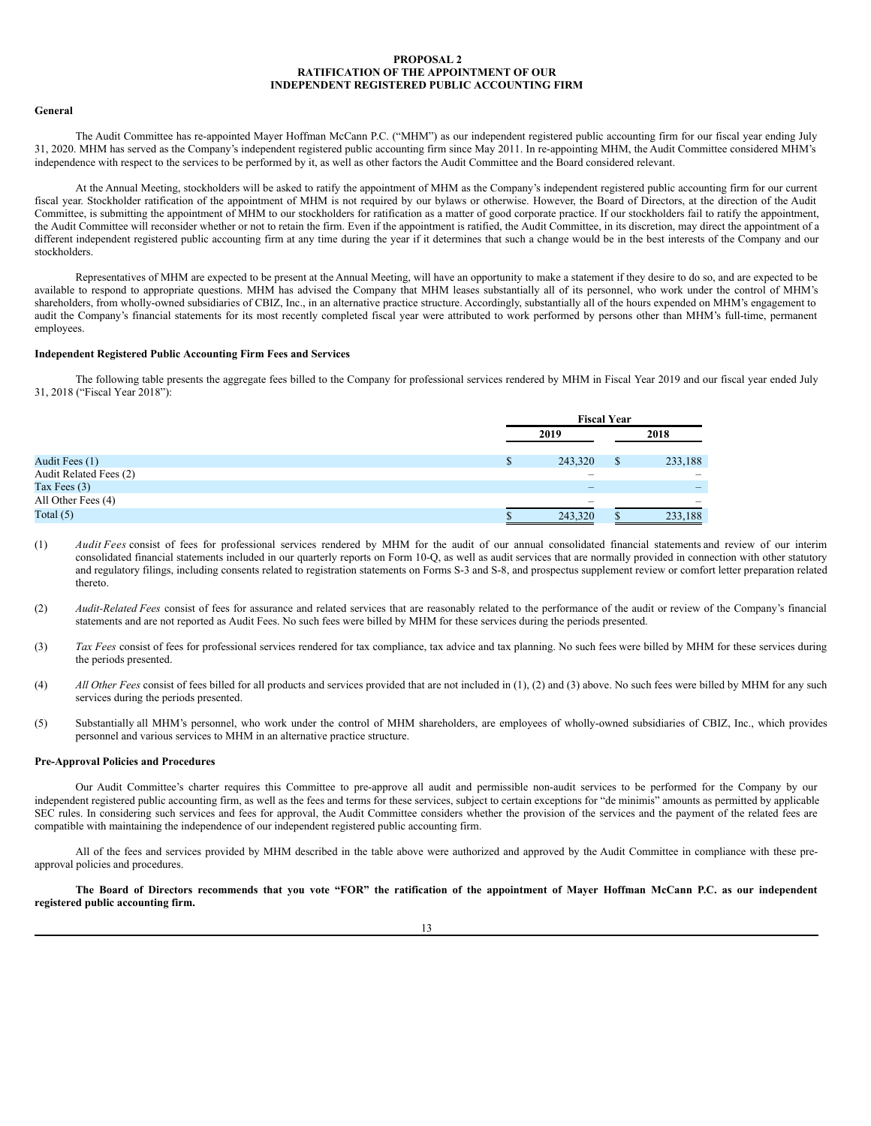## <span id="page-16-0"></span>**PROPOSAL 2 RATIFICATION OF THE APPOINTMENT OF OUR INDEPENDENT REGISTERED PUBLIC ACCOUNTING FIRM**

#### **General**

The Audit Committee has re-appointed Mayer Hoffman McCann P.C. ("MHM") as our independent registered public accounting firm for our fiscal year ending July 31, 2020. MHM has served as the Company's independent registered public accounting firm since May 2011. In re-appointing MHM, the Audit Committee considered MHM's independence with respect to the services to be performed by it, as well as other factors the Audit Committee and the Board considered relevant.

At the Annual Meeting, stockholders will be asked to ratify the appointment of MHM as the Company's independent registered public accounting firm for our current fiscal year. Stockholder ratification of the appointment of MHM is not required by our bylaws or otherwise. However, the Board of Directors, at the direction of the Audit Committee, is submitting the appointment of MHM to our stockholders for ratification as a matter of good corporate practice. If our stockholders fail to ratify the appointment, the Audit Committee will reconsider whether or not to retain the firm. Even if the appointment is ratified, the Audit Committee, in its discretion, may direct the appointment of a different independent registered public accounting firm at any time during the year if it determines that such a change would be in the best interests of the Company and our stockholders.

Representatives of MHM are expected to be present at the Annual Meeting, will have an opportunity to make a statement if they desire to do so, and are expected to be available to respond to appropriate questions. MHM has advised the Company that MHM leases substantially all of its personnel, who work under the control of MHM's shareholders, from wholly-owned subsidiaries of CBIZ, Inc., in an alternative practice structure. Accordingly, substantially all of the hours expended on MHM's engagement to audit the Company's financial statements for its most recently completed fiscal year were attributed to work performed by persons other than MHM's full-time, permanent employees.

## **Independent Registered Public Accounting Firm Fees and Services**

The following table presents the aggregate fees billed to the Company for professional services rendered by MHM in Fiscal Year 2019 and our fiscal year ended July 31, 2018 ("Fiscal Year 2018"):

|                        | <b>Fiscal Year</b>       |  |                   |  |
|------------------------|--------------------------|--|-------------------|--|
|                        | 2019                     |  | 2018              |  |
| Audit Fees (1)         | 243,320                  |  | 233,188           |  |
| Audit Related Fees (2) | -                        |  | $\hspace{0.05cm}$ |  |
| Tax Fees $(3)$         | $\overline{\phantom{a}}$ |  | $\qquad \qquad -$ |  |
| All Other Fees (4)     | $\overline{\phantom{a}}$ |  | $\sim$            |  |
| Total $(5)$            | 243,320                  |  | 233,188           |  |

- (1) *Audit Fees* consist of fees for professional services rendered by MHM for the audit of our annual consolidated financial statements and review of our interim consolidated financial statements included in our quarterly reports on Form 10-Q, as well as audit services that are normally provided in connection with other statutory and regulatory filings, including consents related to registration statements on Forms S-3 and S-8, and prospectus supplement review or comfort letter preparation related thereto.
- (2) *Audit-Related Fees* consist of fees for assurance and related services that are reasonably related to the performance of the audit or review of the Company's financial statements and are not reported as Audit Fees. No such fees were billed by MHM for these services during the periods presented.
- (3) *Tax Fees* consist of fees for professional services rendered for tax compliance, tax advice and tax planning. No such fees were billed by MHM for these services during the periods presented.
- (4) *All Other Fees* consist of fees billed for all products and services provided that are not included in (1), (2) and (3) above. No such fees were billed by MHM for any such services during the periods presented.
- (5) Substantially all MHM's personnel, who work under the control of MHM shareholders, are employees of wholly-owned subsidiaries of CBIZ, Inc., which provides personnel and various services to MHM in an alternative practice structure.

#### **Pre-Approval Policies and Procedures**

Our Audit Committee's charter requires this Committee to pre-approve all audit and permissible non-audit services to be performed for the Company by our independent registered public accounting firm, as well as the fees and terms for these services, subject to certain exceptions for "de minimis" amounts as permitted by applicable SEC rules. In considering such services and fees for approval, the Audit Committee considers whether the provision of the services and the payment of the related fees are compatible with maintaining the independence of our independent registered public accounting firm.

All of the fees and services provided by MHM described in the table above were authorized and approved by the Audit Committee in compliance with these preapproval policies and procedures.

The Board of Directors recommends that you vote "FOR" the ratification of the appointment of Mayer Hoffman McCann P.C. as our independent **registered public accounting firm.**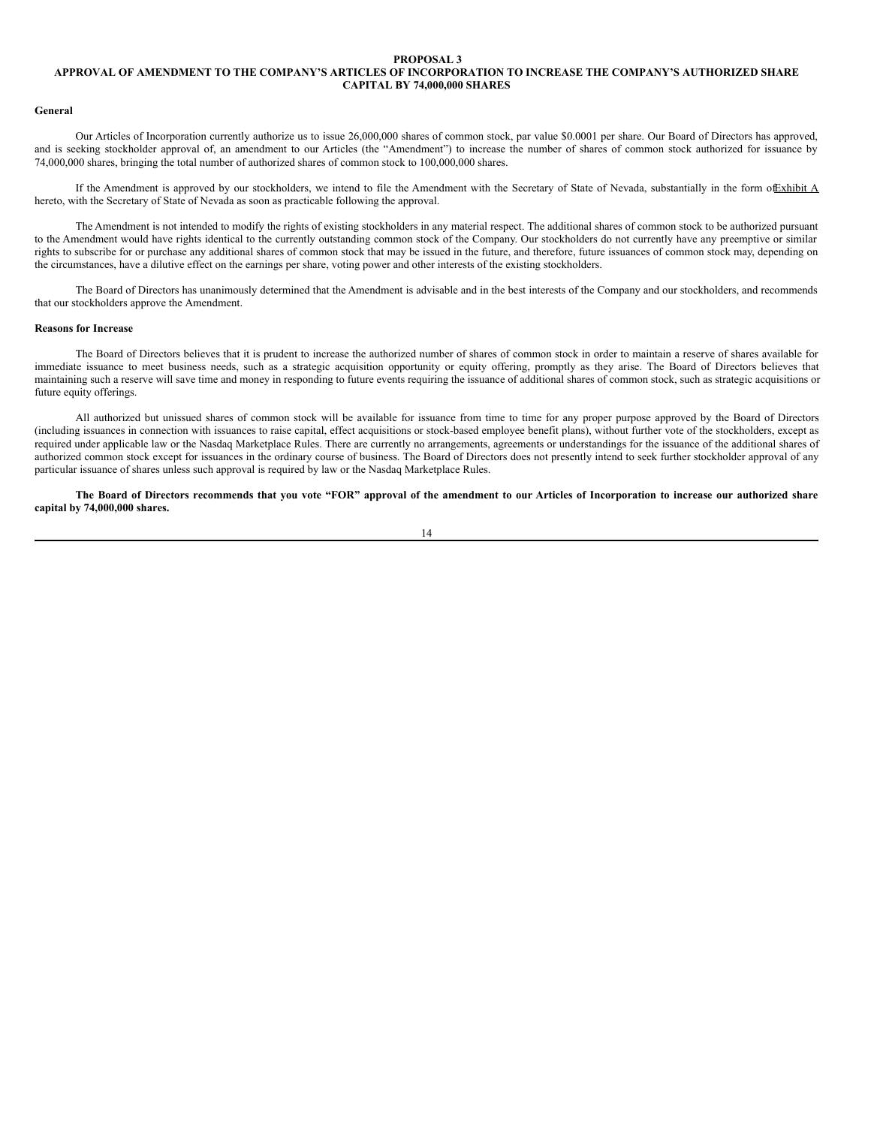#### <span id="page-17-0"></span>**PROPOSAL 3**

# **APPROVAL OF AMENDMENT TO THE COMPANY'S ARTICLES OF INCORPORATION TO INCREASE THE COMPANY'S AUTHORIZED SHARE CAPITAL BY 74,000,000 SHARES**

#### **General**

Our Articles of Incorporation currently authorize us to issue 26,000,000 shares of common stock, par value \$0.0001 per share. Our Board of Directors has approved, and is seeking stockholder approval of, an amendment to our Articles (the "Amendment") to increase the number of shares of common stock authorized for issuance by 74,000,000 shares, bringing the total number of authorized shares of common stock to 100,000,000 shares.

If the Amendment is approved by our stockholders, we intend to file the Amendment with the Secretary of State of Nevada, substantially in the form of Exhibit A hereto, with the Secretary of State of Nevada as soon as practicable following the approval.

The Amendment is not intended to modify the rights of existing stockholders in any material respect. The additional shares of common stock to be authorized pursuant to the Amendment would have rights identical to the currently outstanding common stock of the Company. Our stockholders do not currently have any preemptive or similar rights to subscribe for or purchase any additional shares of common stock that may be issued in the future, and therefore, future issuances of common stock may, depending on the circumstances, have a dilutive effect on the earnings per share, voting power and other interests of the existing stockholders.

The Board of Directors has unanimously determined that the Amendment is advisable and in the best interests of the Company and our stockholders, and recommends that our stockholders approve the Amendment.

#### **Reasons for Increase**

The Board of Directors believes that it is prudent to increase the authorized number of shares of common stock in order to maintain a reserve of shares available for immediate issuance to meet business needs, such as a strategic acquisition opportunity or equity offering, promptly as they arise. The Board of Directors believes that maintaining such a reserve will save time and money in responding to future events requiring the issuance of additional shares of common stock, such as strategic acquisitions or future equity offerings.

All authorized but unissued shares of common stock will be available for issuance from time to time for any proper purpose approved by the Board of Directors (including issuances in connection with issuances to raise capital, effect acquisitions or stock-based employee benefit plans), without further vote of the stockholders, except as required under applicable law or the Nasdaq Marketplace Rules. There are currently no arrangements, agreements or understandings for the issuance of the additional shares of authorized common stock except for issuances in the ordinary course of business. The Board of Directors does not presently intend to seek further stockholder approval of any particular issuance of shares unless such approval is required by law or the Nasdaq Marketplace Rules.

The Board of Directors recommends that you vote "FOR" approval of the amendment to our Articles of Incorporation to increase our authorized share **capital by 74,000,000 shares.**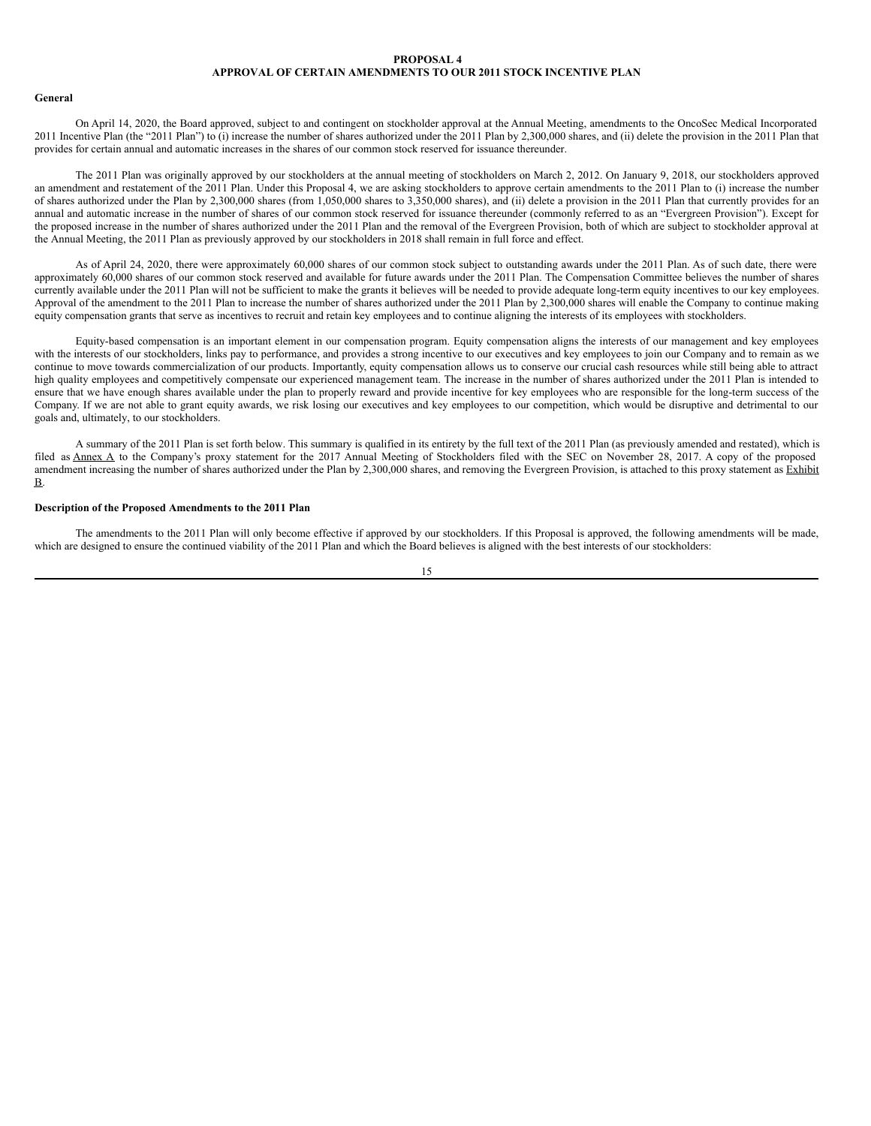# <span id="page-18-0"></span>**PROPOSAL 4 APPROVAL OF CERTAIN AMENDMENTS TO OUR 2011 STOCK INCENTIVE PLAN**

### **General**

On April 14, 2020, the Board approved, subject to and contingent on stockholder approval at the Annual Meeting, amendments to the OncoSec Medical Incorporated 2011 Incentive Plan (the "2011 Plan") to (i) increase the number of shares authorized under the 2011 Plan by 2,300,000 shares, and (ii) delete the provision in the 2011 Plan that provides for certain annual and automatic increases in the shares of our common stock reserved for issuance thereunder.

The 2011 Plan was originally approved by our stockholders at the annual meeting of stockholders on March 2, 2012. On January 9, 2018, our stockholders approved an amendment and restatement of the 2011 Plan. Under this Proposal 4, we are asking stockholders to approve certain amendments to the 2011 Plan to (i) increase the number of shares authorized under the Plan by 2,300,000 shares (from 1,050,000 shares to 3,350,000 shares), and (ii) delete a provision in the 2011 Plan that currently provides for an annual and automatic increase in the number of shares of our common stock reserved for issuance thereunder (commonly referred to as an "Evergreen Provision"). Except for the proposed increase in the number of shares authorized under the 2011 Plan and the removal of the Evergreen Provision, both of which are subject to stockholder approval at the Annual Meeting, the 2011 Plan as previously approved by our stockholders in 2018 shall remain in full force and effect.

As of April 24, 2020, there were approximately 60,000 shares of our common stock subject to outstanding awards under the 2011 Plan. As of such date, there were approximately 60,000 shares of our common stock reserved and available for future awards under the 2011 Plan. The Compensation Committee believes the number of shares currently available under the 2011 Plan will not be sufficient to make the grants it believes will be needed to provide adequate long-term equity incentives to our key employees. Approval of the amendment to the 2011 Plan to increase the number of shares authorized under the 2011 Plan by 2,300,000 shares will enable the Company to continue making equity compensation grants that serve as incentives to recruit and retain key employees and to continue aligning the interests of its employees with stockholders.

Equity-based compensation is an important element in our compensation program. Equity compensation aligns the interests of our management and key employees with the interests of our stockholders, links pay to performance, and provides a strong incentive to our executives and key employees to join our Company and to remain as we continue to move towards commercialization of our products. Importantly, equity compensation allows us to conserve our crucial cash resources while still being able to attract high quality employees and competitively compensate our experienced management team. The increase in the number of shares authorized under the 2011 Plan is intended to ensure that we have enough shares available under the plan to properly reward and provide incentive for key employees who are responsible for the long-term success of the Company. If we are not able to grant equity awards, we risk losing our executives and key employees to our competition, which would be disruptive and detrimental to our goals and, ultimately, to our stockholders.

A summary of the 2011 Plan is set forth below. This summary is qualified in its entirety by the full text of the 2011 Plan (as previously amended and restated), which is filed as Annex A to the Company's proxy statement for the 2017 Annual Meeting of Stockholders filed with the SEC on November 28, 2017. A copy of the proposed amendment increasing the number of shares authorized under the Plan by 2,300,000 shares, and removing the Evergreen Provision, is attached to this proxy statement as Exhibit B.

# **Description of the Proposed Amendments to the 2011 Plan**

The amendments to the 2011 Plan will only become effective if approved by our stockholders. If this Proposal is approved, the following amendments will be made, which are designed to ensure the continued viability of the 2011 Plan and which the Board believes is aligned with the best interests of our stockholders:

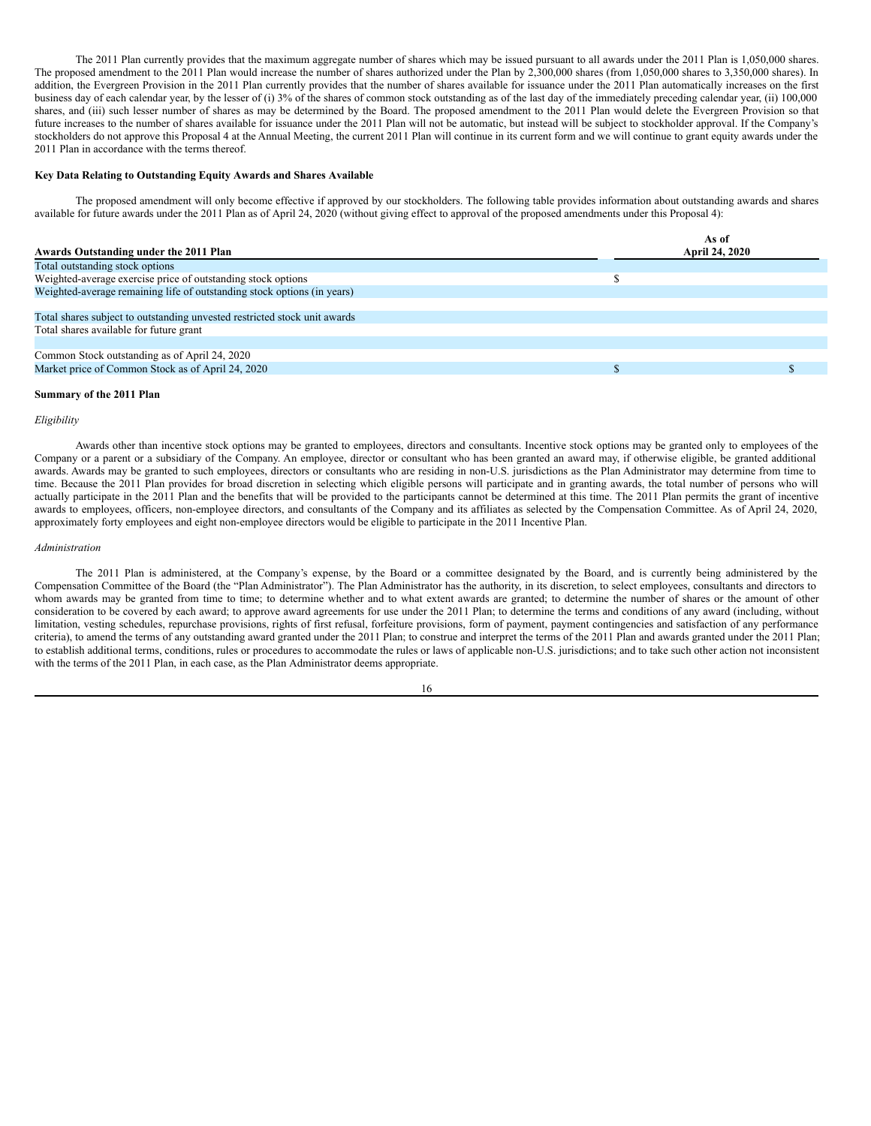The 2011 Plan currently provides that the maximum aggregate number of shares which may be issued pursuant to all awards under the 2011 Plan is 1,050,000 shares. The proposed amendment to the 2011 Plan would increase the number of shares authorized under the Plan by 2,300,000 shares (from 1,050,000 shares to 3,350,000 shares). In addition, the Evergreen Provision in the 2011 Plan currently provides that the number of shares available for issuance under the 2011 Plan automatically increases on the first business day of each calendar year, by the lesser of (i) 3% of the shares of common stock outstanding as of the last day of the immediately preceding calendar year, (ii) 100,000 shares, and (iii) such lesser number of shares as may be determined by the Board. The proposed amendment to the 2011 Plan would delete the Evergreen Provision so that future increases to the number of shares available for issuance under the 2011 Plan will not be automatic, but instead will be subject to stockholder approval. If the Company's stockholders do not approve this Proposal 4 at the Annual Meeting, the current 2011 Plan will continue in its current form and we will continue to grant equity awards under the 2011 Plan in accordance with the terms thereof.

#### **Key Data Relating to Outstanding Equity Awards and Shares Available**

The proposed amendment will only become effective if approved by our stockholders. The following table provides information about outstanding awards and shares available for future awards under the 2011 Plan as of April 24, 2020 (without giving effect to approval of the proposed amendments under this Proposal 4):

| Awards Outstanding under the 2011 Plan                                    | As of<br><b>April 24, 2020</b> |
|---------------------------------------------------------------------------|--------------------------------|
| Total outstanding stock options                                           |                                |
| Weighted-average exercise price of outstanding stock options              |                                |
| Weighted-average remaining life of outstanding stock options (in years)   |                                |
|                                                                           |                                |
| Total shares subject to outstanding unvested restricted stock unit awards |                                |
| Total shares available for future grant                                   |                                |
|                                                                           |                                |
| Common Stock outstanding as of April 24, 2020                             |                                |
| Market price of Common Stock as of April 24, 2020                         |                                |
|                                                                           |                                |

#### **Summary of the 2011 Plan**

# *Eligibility*

Awards other than incentive stock options may be granted to employees, directors and consultants. Incentive stock options may be granted only to employees of the Company or a parent or a subsidiary of the Company. An employee, director or consultant who has been granted an award may, if otherwise eligible, be granted additional awards. Awards may be granted to such employees, directors or consultants who are residing in non-U.S. jurisdictions as the Plan Administrator may determine from time to time. Because the 2011 Plan provides for broad discretion in selecting which eligible persons will participate and in granting awards, the total number of persons who will actually participate in the 2011 Plan and the benefits that will be provided to the participants cannot be determined at this time. The 2011 Plan permits the grant of incentive awards to employees, officers, non-employee directors, and consultants of the Company and its affiliates as selected by the Compensation Committee. As of April 24, 2020, approximately forty employees and eight non-employee directors would be eligible to participate in the 2011 Incentive Plan.

## *Administration*

The 2011 Plan is administered, at the Company's expense, by the Board or a committee designated by the Board, and is currently being administered by the Compensation Committee of the Board (the "Plan Administrator"). The Plan Administrator has the authority, in its discretion, to select employees, consultants and directors to whom awards may be granted from time to time; to determine whether and to what extent awards are granted; to determine the number of shares or the amount of other consideration to be covered by each award; to approve award agreements for use under the 2011 Plan; to determine the terms and conditions of any award (including, without limitation, vesting schedules, repurchase provisions, rights of first refusal, forfeiture provisions, form of payment, payment contingencies and satisfaction of any performance criteria), to amend the terms of any outstanding award granted under the 2011 Plan; to construe and interpret the terms of the 2011 Plan and awards granted under the 2011 Plan; to establish additional terms, conditions, rules or procedures to accommodate the rules or laws of applicable non-U.S. jurisdictions; and to take such other action not inconsistent with the terms of the 2011 Plan, in each case, as the Plan Administrator deems appropriate.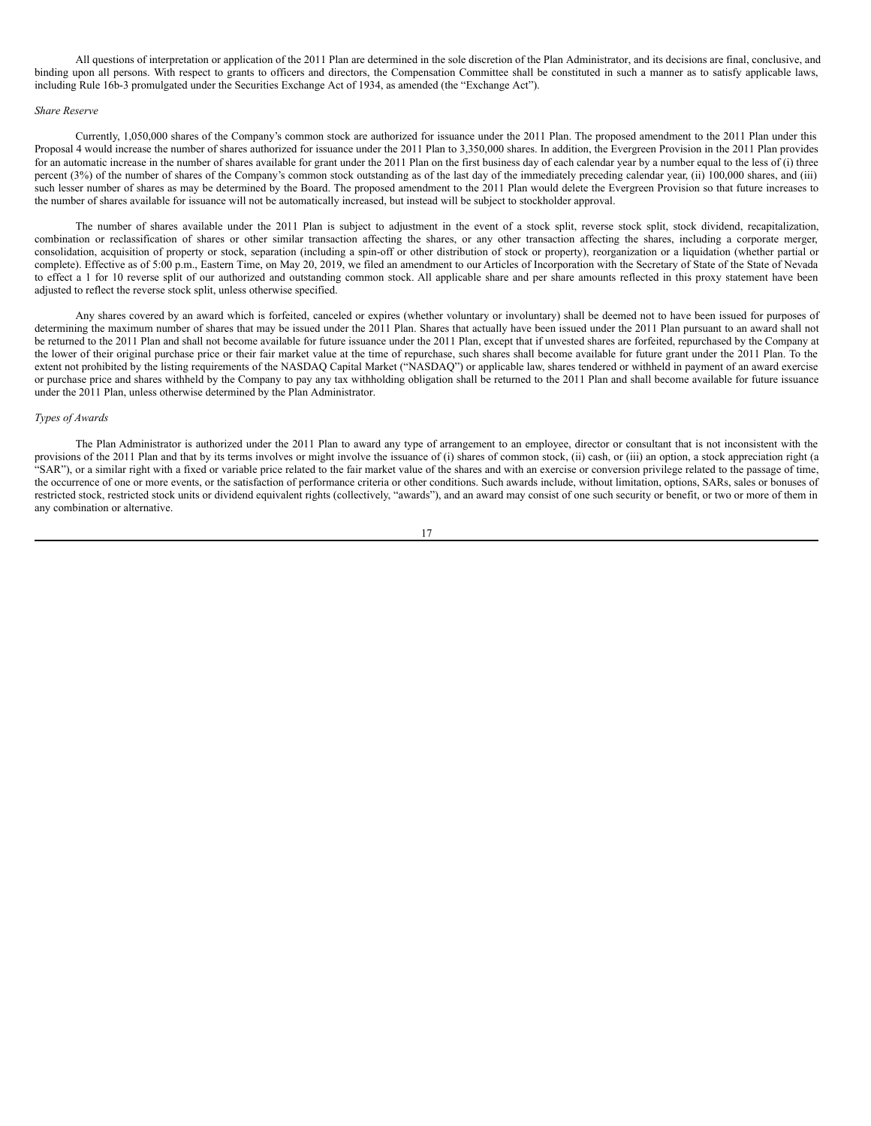All questions of interpretation or application of the 2011 Plan are determined in the sole discretion of the Plan Administrator, and its decisions are final, conclusive, and binding upon all persons. With respect to grants to officers and directors, the Compensation Committee shall be constituted in such a manner as to satisfy applicable laws, including Rule 16b-3 promulgated under the Securities Exchange Act of 1934, as amended (the "Exchange Act").

#### *Share Reserve*

Currently, 1,050,000 shares of the Company's common stock are authorized for issuance under the 2011 Plan. The proposed amendment to the 2011 Plan under this Proposal 4 would increase the number of shares authorized for issuance under the 2011 Plan to 3,350,000 shares. In addition, the Evergreen Provision in the 2011 Plan provides for an automatic increase in the number of shares available for grant under the 2011 Plan on the first business day of each calendar year by a number equal to the less of (i) three percent (3%) of the number of shares of the Company's common stock outstanding as of the last day of the immediately preceding calendar year, (ii) 100,000 shares, and (iii) such lesser number of shares as may be determined by the Board. The proposed amendment to the 2011 Plan would delete the Evergreen Provision so that future increases to the number of shares available for issuance will not be automatically increased, but instead will be subject to stockholder approval.

The number of shares available under the 2011 Plan is subject to adjustment in the event of a stock split, reverse stock split, stock dividend, recapitalization, combination or reclassification of shares or other similar transaction affecting the shares, or any other transaction affecting the shares, including a corporate merger, consolidation, acquisition of property or stock, separation (including a spin-off or other distribution of stock or property), reorganization or a liquidation (whether partial or complete). Effective as of 5:00 p.m., Eastern Time, on May 20, 2019, we filed an amendment to our Articles of Incorporation with the Secretary of State of the State of Nevada to effect a 1 for 10 reverse split of our authorized and outstanding common stock. All applicable share and per share amounts reflected in this proxy statement have been adjusted to reflect the reverse stock split, unless otherwise specified.

Any shares covered by an award which is forfeited, canceled or expires (whether voluntary or involuntary) shall be deemed not to have been issued for purposes of determining the maximum number of shares that may be issued under the 2011 Plan. Shares that actually have been issued under the 2011 Plan pursuant to an award shall not be returned to the 2011 Plan and shall not become available for future issuance under the 2011 Plan, except that if unvested shares are forfeited, repurchased by the Company at the lower of their original purchase price or their fair market value at the time of repurchase, such shares shall become available for future grant under the 2011 Plan. To the extent not prohibited by the listing requirements of the NASDAQ Capital Market ("NASDAQ") or applicable law, shares tendered or withheld in payment of an award exercise or purchase price and shares withheld by the Company to pay any tax withholding obligation shall be returned to the 2011 Plan and shall become available for future issuance under the 2011 Plan, unless otherwise determined by the Plan Administrator.

#### *Types of Awards*

The Plan Administrator is authorized under the 2011 Plan to award any type of arrangement to an employee, director or consultant that is not inconsistent with the provisions of the 2011 Plan and that by its terms involves or might involve the issuance of (i) shares of common stock, (ii) cash, or (iii) an option, a stock appreciation right (a "SAR"), or a similar right with a fixed or variable price related to the fair market value of the shares and with an exercise or conversion privilege related to the passage of time, the occurrence of one or more events, or the satisfaction of performance criteria or other conditions. Such awards include, without limitation, options, SARs, sales or bonuses of restricted stock, restricted stock units or dividend equivalent rights (collectively, "awards"), and an award may consist of one such security or benefit, or two or more of them in any combination or alternative.

17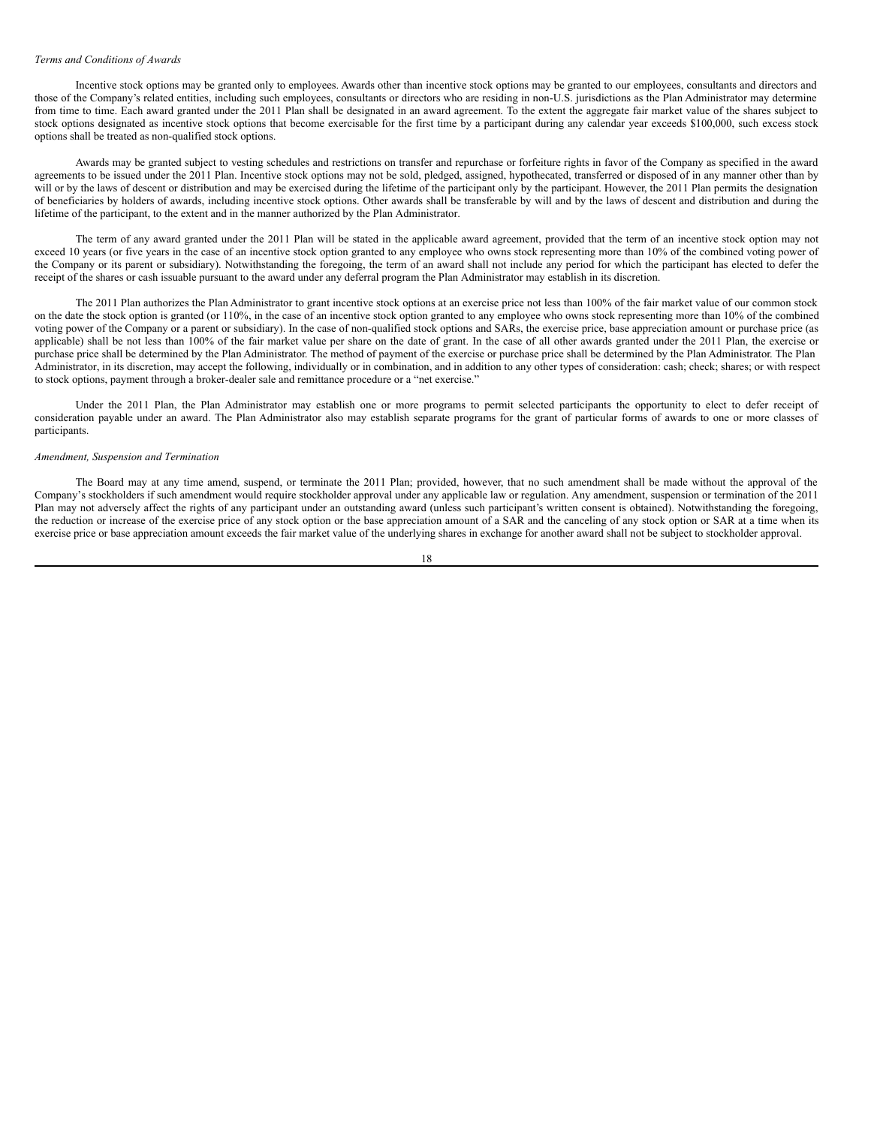#### *Terms and Conditions of Awards*

Incentive stock options may be granted only to employees. Awards other than incentive stock options may be granted to our employees, consultants and directors and those of the Company's related entities, including such employees, consultants or directors who are residing in non-U.S. jurisdictions as the Plan Administrator may determine from time to time. Each award granted under the 2011 Plan shall be designated in an award agreement. To the extent the aggregate fair market value of the shares subject to stock options designated as incentive stock options that become exercisable for the first time by a participant during any calendar year exceeds \$100,000, such excess stock options shall be treated as non-qualified stock options.

Awards may be granted subject to vesting schedules and restrictions on transfer and repurchase or forfeiture rights in favor of the Company as specified in the award agreements to be issued under the 2011 Plan. Incentive stock options may not be sold, pledged, assigned, hypothecated, transferred or disposed of in any manner other than by will or by the laws of descent or distribution and may be exercised during the lifetime of the participant only by the participant. However, the 2011 Plan permits the designation of beneficiaries by holders of awards, including incentive stock options. Other awards shall be transferable by will and by the laws of descent and distribution and during the lifetime of the participant, to the extent and in the manner authorized by the Plan Administrator.

The term of any award granted under the 2011 Plan will be stated in the applicable award agreement, provided that the term of an incentive stock option may not exceed 10 years (or five years in the case of an incentive stock option granted to any employee who owns stock representing more than 10% of the combined voting power of the Company or its parent or subsidiary). Notwithstanding the foregoing, the term of an award shall not include any period for which the participant has elected to defer the receipt of the shares or cash issuable pursuant to the award under any deferral program the Plan Administrator may establish in its discretion.

The 2011 Plan authorizes the Plan Administrator to grant incentive stock options at an exercise price not less than 100% of the fair market value of our common stock on the date the stock option is granted (or 110%, in the case of an incentive stock option granted to any employee who owns stock representing more than 10% of the combined voting power of the Company or a parent or subsidiary). In the case of non-qualified stock options and SARs, the exercise price, base appreciation amount or purchase price (as applicable) shall be not less than 100% of the fair market value per share on the date of grant. In the case of all other awards granted under the 2011 Plan, the exercise or purchase price shall be determined by the Plan Administrator. The method of payment of the exercise or purchase price shall be determined by the Plan Administrator. The Plan Administrator, in its discretion, may accept the following, individually or in combination, and in addition to any other types of consideration: cash; check; shares; or with respect to stock options, payment through a broker-dealer sale and remittance procedure or a "net exercise."

Under the 2011 Plan, the Plan Administrator may establish one or more programs to permit selected participants the opportunity to elect to defer receipt of consideration payable under an award. The Plan Administrator also may establish separate programs for the grant of particular forms of awards to one or more classes of participants.

#### *Amendment, Suspension and Termination*

The Board may at any time amend, suspend, or terminate the 2011 Plan; provided, however, that no such amendment shall be made without the approval of the Company's stockholders if such amendment would require stockholder approval under any applicable law or regulation. Any amendment, suspension or termination of the 2011 Plan may not adversely affect the rights of any participant under an outstanding award (unless such participant's written consent is obtained). Notwithstanding the foregoing, the reduction or increase of the exercise price of any stock option or the base appreciation amount of a SAR and the canceling of any stock option or SAR at a time when its exercise price or base appreciation amount exceeds the fair market value of the underlying shares in exchange for another award shall not be subject to stockholder approval.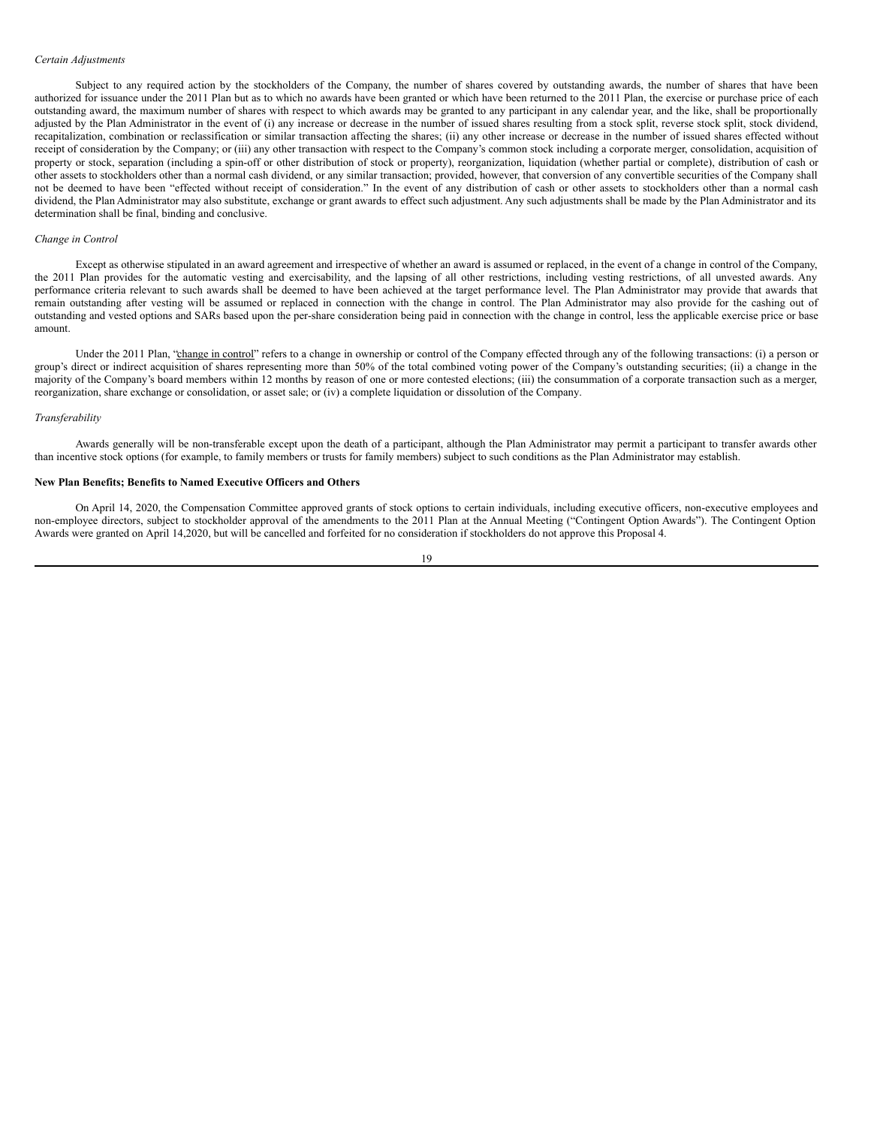#### *Certain Adjustments*

Subject to any required action by the stockholders of the Company, the number of shares covered by outstanding awards, the number of shares that have been authorized for issuance under the 2011 Plan but as to which no awards have been granted or which have been returned to the 2011 Plan, the exercise or purchase price of each outstanding award, the maximum number of shares with respect to which awards may be granted to any participant in any calendar year, and the like, shall be proportionally adjusted by the Plan Administrator in the event of (i) any increase or decrease in the number of issued shares resulting from a stock split, reverse stock split, stock dividend, recapitalization, combination or reclassification or similar transaction affecting the shares; (ii) any other increase or decrease in the number of issued shares effected without receipt of consideration by the Company; or (iii) any other transaction with respect to the Company's common stock including a corporate merger, consolidation, acquisition of property or stock, separation (including a spin-off or other distribution of stock or property), reorganization, liquidation (whether partial or complete), distribution of cash or other assets to stockholders other than a normal cash dividend, or any similar transaction; provided, however, that conversion of any convertible securities of the Company shall not be deemed to have been "effected without receipt of consideration." In the event of any distribution of cash or other assets to stockholders other than a normal cash dividend, the Plan Administrator may also substitute, exchange or grant awards to effect such adjustment. Any such adjustments shall be made by the Plan Administrator and its determination shall be final, binding and conclusive.

#### *Change in Control*

Except as otherwise stipulated in an award agreement and irrespective of whether an award is assumed or replaced, in the event of a change in control of the Company, the 2011 Plan provides for the automatic vesting and exercisability, and the lapsing of all other restrictions, including vesting restrictions, of all unvested awards. Any performance criteria relevant to such awards shall be deemed to have been achieved at the target performance level. The Plan Administrator may provide that awards that remain outstanding after vesting will be assumed or replaced in connection with the change in control. The Plan Administrator may also provide for the cashing out of outstanding and vested options and SARs based upon the per-share consideration being paid in connection with the change in control, less the applicable exercise price or base amount.

Under the 2011 Plan, "change in control" refers to a change in ownership or control of the Company effected through any of the following transactions: (i) a person or group's direct or indirect acquisition of shares representing more than 50% of the total combined voting power of the Company's outstanding securities; (ii) a change in the majority of the Company's board members within 12 months by reason of one or more contested elections; (iii) the consummation of a corporate transaction such as a merger, reorganization, share exchange or consolidation, or asset sale; or (iv) a complete liquidation or dissolution of the Company.

#### *Transferability*

Awards generally will be non-transferable except upon the death of a participant, although the Plan Administrator may permit a participant to transfer awards other than incentive stock options (for example, to family members or trusts for family members) subject to such conditions as the Plan Administrator may establish.

# **New Plan Benefits; Benefits to Named Executive Officers and Others**

On April 14, 2020, the Compensation Committee approved grants of stock options to certain individuals, including executive officers, non-executive employees and non-employee directors, subject to stockholder approval of the amendments to the 2011 Plan at the Annual Meeting ("Contingent Option Awards"). The Contingent Option Awards were granted on April 14,2020, but will be cancelled and forfeited for no consideration if stockholders do not approve this Proposal 4.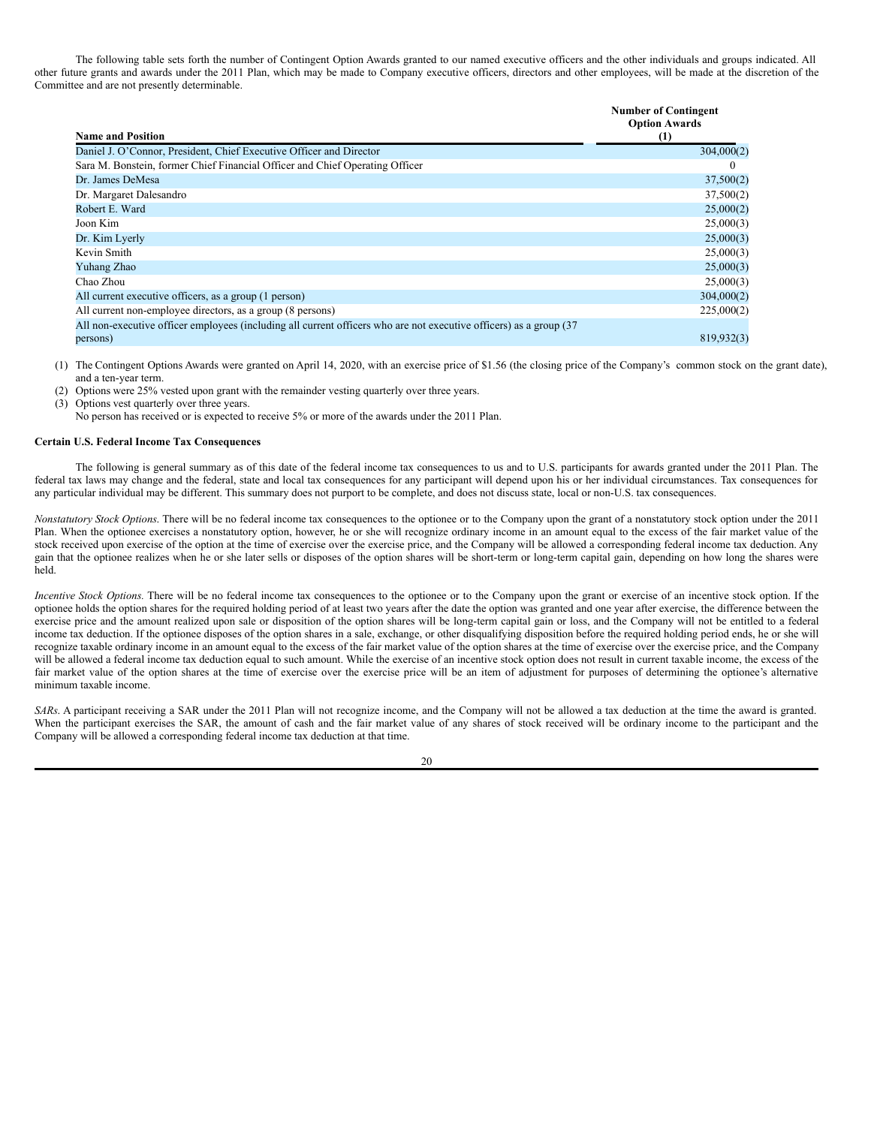The following table sets forth the number of Contingent Option Awards granted to our named executive officers and the other individuals and groups indicated. All other future grants and awards under the 2011 Plan, which may be made to Company executive officers, directors and other employees, will be made at the discretion of the Committee and are not presently determinable.

| <b>Name and Position</b>                                                                                            | <b>Number of Contingent</b><br><b>Option Awards</b><br>(1) |
|---------------------------------------------------------------------------------------------------------------------|------------------------------------------------------------|
| Daniel J. O'Connor, President, Chief Executive Officer and Director                                                 | 304,000(2)                                                 |
| Sara M. Bonstein, former Chief Financial Officer and Chief Operating Officer                                        | $\theta$                                                   |
| Dr. James DeMesa                                                                                                    | 37,500(2)                                                  |
| Dr. Margaret Dalesandro                                                                                             | 37,500(2)                                                  |
| Robert E. Ward                                                                                                      | 25,000(2)                                                  |
| Joon Kim                                                                                                            | 25,000(3)                                                  |
| Dr. Kim Lyerly                                                                                                      | 25,000(3)                                                  |
| Kevin Smith                                                                                                         | 25,000(3)                                                  |
| Yuhang Zhao                                                                                                         | 25,000(3)                                                  |
| Chao Zhou                                                                                                           | 25,000(3)                                                  |
| All current executive officers, as a group (1 person)                                                               | 304,000(2)                                                 |
| All current non-employee directors, as a group (8 persons)                                                          | 225,000(2)                                                 |
| All non-executive officer employees (including all current officers who are not executive officers) as a group (37) |                                                            |
| persons)                                                                                                            | 819,932(3)                                                 |

- (1) The Contingent Options Awards were granted on April 14, 2020, with an exercise price of \$1.56 (the closing price of the Company's common stock on the grant date), and a ten-year term.
- (2) Options were 25% vested upon grant with the remainder vesting quarterly over three years.
- (3) Options vest quarterly over three years.
- No person has received or is expected to receive 5% or more of the awards under the 2011 Plan.

#### **Certain U.S. Federal Income Tax Consequences**

The following is general summary as of this date of the federal income tax consequences to us and to U.S. participants for awards granted under the 2011 Plan. The federal tax laws may change and the federal, state and local tax consequences for any participant will depend upon his or her individual circumstances. Tax consequences for any particular individual may be different. This summary does not purport to be complete, and does not discuss state, local or non-U.S. tax consequences.

*Nonstatutory Stock Options*. There will be no federal income tax consequences to the optionee or to the Company upon the grant of a nonstatutory stock option under the 2011 Plan. When the optionee exercises a nonstatutory option, however, he or she will recognize ordinary income in an amount equal to the excess of the fair market value of the stock received upon exercise of the option at the time of exercise over the exercise price, and the Company will be allowed a corresponding federal income tax deduction. Any gain that the optionee realizes when he or she later sells or disposes of the option shares will be short-term or long-term capital gain, depending on how long the shares were held.

*Incentive Stock Options.* There will be no federal income tax consequences to the optionee or to the Company upon the grant or exercise of an incentive stock option. If the optionee holds the option shares for the required holding period of at least two years after the date the option was granted and one year after exercise, the difference between the exercise price and the amount realized upon sale or disposition of the option shares will be long-term capital gain or loss, and the Company will not be entitled to a federal income tax deduction. If the optionee disposes of the option shares in a sale, exchange, or other disqualifying disposition before the required holding period ends, he or she will recognize taxable ordinary income in an amount equal to the excess of the fair market value of the option shares at the time of exercise over the exercise price, and the Company will be allowed a federal income tax deduction equal to such amount. While the exercise of an incentive stock option does not result in current taxable income, the excess of the fair market value of the option shares at the time of exercise over the exercise price will be an item of adjustment for purposes of determining the optionee's alternative minimum taxable income.

*SARs*. A participant receiving a SAR under the 2011 Plan will not recognize income, and the Company will not be allowed a tax deduction at the time the award is granted. When the participant exercises the SAR, the amount of cash and the fair market value of any shares of stock received will be ordinary income to the participant and the Company will be allowed a corresponding federal income tax deduction at that time.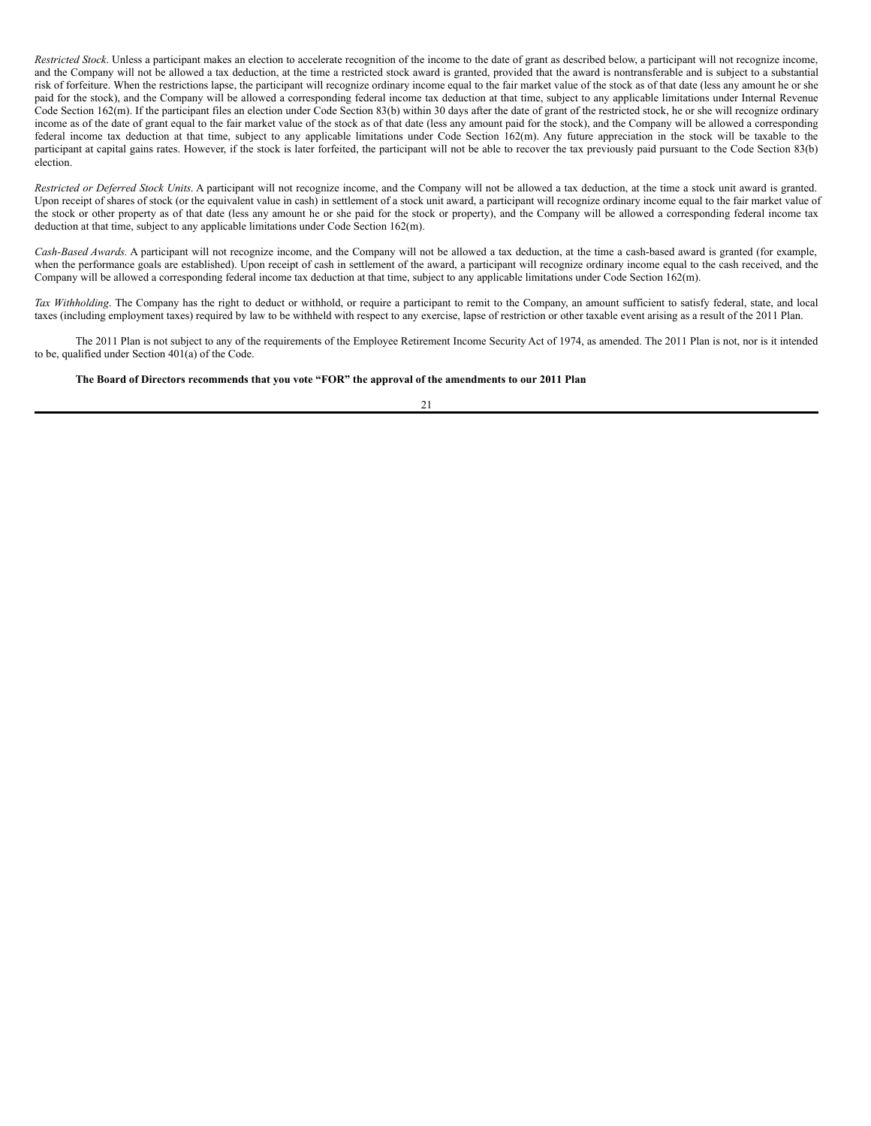*Restricted Stock*. Unless a participant makes an election to accelerate recognition of the income to the date of grant as described below, a participant will not recognize income, and the Company will not be allowed a tax deduction, at the time a restricted stock award is granted, provided that the award is nontransferable and is subject to a substantial risk of forfeiture. When the restrictions lapse, the participant will recognize ordinary income equal to the fair market value of the stock as of that date (less any amount he or she paid for the stock), and the Company will be allowed a corresponding federal income tax deduction at that time, subject to any applicable limitations under Internal Revenue Code Section 162(m). If the participant files an election under Code Section 83(b) within 30 days after the date of grant of the restricted stock, he or she will recognize ordinary income as of the date of grant equal to the fair market value of the stock as of that date (less any amount paid for the stock), and the Company will be allowed a corresponding federal income tax deduction at that time, subject to any applicable limitations under Code Section 162(m). Any future appreciation in the stock will be taxable to the participant at capital gains rates. However, if the stock is later forfeited, the participant will not be able to recover the tax previously paid pursuant to the Code Section 83(b) election.

*Restricted or Deferred Stock Units*. A participant will not recognize income, and the Company will not be allowed a tax deduction, at the time a stock unit award is granted. Upon receipt of shares of stock (or the equivalent value in cash) in settlement of a stock unit award, a participant will recognize ordinary income equal to the fair market value of the stock or other property as of that date (less any amount he or she paid for the stock or property), and the Company will be allowed a corresponding federal income tax deduction at that time, subject to any applicable limitations under Code Section 162(m).

*Cash-Based Awards.* A participant will not recognize income, and the Company will not be allowed a tax deduction, at the time a cash-based award is granted (for example, when the performance goals are established). Upon receipt of cash in settlement of the award, a participant will recognize ordinary income equal to the cash received, and the Company will be allowed a corresponding federal income tax deduction at that time, subject to any applicable limitations under Code Section 162(m).

*Tax Withholding*. The Company has the right to deduct or withhold, or require a participant to remit to the Company, an amount sufficient to satisfy federal, state, and local taxes (including employment taxes) required by law to be withheld with respect to any exercise, lapse of restriction or other taxable event arising as a result of the 2011 Plan.

The 2011 Plan is not subject to any of the requirements of the Employee Retirement Income Security Act of 1974, as amended. The 2011 Plan is not, nor is it intended to be, qualified under Section 401(a) of the Code.

The Board of Directors recommends that you vote "FOR" the approval of the amendments to our 2011 Plan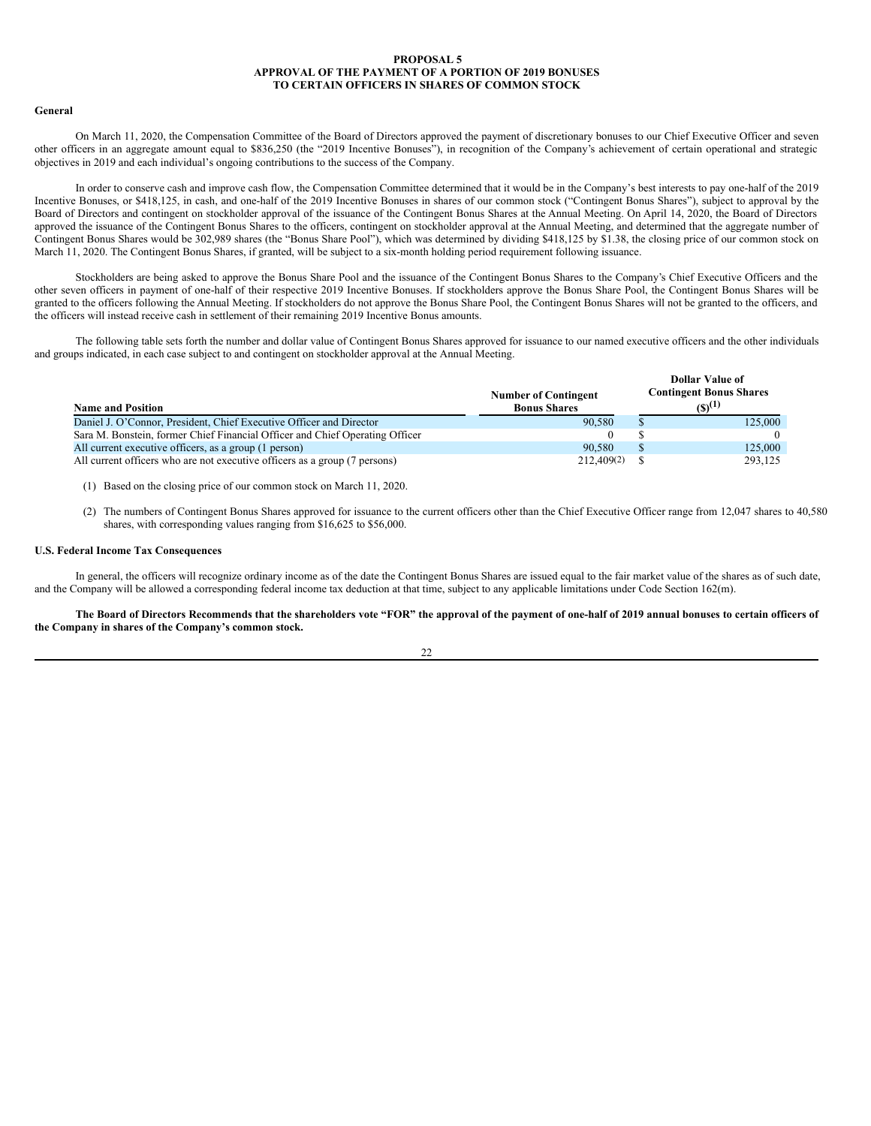## <span id="page-25-0"></span>**PROPOSAL 5 APPROVAL OF THE PAYMENT OF A PORTION OF 2019 BONUSES TO CERTAIN OFFICERS IN SHARES OF COMMON STOCK**

#### **General**

On March 11, 2020, the Compensation Committee of the Board of Directors approved the payment of discretionary bonuses to our Chief Executive Officer and seven other officers in an aggregate amount equal to \$836,250 (the "2019 Incentive Bonuses"), in recognition of the Company's achievement of certain operational and strategic objectives in 2019 and each individual's ongoing contributions to the success of the Company.

In order to conserve cash and improve cash flow, the Compensation Committee determined that it would be in the Company's best interests to pay one-half of the 2019 Incentive Bonuses, or \$418,125, in cash, and one-half of the 2019 Incentive Bonuses in shares of our common stock ("Contingent Bonus Shares"), subject to approval by the Board of Directors and contingent on stockholder approval of the issuance of the Contingent Bonus Shares at the Annual Meeting. On April 14, 2020, the Board of Directors approved the issuance of the Contingent Bonus Shares to the officers, contingent on stockholder approval at the Annual Meeting, and determined that the aggregate number of Contingent Bonus Shares would be 302,989 shares (the "Bonus Share Pool"), which was determined by dividing \$418,125 by \$1.38, the closing price of our common stock on March 11, 2020. The Contingent Bonus Shares, if granted, will be subject to a six-month holding period requirement following issuance.

Stockholders are being asked to approve the Bonus Share Pool and the issuance of the Contingent Bonus Shares to the Company's Chief Executive Officers and the other seven officers in payment of one-half of their respective 2019 Incentive Bonuses. If stockholders approve the Bonus Share Pool, the Contingent Bonus Shares will be granted to the officers following the Annual Meeting. If stockholders do not approve the Bonus Share Pool, the Contingent Bonus Shares will not be granted to the officers, and the officers will instead receive cash in settlement of their remaining 2019 Incentive Bonus amounts.

The following table sets forth the number and dollar value of Contingent Bonus Shares approved for issuance to our named executive officers and the other individuals and groups indicated, in each case subject to and contingent on stockholder approval at the Annual Meeting.

| <b>Name and Position</b>                                                     | <b>Number of Contingent</b><br><b>Bonus Shares</b> | IAHAI YAIUUMI<br><b>Contingent Bonus Shares</b><br>$(S)^{(1)}$ |
|------------------------------------------------------------------------------|----------------------------------------------------|----------------------------------------------------------------|
| Daniel J. O'Connor, President, Chief Executive Officer and Director          | 90.580                                             | 125,000                                                        |
| Sara M. Bonstein, former Chief Financial Officer and Chief Operating Officer |                                                    |                                                                |
| All current executive officers, as a group (1 person)                        | 90.580                                             | 125,000                                                        |
| All current officers who are not executive officers as a group (7 persons)   | 212,409(2)                                         | 293.125                                                        |

(1) Based on the closing price of our common stock on March 11, 2020.

(2) The numbers of Contingent Bonus Shares approved for issuance to the current officers other than the Chief Executive Officer range from 12,047 shares to 40,580 shares, with corresponding values ranging from \$16,625 to \$56,000.

**Dollar Value of**

#### **U.S. Federal Income Tax Consequences**

In general, the officers will recognize ordinary income as of the date the Contingent Bonus Shares are issued equal to the fair market value of the shares as of such date, and the Company will be allowed a corresponding federal income tax deduction at that time, subject to any applicable limitations under Code Section 162(m).

# The Board of Directors Recommends that the shareholders vote "FOR" the approval of the payment of one-half of 2019 annual bonuses to certain officers of **the Company in shares of the Company's common stock.**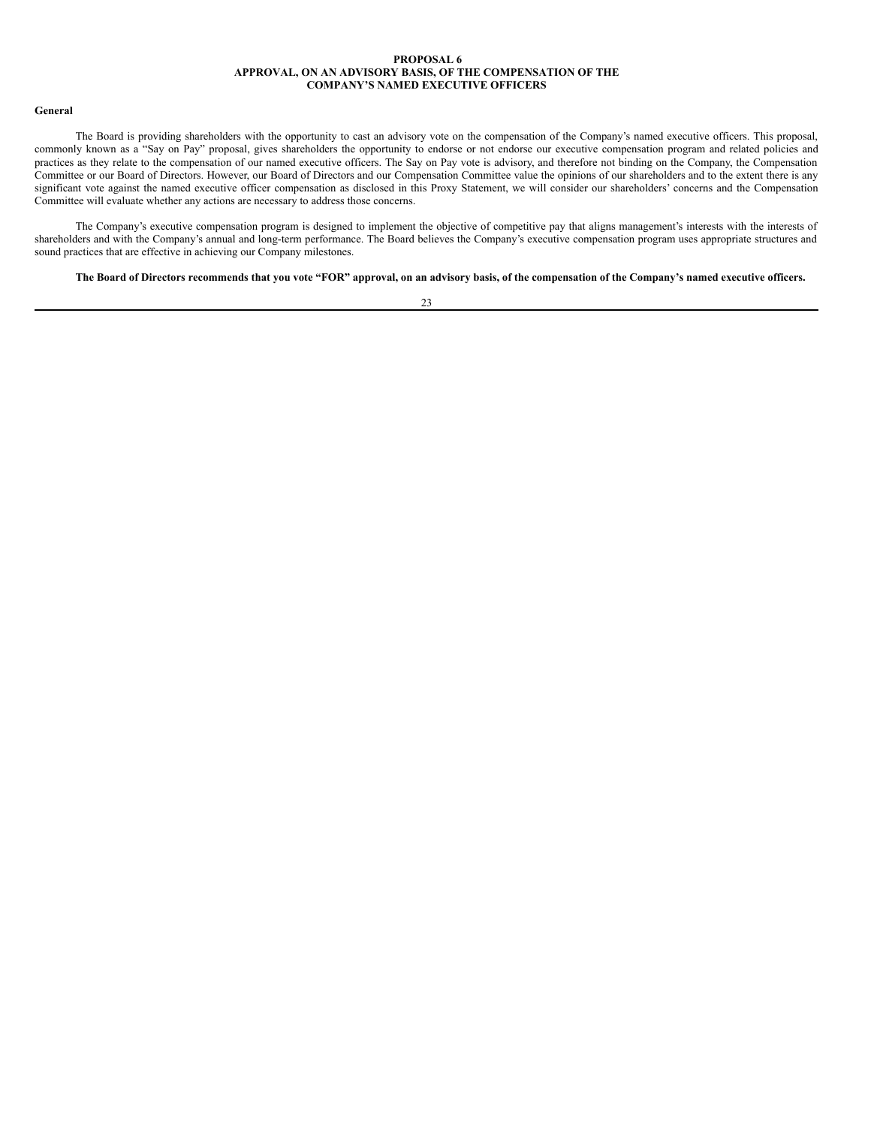## <span id="page-26-0"></span>**PROPOSAL 6 APPROVAL, ON AN ADVISORY BASIS, OF THE COMPENSATION OF THE COMPANY'S NAMED EXECUTIVE OFFICERS**

#### **General**

The Board is providing shareholders with the opportunity to cast an advisory vote on the compensation of the Company's named executive officers. This proposal, commonly known as a "Say on Pay" proposal, gives shareholders the opportunity to endorse or not endorse our executive compensation program and related policies and practices as they relate to the compensation of our named executive officers. The Say on Pay vote is advisory, and therefore not binding on the Company, the Compensation Committee or our Board of Directors. However, our Board of Directors and our Compensation Committee value the opinions of our shareholders and to the extent there is any significant vote against the named executive officer compensation as disclosed in this Proxy Statement, we will consider our shareholders' concerns and the Compensation Committee will evaluate whether any actions are necessary to address those concerns.

The Company's executive compensation program is designed to implement the objective of competitive pay that aligns management's interests with the interests of shareholders and with the Company's annual and long-term performance. The Board believes the Company's executive compensation program uses appropriate structures and sound practices that are effective in achieving our Company milestones.

The Board of Directors recommends that you vote "FOR" approval, on an advisory basis, of the compensation of the Company's named executive officers.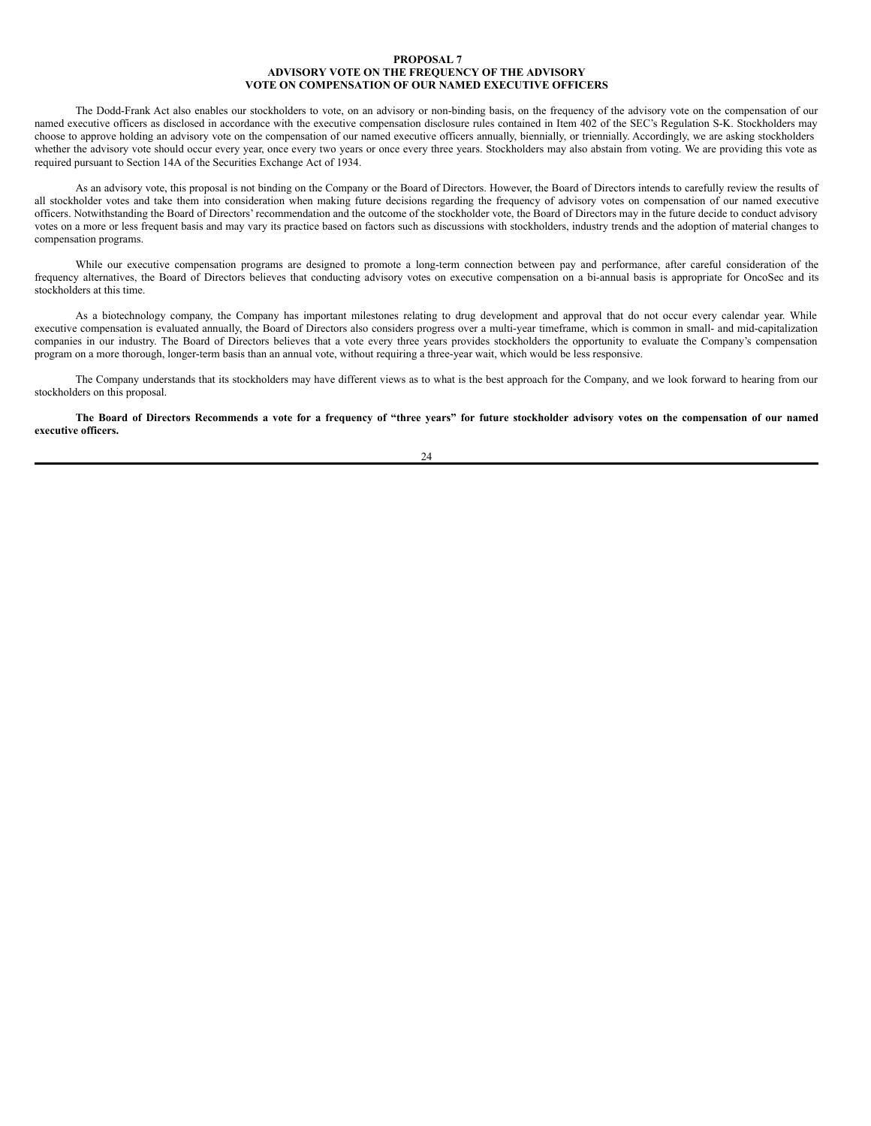### <span id="page-27-0"></span>**PROPOSAL 7 ADVISORY VOTE ON THE FREQUENCY OF THE ADVISORY VOTE ON COMPENSATION OF OUR NAMED EXECUTIVE OFFICERS**

The Dodd-Frank Act also enables our stockholders to vote, on an advisory or non-binding basis, on the frequency of the advisory vote on the compensation of our named executive officers as disclosed in accordance with the executive compensation disclosure rules contained in Item 402 of the SEC's Regulation S-K. Stockholders may choose to approve holding an advisory vote on the compensation of our named executive officers annually, biennially, or triennially. Accordingly, we are asking stockholders whether the advisory vote should occur every year, once every two years or once every three years. Stockholders may also abstain from voting. We are providing this vote as required pursuant to Section 14A of the Securities Exchange Act of 1934.

As an advisory vote, this proposal is not binding on the Company or the Board of Directors. However, the Board of Directors intends to carefully review the results of all stockholder votes and take them into consideration when making future decisions regarding the frequency of advisory votes on compensation of our named executive officers. Notwithstanding the Board of Directors' recommendation and the outcome of the stockholder vote, the Board of Directors may in the future decide to conduct advisory votes on a more or less frequent basis and may vary its practice based on factors such as discussions with stockholders, industry trends and the adoption of material changes to compensation programs.

While our executive compensation programs are designed to promote a long-term connection between pay and performance, after careful consideration of the frequency alternatives, the Board of Directors believes that conducting advisory votes on executive compensation on a bi-annual basis is appropriate for OncoSec and its stockholders at this time.

As a biotechnology company, the Company has important milestones relating to drug development and approval that do not occur every calendar year. While executive compensation is evaluated annually, the Board of Directors also considers progress over a multi-year timeframe, which is common in small- and mid-capitalization companies in our industry. The Board of Directors believes that a vote every three years provides stockholders the opportunity to evaluate the Company's compensation program on a more thorough, longer-term basis than an annual vote, without requiring a three-year wait, which would be less responsive.

The Company understands that its stockholders may have different views as to what is the best approach for the Company, and we look forward to hearing from our stockholders on this proposal.

The Board of Directors Recommends a vote for a frequency of "three years" for future stockholder advisory votes on the compensation of our named **executive officers.**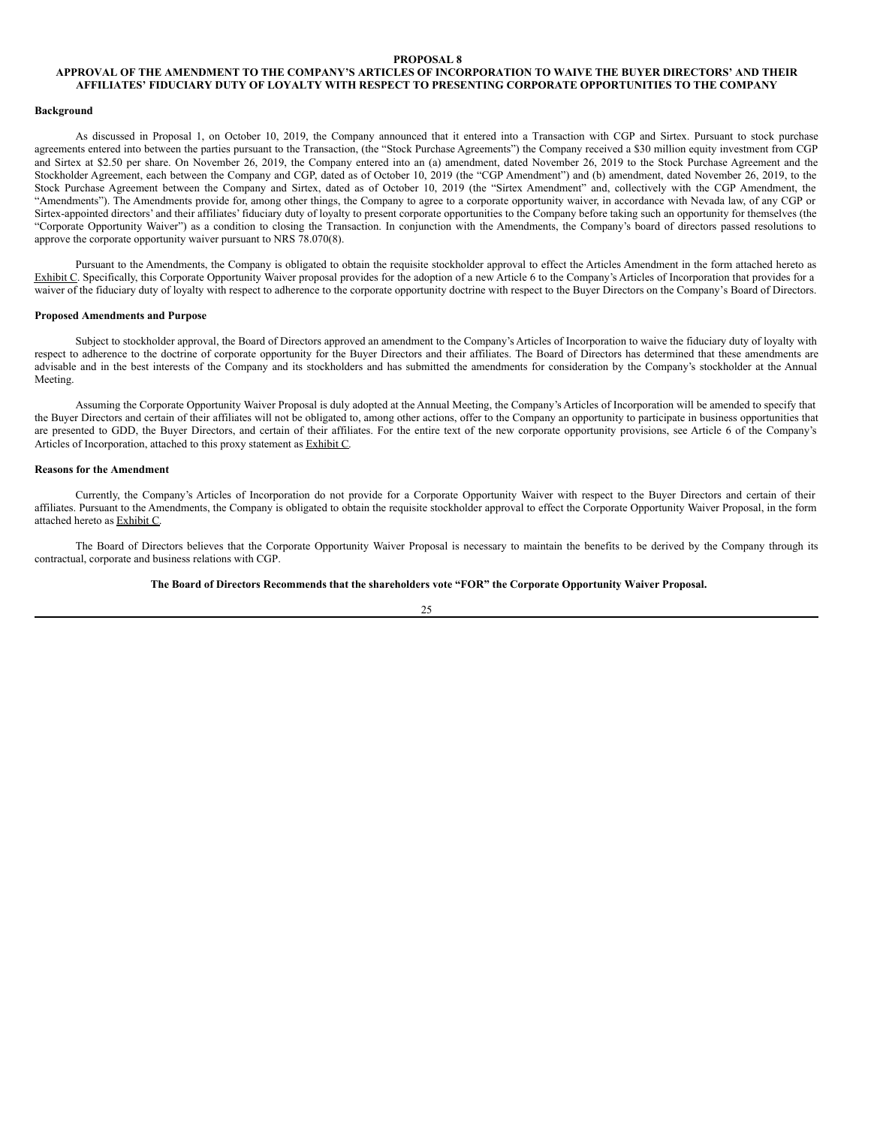## <span id="page-28-0"></span>**PROPOSAL 8**

# APPROVAL OF THE AMENDMENT TO THE COMPANY'S ARTICLES OF INCORPORATION TO WAIVE THE BUYER DIRECTORS' AND THEIR **AFFILIATES' FIDUCIARY DUTY OF LOYALTY WITH RESPECT TO PRESENTING CORPORATE OPPORTUNITIES TO THE COMPANY**

#### **Background**

As discussed in Proposal 1, on October 10, 2019, the Company announced that it entered into a Transaction with CGP and Sirtex. Pursuant to stock purchase agreements entered into between the parties pursuant to the Transaction, (the "Stock Purchase Agreements") the Company received a \$30 million equity investment from CGP and Sirtex at \$2.50 per share. On November 26, 2019, the Company entered into an (a) amendment, dated November 26, 2019 to the Stock Purchase Agreement and the Stockholder Agreement, each between the Company and CGP, dated as of October 10, 2019 (the "CGP Amendment") and (b) amendment, dated November 26, 2019, to the Stock Purchase Agreement between the Company and Sirtex, dated as of October 10, 2019 (the "Sirtex Amendment" and, collectively with the CGP Amendment, the "Amendments"). The Amendments provide for, among other things, the Company to agree to a corporate opportunity waiver, in accordance with Nevada law, of any CGP or Sirtex-appointed directors' and their affiliates' fiduciary duty of loyalty to present corporate opportunities to the Company before taking such an opportunity for themselves (the "Corporate Opportunity Waiver") as a condition to closing the Transaction. In conjunction with the Amendments, the Company's board of directors passed resolutions to approve the corporate opportunity waiver pursuant to NRS 78.070(8).

Pursuant to the Amendments, the Company is obligated to obtain the requisite stockholder approval to effect the Articles Amendment in the form attached hereto as Exhibit C. Specifically, this Corporate Opportunity Waiver proposal provides for the adoption of a new Article 6 to the Company's Articles of Incorporation that provides for a waiver of the fiduciary duty of loyalty with respect to adherence to the corporate opportunity doctrine with respect to the Buyer Directors on the Company's Board of Directors.

# **Proposed Amendments and Purpose**

Subject to stockholder approval, the Board of Directors approved an amendment to the Company's Articles of Incorporation to waive the fiduciary duty of loyalty with respect to adherence to the doctrine of corporate opportunity for the Buyer Directors and their affiliates. The Board of Directors has determined that these amendments are advisable and in the best interests of the Company and its stockholders and has submitted the amendments for consideration by the Company's stockholder at the Annual Meeting.

Assuming the Corporate Opportunity Waiver Proposal is duly adopted at the Annual Meeting, the Company's Articles of Incorporation will be amended to specify that the Buyer Directors and certain of their affiliates will not be obligated to, among other actions, offer to the Company an opportunity to participate in business opportunities that are presented to GDD, the Buyer Directors, and certain of their affiliates. For the entire text of the new corporate opportunity provisions, see Article 6 of the Company's Articles of Incorporation, attached to this proxy statement as Exhibit C.

## **Reasons for the Amendment**

Currently, the Company's Articles of Incorporation do not provide for a Corporate Opportunity Waiver with respect to the Buyer Directors and certain of their affiliates. Pursuant to the Amendments, the Company is obligated to obtain the requisite stockholder approval to effect the Corporate Opportunity Waiver Proposal, in the form attached hereto as Exhibit C.

The Board of Directors believes that the Corporate Opportunity Waiver Proposal is necessary to maintain the benefits to be derived by the Company through its contractual, corporate and business relations with CGP.

## **The Board of Directors Recommends that the shareholders vote "FOR" the Corporate Opportunity Waiver Proposal.**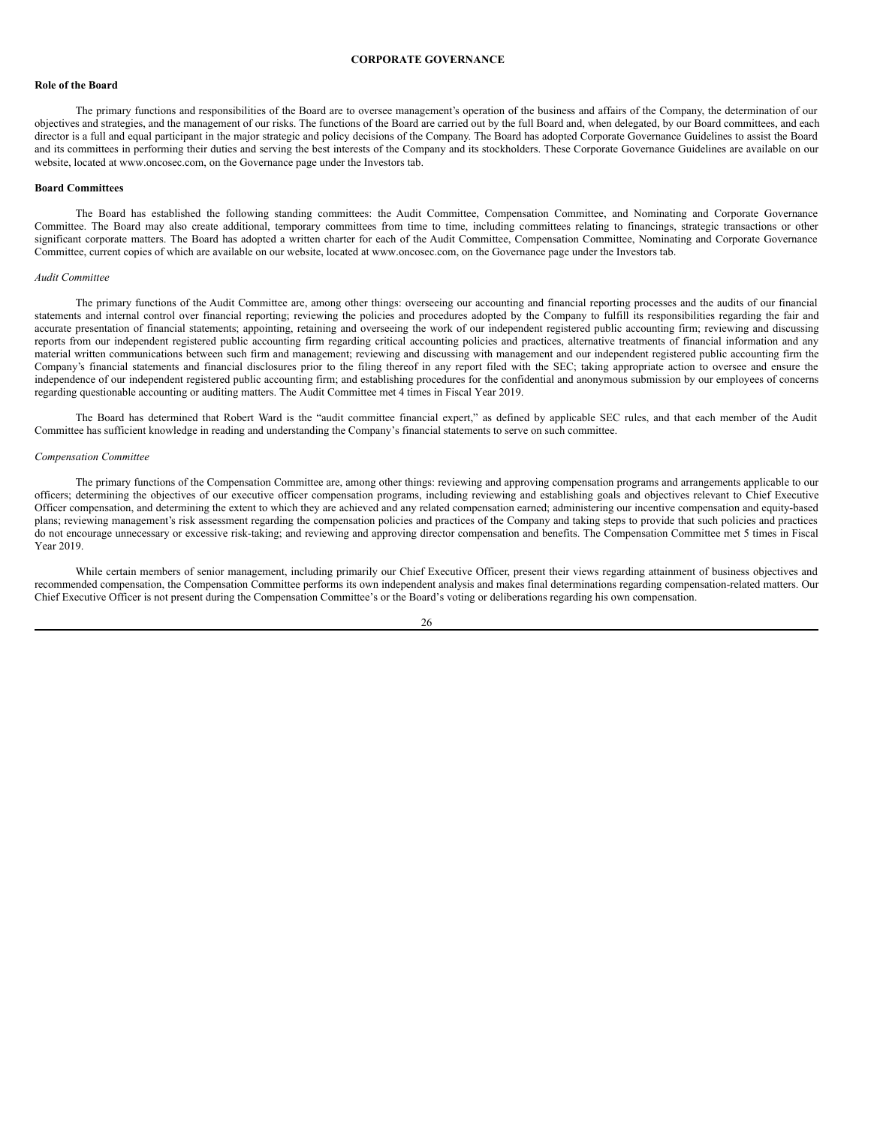#### <span id="page-29-0"></span>**CORPORATE GOVERNANCE**

#### **Role of the Board**

The primary functions and responsibilities of the Board are to oversee management's operation of the business and affairs of the Company, the determination of our objectives and strategies, and the management of our risks. The functions of the Board are carried out by the full Board and, when delegated, by our Board committees, and each director is a full and equal participant in the major strategic and policy decisions of the Company. The Board has adopted Corporate Governance Guidelines to assist the Board and its committees in performing their duties and serving the best interests of the Company and its stockholders. These Corporate Governance Guidelines are available on our website, located at www.oncosec.com, on the Governance page under the Investors tab.

# **Board Committees**

The Board has established the following standing committees: the Audit Committee, Compensation Committee, and Nominating and Corporate Governance Committee. The Board may also create additional, temporary committees from time to time, including committees relating to financings, strategic transactions or other significant corporate matters. The Board has adopted a written charter for each of the Audit Committee, Compensation Committee, Nominating and Corporate Governance Committee, current copies of which are available on our website, located at www.oncosec.com, on the Governance page under the Investors tab.

## *Audit Committee*

The primary functions of the Audit Committee are, among other things: overseeing our accounting and financial reporting processes and the audits of our financial statements and internal control over financial reporting; reviewing the policies and procedures adopted by the Company to fulfill its responsibilities regarding the fair and accurate presentation of financial statements; appointing, retaining and overseeing the work of our independent registered public accounting firm; reviewing and discussing reports from our independent registered public accounting firm regarding critical accounting policies and practices, alternative treatments of financial information and any material written communications between such firm and management; reviewing and discussing with management and our independent registered public accounting firm the Company's financial statements and financial disclosures prior to the filing thereof in any report filed with the SEC; taking appropriate action to oversee and ensure the independence of our independent registered public accounting firm; and establishing procedures for the confidential and anonymous submission by our employees of concerns regarding questionable accounting or auditing matters. The Audit Committee met 4 times in Fiscal Year 2019.

The Board has determined that Robert Ward is the "audit committee financial expert," as defined by applicable SEC rules, and that each member of the Audit Committee has sufficient knowledge in reading and understanding the Company's financial statements to serve on such committee.

#### *Compensation Committee*

The primary functions of the Compensation Committee are, among other things: reviewing and approving compensation programs and arrangements applicable to our officers; determining the objectives of our executive officer compensation programs, including reviewing and establishing goals and objectives relevant to Chief Executive Officer compensation, and determining the extent to which they are achieved and any related compensation earned; administering our incentive compensation and equity-based plans; reviewing management's risk assessment regarding the compensation policies and practices of the Company and taking steps to provide that such policies and practices do not encourage unnecessary or excessive risk-taking; and reviewing and approving director compensation and benefits. The Compensation Committee met 5 times in Fiscal Year 2019.

While certain members of senior management, including primarily our Chief Executive Officer, present their views regarding attainment of business objectives and recommended compensation, the Compensation Committee performs its own independent analysis and makes final determinations regarding compensation-related matters. Our Chief Executive Officer is not present during the Compensation Committee's or the Board's voting or deliberations regarding his own compensation.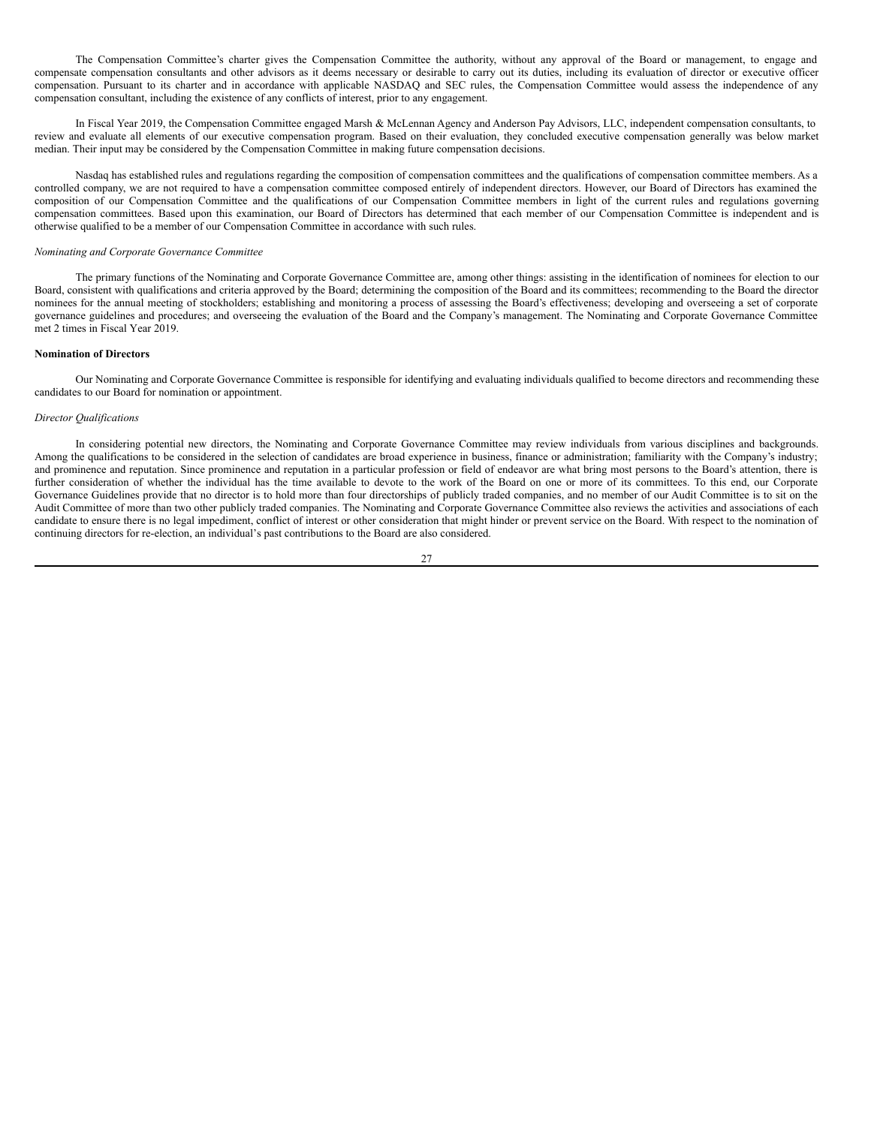The Compensation Committee's charter gives the Compensation Committee the authority, without any approval of the Board or management, to engage and compensate compensation consultants and other advisors as it deems necessary or desirable to carry out its duties, including its evaluation of director or executive officer compensation. Pursuant to its charter and in accordance with applicable NASDAQ and SEC rules, the Compensation Committee would assess the independence of any compensation consultant, including the existence of any conflicts of interest, prior to any engagement.

In Fiscal Year 2019, the Compensation Committee engaged Marsh & McLennan Agency and Anderson Pay Advisors, LLC, independent compensation consultants, to review and evaluate all elements of our executive compensation program. Based on their evaluation, they concluded executive compensation generally was below market median. Their input may be considered by the Compensation Committee in making future compensation decisions.

Nasdaq has established rules and regulations regarding the composition of compensation committees and the qualifications of compensation committee members. As a controlled company, we are not required to have a compensation committee composed entirely of independent directors. However, our Board of Directors has examined the composition of our Compensation Committee and the qualifications of our Compensation Committee members in light of the current rules and regulations governing compensation committees. Based upon this examination, our Board of Directors has determined that each member of our Compensation Committee is independent and is otherwise qualified to be a member of our Compensation Committee in accordance with such rules.

## *Nominating and Corporate Governance Committee*

The primary functions of the Nominating and Corporate Governance Committee are, among other things: assisting in the identification of nominees for election to our Board, consistent with qualifications and criteria approved by the Board; determining the composition of the Board and its committees; recommending to the Board the director nominees for the annual meeting of stockholders; establishing and monitoring a process of assessing the Board's effectiveness; developing and overseeing a set of corporate governance guidelines and procedures; and overseeing the evaluation of the Board and the Company's management. The Nominating and Corporate Governance Committee met 2 times in Fiscal Year 2019.

# **Nomination of Directors**

Our Nominating and Corporate Governance Committee is responsible for identifying and evaluating individuals qualified to become directors and recommending these candidates to our Board for nomination or appointment.

#### *Director Qualifications*

In considering potential new directors, the Nominating and Corporate Governance Committee may review individuals from various disciplines and backgrounds. Among the qualifications to be considered in the selection of candidates are broad experience in business, finance or administration; familiarity with the Company's industry; and prominence and reputation. Since prominence and reputation in a particular profession or field of endeavor are what bring most persons to the Board's attention, there is further consideration of whether the individual has the time available to devote to the work of the Board on one or more of its committees. To this end, our Corporate Governance Guidelines provide that no director is to hold more than four directorships of publicly traded companies, and no member of our Audit Committee is to sit on the Audit Committee of more than two other publicly traded companies. The Nominating and Corporate Governance Committee also reviews the activities and associations of each candidate to ensure there is no legal impediment, conflict of interest or other consideration that might hinder or prevent service on the Board. With respect to the nomination of continuing directors for re-election, an individual's past contributions to the Board are also considered.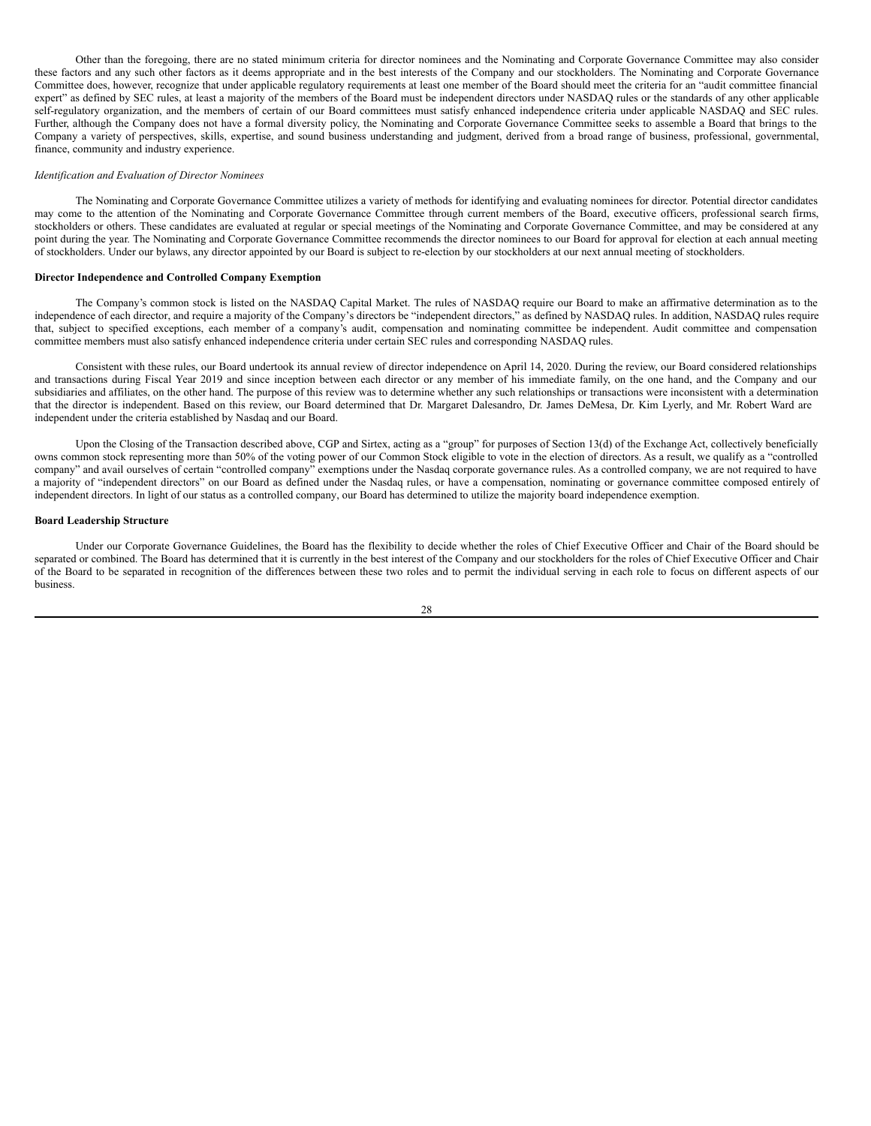Other than the foregoing, there are no stated minimum criteria for director nominees and the Nominating and Corporate Governance Committee may also consider these factors and any such other factors as it deems appropriate and in the best interests of the Company and our stockholders. The Nominating and Corporate Governance Committee does, however, recognize that under applicable regulatory requirements at least one member of the Board should meet the criteria for an "audit committee financial expert" as defined by SEC rules, at least a majority of the members of the Board must be independent directors under NASDAQ rules or the standards of any other applicable self-regulatory organization, and the members of certain of our Board committees must satisfy enhanced independence criteria under applicable NASDAQ and SEC rules. Further, although the Company does not have a formal diversity policy, the Nominating and Corporate Governance Committee seeks to assemble a Board that brings to the Company a variety of perspectives, skills, expertise, and sound business understanding and judgment, derived from a broad range of business, professional, governmental, finance, community and industry experience.

#### *Identification and Evaluation of Director Nominees*

The Nominating and Corporate Governance Committee utilizes a variety of methods for identifying and evaluating nominees for director. Potential director candidates may come to the attention of the Nominating and Corporate Governance Committee through current members of the Board, executive officers, professional search firms, stockholders or others. These candidates are evaluated at regular or special meetings of the Nominating and Corporate Governance Committee, and may be considered at any point during the year. The Nominating and Corporate Governance Committee recommends the director nominees to our Board for approval for election at each annual meeting of stockholders. Under our bylaws, any director appointed by our Board is subject to re-election by our stockholders at our next annual meeting of stockholders.

## **Director Independence and Controlled Company Exemption**

The Company's common stock is listed on the NASDAQ Capital Market. The rules of NASDAQ require our Board to make an affirmative determination as to the independence of each director, and require a majority of the Company's directors be "independent directors," as defined by NASDAQ rules. In addition, NASDAQ rules require that, subject to specified exceptions, each member of a company's audit, compensation and nominating committee be independent. Audit committee and compensation committee members must also satisfy enhanced independence criteria under certain SEC rules and corresponding NASDAQ rules.

Consistent with these rules, our Board undertook its annual review of director independence on April 14, 2020. During the review, our Board considered relationships and transactions during Fiscal Year 2019 and since inception between each director or any member of his immediate family, on the one hand, and the Company and our subsidiaries and affiliates, on the other hand. The purpose of this review was to determine whether any such relationships or transactions were inconsistent with a determination that the director is independent. Based on this review, our Board determined that Dr. Margaret Dalesandro, Dr. James DeMesa, Dr. Kim Lyerly, and Mr. Robert Ward are independent under the criteria established by Nasdaq and our Board.

Upon the Closing of the Transaction described above, CGP and Sirtex, acting as a "group" for purposes of Section 13(d) of the Exchange Act, collectively beneficially owns common stock representing more than 50% of the voting power of our Common Stock eligible to vote in the election of directors. As a result, we qualify as a "controlled company" and avail ourselves of certain "controlled company" exemptions under the Nasdaq corporate governance rules. As a controlled company, we are not required to have a majority of "independent directors" on our Board as defined under the Nasdaq rules, or have a compensation, nominating or governance committee composed entirely of independent directors. In light of our status as a controlled company, our Board has determined to utilize the majority board independence exemption.

# **Board Leadership Structure**

Under our Corporate Governance Guidelines, the Board has the flexibility to decide whether the roles of Chief Executive Officer and Chair of the Board should be separated or combined. The Board has determined that it is currently in the best interest of the Company and our stockholders for the roles of Chief Executive Officer and Chair of the Board to be separated in recognition of the differences between these two roles and to permit the individual serving in each role to focus on different aspects of our business.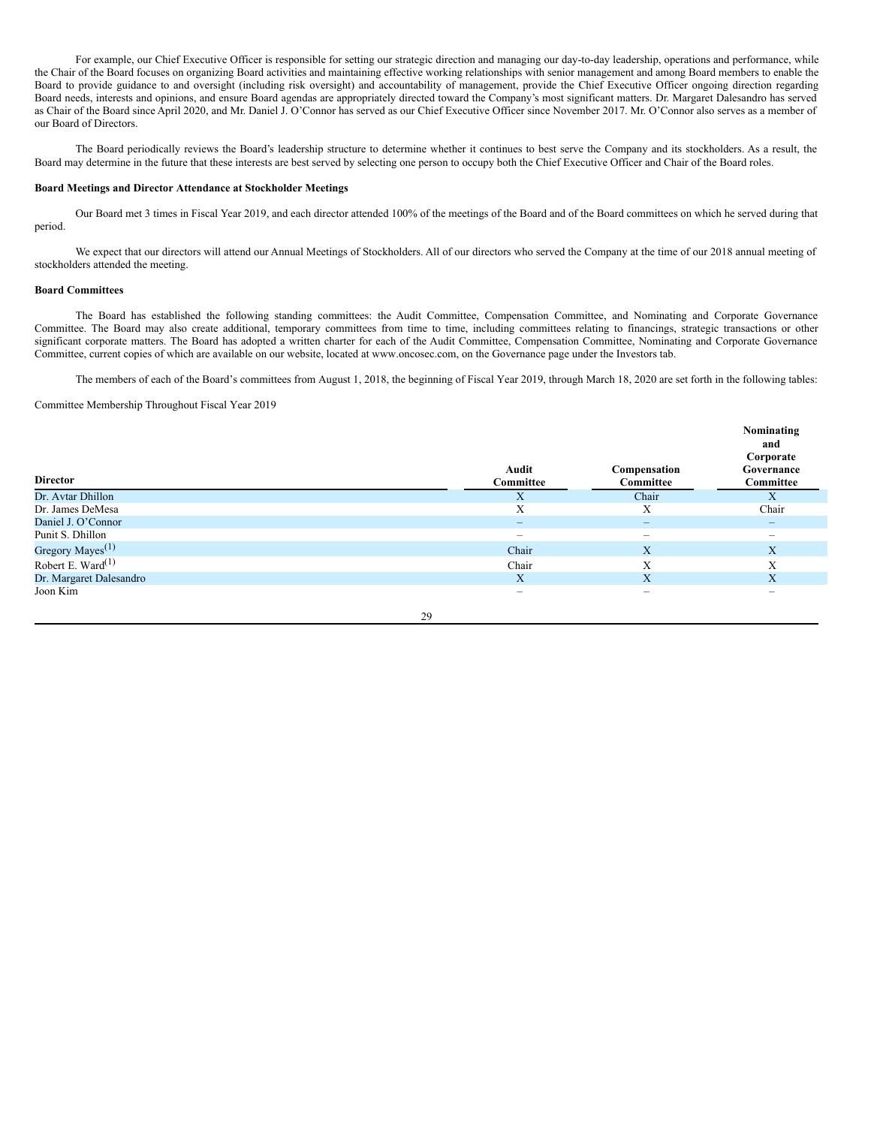For example, our Chief Executive Officer is responsible for setting our strategic direction and managing our day-to-day leadership, operations and performance, while the Chair of the Board focuses on organizing Board activities and maintaining effective working relationships with senior management and among Board members to enable the Board to provide guidance to and oversight (including risk oversight) and accountability of management, provide the Chief Executive Officer ongoing direction regarding Board needs, interests and opinions, and ensure Board agendas are appropriately directed toward the Company's most significant matters. Dr. Margaret Dalesandro has served as Chair of the Board since April 2020, and Mr. Daniel J. O'Connor has served as our Chief Executive Officer since November 2017. Mr. O'Connor also serves as a member of our Board of Directors.

The Board periodically reviews the Board's leadership structure to determine whether it continues to best serve the Company and its stockholders. As a result, the Board may determine in the future that these interests are best served by selecting one person to occupy both the Chief Executive Officer and Chair of the Board roles.

## **Board Meetings and Director Attendance at Stockholder Meetings**

Our Board met 3 times in Fiscal Year 2019, and each director attended 100% of the meetings of the Board and of the Board committees on which he served during that period.

We expect that our directors will attend our Annual Meetings of Stockholders. All of our directors who served the Company at the time of our 2018 annual meeting of stockholders attended the meeting.

# **Board Committees**

The Board has established the following standing committees: the Audit Committee, Compensation Committee, and Nominating and Corporate Governance Committee. The Board may also create additional, temporary committees from time to time, including committees relating to financings, strategic transactions or other significant corporate matters. The Board has adopted a written charter for each of the Audit Committee, Compensation Committee, Nominating and Corporate Governance Committee, current copies of which are available on our website, located at www.oncosec.com, on the Governance page under the Investors tab.

The members of each of the Board's committees from August 1, 2018, the beginning of Fiscal Year 2019, through March 18, 2020 are set forth in the following tables:

Committee Membership Throughout Fiscal Year 2019

| <b>Director</b>               |    | Audit<br>Committee       | Compensation<br>Committee | Nominating<br>and<br>Corporate<br>Governance<br>Committee                 |
|-------------------------------|----|--------------------------|---------------------------|---------------------------------------------------------------------------|
| Dr. Avtar Dhillon             |    | X                        | Chair                     | X                                                                         |
| Dr. James DeMesa              |    | Χ                        | X                         | Chair                                                                     |
| Daniel J. O'Connor            |    | -                        | $-$                       | $\overline{\phantom{0}}$                                                  |
| Punit S. Dhillon              |    | $\overline{\phantom{a}}$ | $\overline{\phantom{0}}$  | $\hspace{1.0cm} \rule{1.5cm}{0.15cm} \hspace{1.0cm} \rule{1.5cm}{0.15cm}$ |
| Gregory Mayes <sup>(1)</sup>  |    | Chair                    | X                         | X                                                                         |
| Robert E. Ward <sup>(1)</sup> |    | Chair                    | Х                         | X                                                                         |
| Dr. Margaret Dalesandro       |    | X                        | X                         | X                                                                         |
| Joon Kim                      |    | $\overline{\phantom{a}}$ | $\hspace{0.05cm}$         | $\overline{\phantom{a}}$                                                  |
|                               | 29 |                          |                           |                                                                           |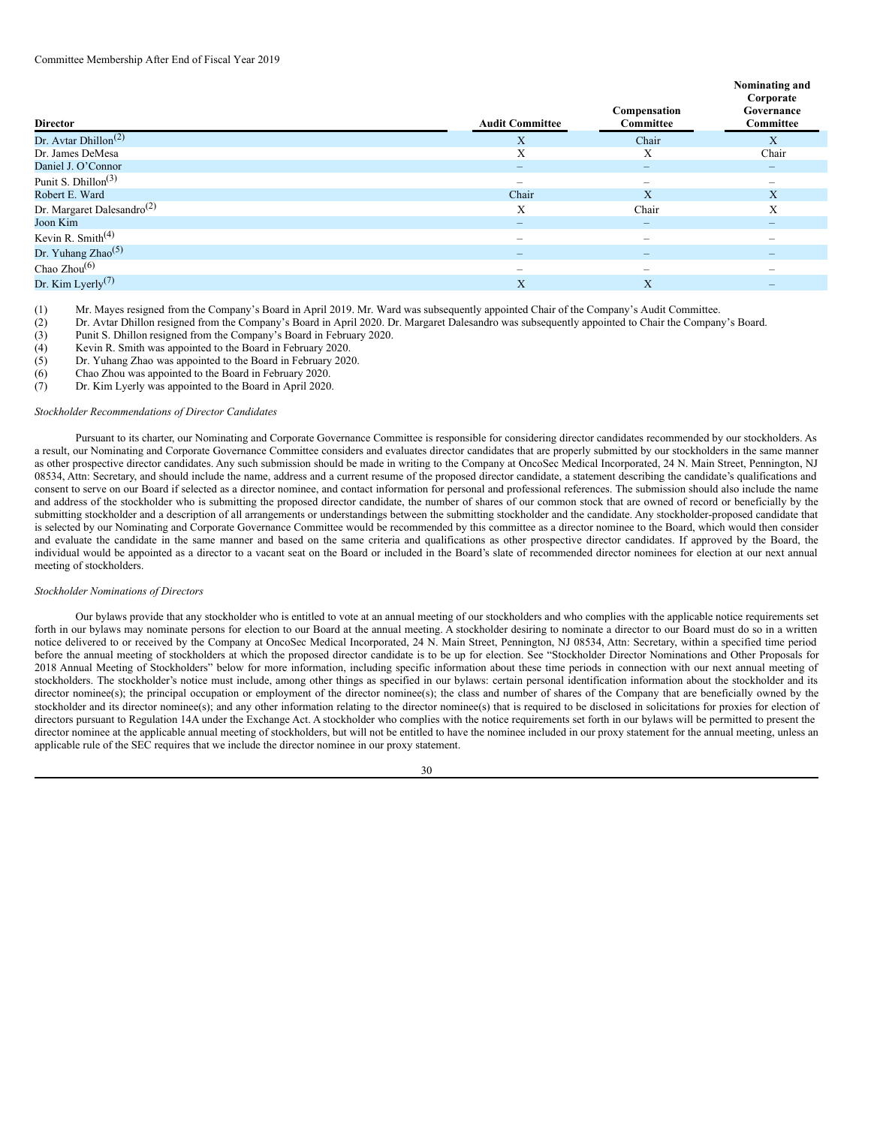| <b>Director</b>                               | <b>Audit Committee</b>   | Compensation<br>Committee                                                 | Nominating and<br>Corporate<br>Governance<br>Committee |
|-----------------------------------------------|--------------------------|---------------------------------------------------------------------------|--------------------------------------------------------|
| Dr. Avtar Dhillon <sup><math>(2)</math></sup> | X                        | Chair                                                                     | X                                                      |
| Dr. James DeMesa                              | X                        | Χ                                                                         | Chair                                                  |
| Daniel J. O'Connor                            |                          |                                                                           | $\overline{\phantom{0}}$                               |
| Punit S. Dhillon <sup><math>(3)</math></sup>  | $\hspace{0.05cm}$        | $\hspace{1.0cm} \rule{1.5cm}{0.15cm} \hspace{1.0cm} \rule{1.5cm}{0.15cm}$ |                                                        |
| Robert E. Ward                                | Chair                    | X                                                                         | X                                                      |
| Dr. Margaret Dalesandro <sup>(2)</sup>        | X                        | Chair                                                                     | Χ                                                      |
| Joon Kim                                      | $\overline{\phantom{a}}$ | $\overline{\phantom{0}}$                                                  | $\overline{\phantom{0}}$                               |
| Kevin R. Smith $(4)$                          | -                        | $\overline{\phantom{a}}$                                                  | $\overline{\phantom{a}}$                               |
| Dr. Yuhang Zhao <sup>(5)</sup>                | $\qquad \qquad -$        | $\qquad \qquad -$                                                         | $\overline{\phantom{0}}$                               |
| Chao $Zhou(6)$                                | $\overline{\phantom{a}}$ | $\hspace{1.0cm} \rule{1.5cm}{0.15cm} \hspace{1.0cm} \rule{1.5cm}{0.15cm}$ |                                                        |
| Dr. Kim Lyerly <sup>(7)</sup>                 | X                        | X                                                                         | $\overline{\phantom{0}}$                               |

(1) Mr. Mayes resigned from the Company's Board in April 2019. Mr. Ward was subsequently appointed Chair of the Company's Audit Committee.

- (2) Dr. Avtar Dhillon resigned from the Company's Board in April 2020. Dr. Margaret Dalesandro was subsequently appointed to Chair the Company's Board.<br>(3) Punit S. Dhillon resigned from the Company's Board in February 202
- Punit S. Dhillon resigned from the Company's Board in February 2020.
- 
- (4) Kevin R. Smith was appointed to the Board in February 2020. Dr. Yuhang Zhao was appointed to the Board in February 2020.
- (6) Chao Zhou was appointed to the Board in February 2020.
- (7) Dr. Kim Lyerly was appointed to the Board in April 2020.

# *Stockholder Recommendations of Director Candidates*

Pursuant to its charter, our Nominating and Corporate Governance Committee is responsible for considering director candidates recommended by our stockholders. As a result, our Nominating and Corporate Governance Committee considers and evaluates director candidates that are properly submitted by our stockholders in the same manner as other prospective director candidates. Any such submission should be made in writing to the Company at OncoSec Medical Incorporated, 24 N. Main Street, Pennington, NJ 08534, Attn: Secretary, and should include the name, address and a current resume of the proposed director candidate, a statement describing the candidate's qualifications and consent to serve on our Board if selected as a director nominee, and contact information for personal and professional references. The submission should also include the name and address of the stockholder who is submitting the proposed director candidate, the number of shares of our common stock that are owned of record or beneficially by the submitting stockholder and a description of all arrangements or understandings between the submitting stockholder and the candidate. Any stockholder-proposed candidate that is selected by our Nominating and Corporate Governance Committee would be recommended by this committee as a director nominee to the Board, which would then consider and evaluate the candidate in the same manner and based on the same criteria and qualifications as other prospective director candidates. If approved by the Board, the individual would be appointed as a director to a vacant seat on the Board or included in the Board's slate of recommended director nominees for election at our next annual meeting of stockholders.

#### *Stockholder Nominations of Directors*

Our bylaws provide that any stockholder who is entitled to vote at an annual meeting of our stockholders and who complies with the applicable notice requirements set forth in our bylaws may nominate persons for election to our Board at the annual meeting. A stockholder desiring to nominate a director to our Board must do so in a written notice delivered to or received by the Company at OncoSec Medical Incorporated, 24 N. Main Street, Pennington, NJ 08534, Attn: Secretary, within a specified time period before the annual meeting of stockholders at which the proposed director candidate is to be up for election. See "Stockholder Director Nominations and Other Proposals for 2018 Annual Meeting of Stockholders" below for more information, including specific information about these time periods in connection with our next annual meeting of stockholders. The stockholder's notice must include, among other things as specified in our bylaws: certain personal identification information about the stockholder and its director nominee(s); the principal occupation or employment of the director nominee(s); the class and number of shares of the Company that are beneficially owned by the stockholder and its director nominee(s); and any other information relating to the director nominee(s) that is required to be disclosed in solicitations for proxies for election of directors pursuant to Regulation 14A under the Exchange Act. A stockholder who complies with the notice requirements set forth in our bylaws will be permitted to present the director nominee at the applicable annual meeting of stockholders, but will not be entitled to have the nominee included in our proxy statement for the annual meeting, unless an applicable rule of the SEC requires that we include the director nominee in our proxy statement.

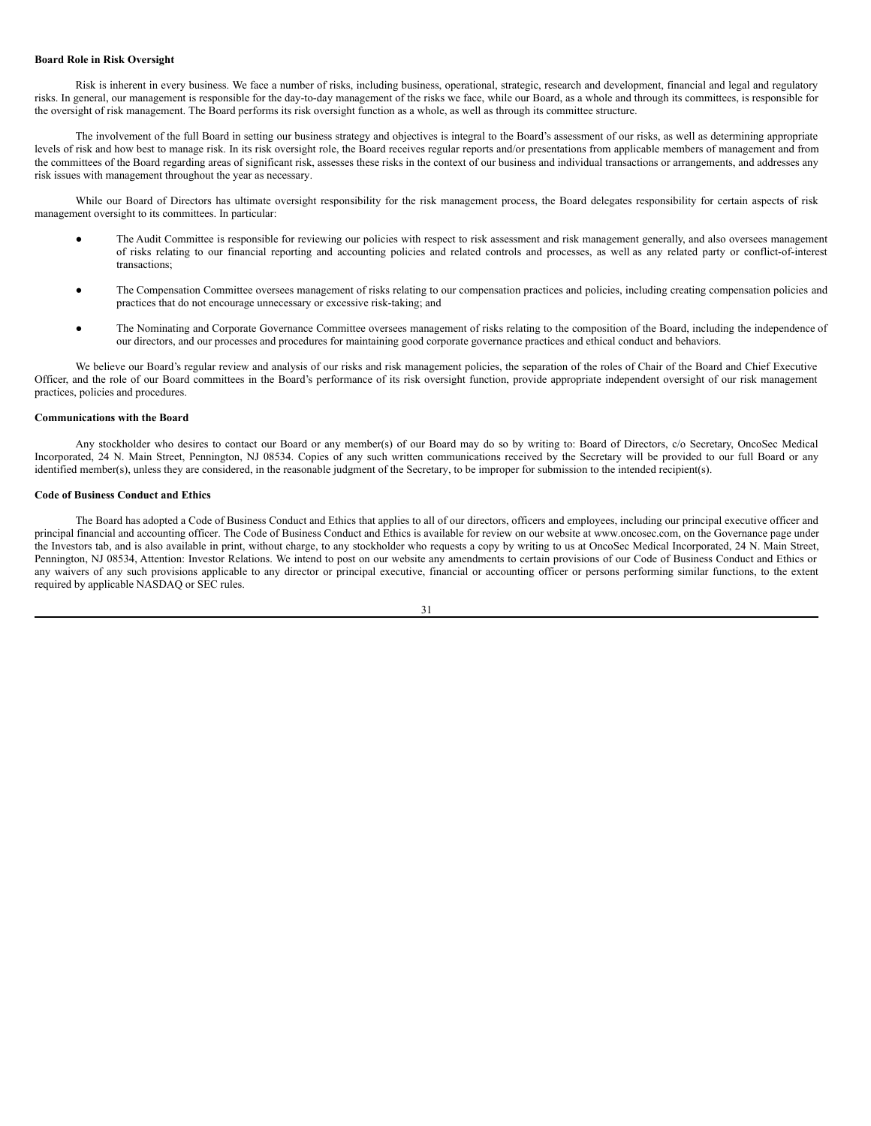#### **Board Role in Risk Oversight**

Risk is inherent in every business. We face a number of risks, including business, operational, strategic, research and development, financial and legal and regulatory risks. In general, our management is responsible for the day-to-day management of the risks we face, while our Board, as a whole and through its committees, is responsible for the oversight of risk management. The Board performs its risk oversight function as a whole, as well as through its committee structure.

The involvement of the full Board in setting our business strategy and objectives is integral to the Board's assessment of our risks, as well as determining appropriate levels of risk and how best to manage risk. In its risk oversight role, the Board receives regular reports and/or presentations from applicable members of management and from the committees of the Board regarding areas of significant risk, assesses these risks in the context of our business and individual transactions or arrangements, and addresses any risk issues with management throughout the year as necessary.

While our Board of Directors has ultimate oversight responsibility for the risk management process, the Board delegates responsibility for certain aspects of risk management oversight to its committees. In particular:

- The Audit Committee is responsible for reviewing our policies with respect to risk assessment and risk management generally, and also oversees management of risks relating to our financial reporting and accounting policies and related controls and processes, as well as any related party or conflict-of-interest transactions;
- The Compensation Committee oversees management of risks relating to our compensation practices and policies, including creating compensation policies and practices that do not encourage unnecessary or excessive risk-taking; and
- The Nominating and Corporate Governance Committee oversees management of risks relating to the composition of the Board, including the independence of our directors, and our processes and procedures for maintaining good corporate governance practices and ethical conduct and behaviors.

We believe our Board's regular review and analysis of our risks and risk management policies, the separation of the roles of Chair of the Board and Chief Executive Officer, and the role of our Board committees in the Board's performance of its risk oversight function, provide appropriate independent oversight of our risk management practices, policies and procedures.

#### **Communications with the Board**

Any stockholder who desires to contact our Board or any member(s) of our Board may do so by writing to: Board of Directors, c/o Secretary, OncoSec Medical Incorporated, 24 N. Main Street, Pennington, NJ 08534. Copies of any such written communications received by the Secretary will be provided to our full Board or any identified member(s), unless they are considered, in the reasonable judgment of the Secretary, to be improper for submission to the intended recipient(s).

# **Code of Business Conduct and Ethics**

The Board has adopted a Code of Business Conduct and Ethics that applies to all of our directors, officers and employees, including our principal executive officer and principal financial and accounting officer. The Code of Business Conduct and Ethics is available for review on our website at www.oncosec.com, on the Governance page under the Investors tab, and is also available in print, without charge, to any stockholder who requests a copy by writing to us at OncoSec Medical Incorporated, 24 N. Main Street, Pennington, NJ 08534, Attention: Investor Relations. We intend to post on our website any amendments to certain provisions of our Code of Business Conduct and Ethics or any waivers of any such provisions applicable to any director or principal executive, financial or accounting officer or persons performing similar functions, to the extent required by applicable NASDAQ or SEC rules.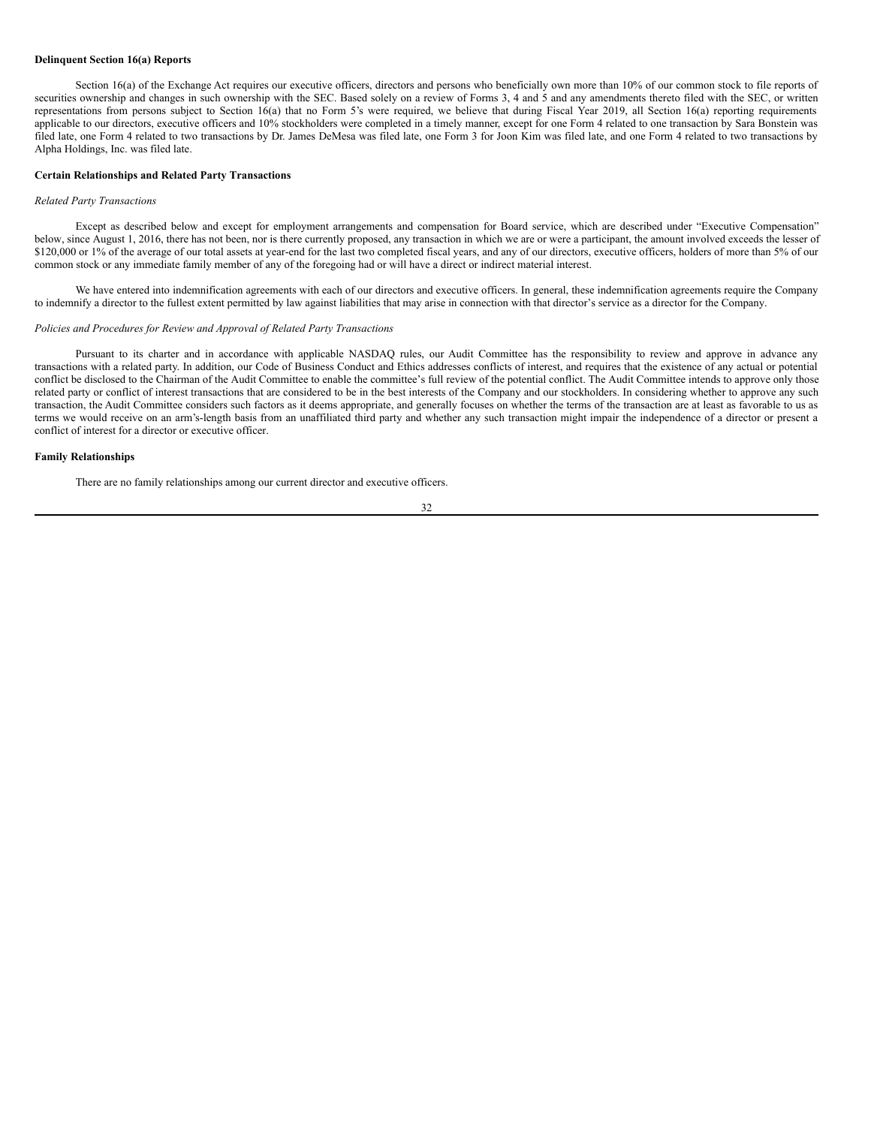## **Delinquent Section 16(a) Reports**

Section 16(a) of the Exchange Act requires our executive officers, directors and persons who beneficially own more than 10% of our common stock to file reports of securities ownership and changes in such ownership with the SEC. Based solely on a review of Forms 3, 4 and 5 and any amendments thereto filed with the SEC, or written representations from persons subject to Section 16(a) that no Form 5's were required, we believe that during Fiscal Year 2019, all Section 16(a) reporting requirements applicable to our directors, executive officers and 10% stockholders were completed in a timely manner, except for one Form 4 related to one transaction by Sara Bonstein was filed late, one Form 4 related to two transactions by Dr. James DeMesa was filed late, one Form 3 for Joon Kim was filed late, and one Form 4 related to two transactions by Alpha Holdings, Inc. was filed late.

#### **Certain Relationships and Related Party Transactions**

#### *Related Party Transactions*

Except as described below and except for employment arrangements and compensation for Board service, which are described under "Executive Compensation" below, since August 1, 2016, there has not been, nor is there currently proposed, any transaction in which we are or were a participant, the amount involved exceeds the lesser of \$120,000 or 1% of the average of our total assets at year-end for the last two completed fiscal years, and any of our directors, executive officers, holders of more than 5% of our common stock or any immediate family member of any of the foregoing had or will have a direct or indirect material interest.

We have entered into indemnification agreements with each of our directors and executive officers. In general, these indemnification agreements require the Company to indemnify a director to the fullest extent permitted by law against liabilities that may arise in connection with that director's service as a director for the Company.

#### *Policies and Procedures for Review and Approval of Related Party Transactions*

Pursuant to its charter and in accordance with applicable NASDAQ rules, our Audit Committee has the responsibility to review and approve in advance any transactions with a related party. In addition, our Code of Business Conduct and Ethics addresses conflicts of interest, and requires that the existence of any actual or potential conflict be disclosed to the Chairman of the Audit Committee to enable the committee's full review of the potential conflict. The Audit Committee intends to approve only those related party or conflict of interest transactions that are considered to be in the best interests of the Company and our stockholders. In considering whether to approve any such transaction, the Audit Committee considers such factors as it deems appropriate, and generally focuses on whether the terms of the transaction are at least as favorable to us as terms we would receive on an arm's-length basis from an unaffiliated third party and whether any such transaction might impair the independence of a director or present a conflict of interest for a director or executive officer.

#### **Family Relationships**

There are no family relationships among our current director and executive officers.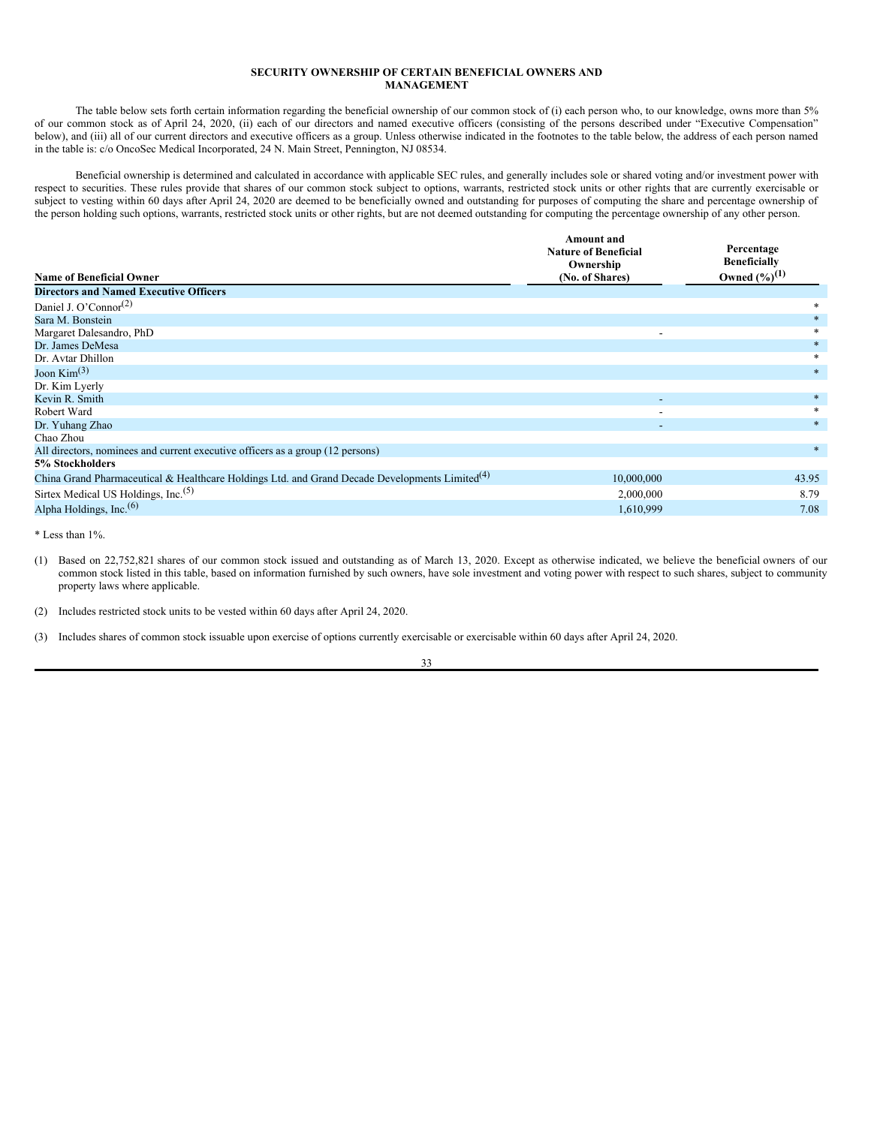# <span id="page-36-0"></span>**SECURITY OWNERSHIP OF CERTAIN BENEFICIAL OWNERS AND MANAGEMENT**

The table below sets forth certain information regarding the beneficial ownership of our common stock of (i) each person who, to our knowledge, owns more than 5% of our common stock as of April 24, 2020, (ii) each of our directors and named executive officers (consisting of the persons described under "Executive Compensation" below), and (iii) all of our current directors and executive officers as a group. Unless otherwise indicated in the footnotes to the table below, the address of each person named in the table is: c/o OncoSec Medical Incorporated, 24 N. Main Street, Pennington, NJ 08534.

Beneficial ownership is determined and calculated in accordance with applicable SEC rules, and generally includes sole or shared voting and/or investment power with respect to securities. These rules provide that shares of our common stock subject to options, warrants, restricted stock units or other rights that are currently exercisable or subject to vesting within 60 days after April 24, 2020 are deemed to be beneficially owned and outstanding for purposes of computing the share and percentage ownership of the person holding such options, warrants, restricted stock units or other rights, but are not deemed outstanding for computing the percentage ownership of any other person.

|                                                                                                            | <b>Amount and</b><br><b>Nature of Beneficial</b><br>Ownership | Percentage<br><b>Beneficially</b> |
|------------------------------------------------------------------------------------------------------------|---------------------------------------------------------------|-----------------------------------|
| <b>Name of Beneficial Owner</b>                                                                            | (No. of Shares)                                               | Owned $(\frac{6}{1})^{(1)}$       |
| <b>Directors and Named Executive Officers</b>                                                              |                                                               |                                   |
| Daniel J. O'Connor <sup>(2)</sup>                                                                          |                                                               | *                                 |
| Sara M. Bonstein                                                                                           |                                                               |                                   |
| Margaret Dalesandro, PhD                                                                                   |                                                               |                                   |
| Dr. James DeMesa                                                                                           |                                                               | $*$                               |
| Dr. Avtar Dhillon                                                                                          |                                                               | $\ast$                            |
| Joon $\mathrm{Kim}^{(3)}$                                                                                  |                                                               | $*$                               |
| Dr. Kim Lyerly                                                                                             |                                                               |                                   |
| Kevin R. Smith                                                                                             |                                                               | $*$                               |
| Robert Ward                                                                                                |                                                               | $\ast$                            |
| Dr. Yuhang Zhao                                                                                            | $\overline{\phantom{a}}$                                      | $*$                               |
| Chao Zhou                                                                                                  |                                                               |                                   |
| All directors, nominees and current executive officers as a group (12 persons)                             |                                                               | $*$                               |
| 5% Stockholders                                                                                            |                                                               |                                   |
| China Grand Pharmaceutical & Healthcare Holdings Ltd. and Grand Decade Developments Limited <sup>(4)</sup> | 10,000,000                                                    | 43.95                             |
| Sirtex Medical US Holdings, Inc. <sup>(5)</sup>                                                            | 2,000,000                                                     | 8.79                              |
| Alpha Holdings, Inc. <sup>(6)</sup>                                                                        | 1,610,999                                                     | 7.08                              |

\* Less than 1%.

(1) Based on 22,752,821 shares of our common stock issued and outstanding as of March 13, 2020. Except as otherwise indicated, we believe the beneficial owners of our common stock listed in this table, based on information furnished by such owners, have sole investment and voting power with respect to such shares, subject to community property laws where applicable.

(2) Includes restricted stock units to be vested within 60 days after April 24, 2020.

(3) Includes shares of common stock issuable upon exercise of options currently exercisable or exercisable within 60 days after April 24, 2020.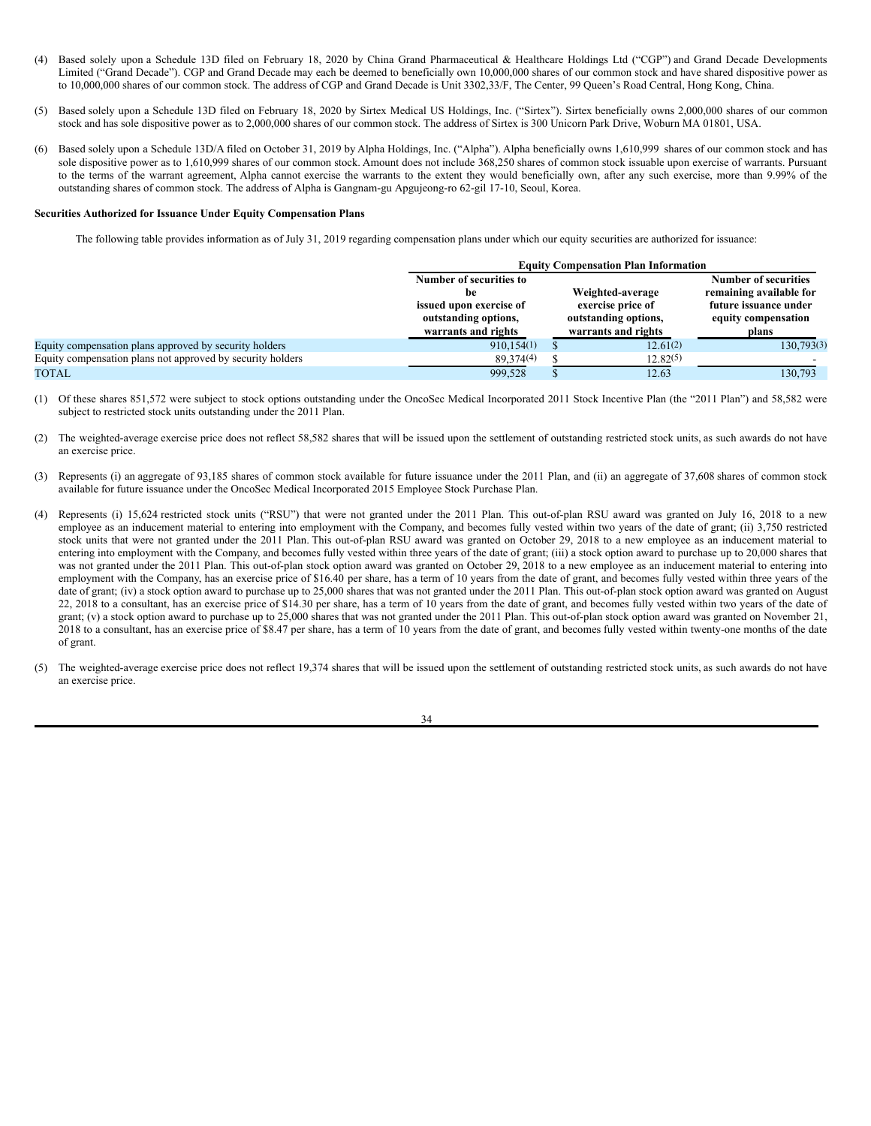- (4) Based solely upon a Schedule 13D filed on February 18, 2020 by China Grand Pharmaceutical & Healthcare Holdings Ltd ("CGP") and Grand Decade Developments Limited ("Grand Decade"). CGP and Grand Decade may each be deemed to beneficially own 10,000,000 shares of our common stock and have shared dispositive power as to 10,000,000 shares of our common stock. The address of CGP and Grand Decade is Unit 3302,33/F, The Center, 99 Queen's Road Central, Hong Kong, China.
- (5) Based solely upon a Schedule 13D filed on February 18, 2020 by Sirtex Medical US Holdings, Inc. ("Sirtex"). Sirtex beneficially owns 2,000,000 shares of our common stock and has sole dispositive power as to 2,000,000 shares of our common stock. The address of Sirtex is 300 Unicorn Park Drive, Woburn MA 01801, USA.
- (6) Based solely upon a Schedule 13D/A filed on October 31, 2019 by Alpha Holdings, Inc. ("Alpha"). Alpha beneficially owns 1,610,999 shares of our common stock and has sole dispositive power as to 1,610,999 shares of our common stock. Amount does not include 368,250 shares of common stock issuable upon exercise of warrants. Pursuant to the terms of the warrant agreement, Alpha cannot exercise the warrants to the extent they would beneficially own, after any such exercise, more than 9.99% of the outstanding shares of common stock. The address of Alpha is Gangnam-gu Apgujeong-ro 62-gil 17-10, Seoul, Korea.

#### **Securities Authorized for Issuance Under Equity Compensation Plans**

The following table provides information as of July 31, 2019 regarding compensation plans under which our equity securities are authorized for issuance:

|                                                            |                                                                                                         | <b>Equity Compensation Plan Information</b> |                                                                                      |                                                                                                                 |
|------------------------------------------------------------|---------------------------------------------------------------------------------------------------------|---------------------------------------------|--------------------------------------------------------------------------------------|-----------------------------------------------------------------------------------------------------------------|
|                                                            | Number of securities to<br>he<br>issued upon exercise of<br>outstanding options,<br>warrants and rights |                                             | Weighted-average<br>exercise price of<br>outstanding options,<br>warrants and rights | <b>Number of securities</b><br>remaining available for<br>future issuance under<br>equity compensation<br>plans |
| Equity compensation plans approved by security holders     | 910,154(1)                                                                                              |                                             | 12.61(2)                                                                             | 130,793(3)                                                                                                      |
| Equity compensation plans not approved by security holders | 89, 374(4)                                                                                              |                                             | $12.82^{(5)}$                                                                        |                                                                                                                 |
| <b>TOTAL</b>                                               | 999.528                                                                                                 |                                             | 12.63                                                                                | 130.793                                                                                                         |

(1) Of these shares 851,572 were subject to stock options outstanding under the OncoSec Medical Incorporated 2011 Stock Incentive Plan (the "2011 Plan") and 58,582 were subject to restricted stock units outstanding under the 2011 Plan.

- (2) The weighted-average exercise price does not reflect 58,582 shares that will be issued upon the settlement of outstanding restricted stock units, as such awards do not have an exercise price.
- (3) Represents (i) an aggregate of 93,185 shares of common stock available for future issuance under the 2011 Plan, and (ii) an aggregate of 37,608 shares of common stock available for future issuance under the OncoSec Medical Incorporated 2015 Employee Stock Purchase Plan.
- (4) Represents (i) 15,624 restricted stock units ("RSU") that were not granted under the 2011 Plan. This out-of-plan RSU award was granted on July 16, 2018 to a new employee as an inducement material to entering into employment with the Company, and becomes fully vested within two years of the date of grant; (ii) 3,750 restricted stock units that were not granted under the 2011 Plan. This out-of-plan RSU award was granted on October 29, 2018 to a new employee as an inducement material to entering into employment with the Company, and becomes fully vested within three years of the date of grant; (iii) a stock option award to purchase up to 20,000 shares that was not granted under the 2011 Plan. This out-of-plan stock option award was granted on October 29, 2018 to a new employee as an inducement material to entering into employment with the Company, has an exercise price of \$16.40 per share, has a term of 10 years from the date of grant, and becomes fully vested within three years of the date of grant; (iv) a stock option award to purchase up to 25,000 shares that was not granted under the 2011 Plan. This out-of-plan stock option award was granted on August 22, 2018 to a consultant, has an exercise price of \$14.30 per share, has a term of 10 years from the date of grant, and becomes fully vested within two years of the date of grant; (v) a stock option award to purchase up to 25,000 shares that was not granted under the 2011 Plan. This out-of-plan stock option award was granted on November 21, 2018 to a consultant, has an exercise price of \$8.47 per share, has a term of 10 years from the date of grant, and becomes fully vested within twenty-one months of the date of grant.
- (5) The weighted-average exercise price does not reflect 19,374 shares that will be issued upon the settlement of outstanding restricted stock units, as such awards do not have an exercise price.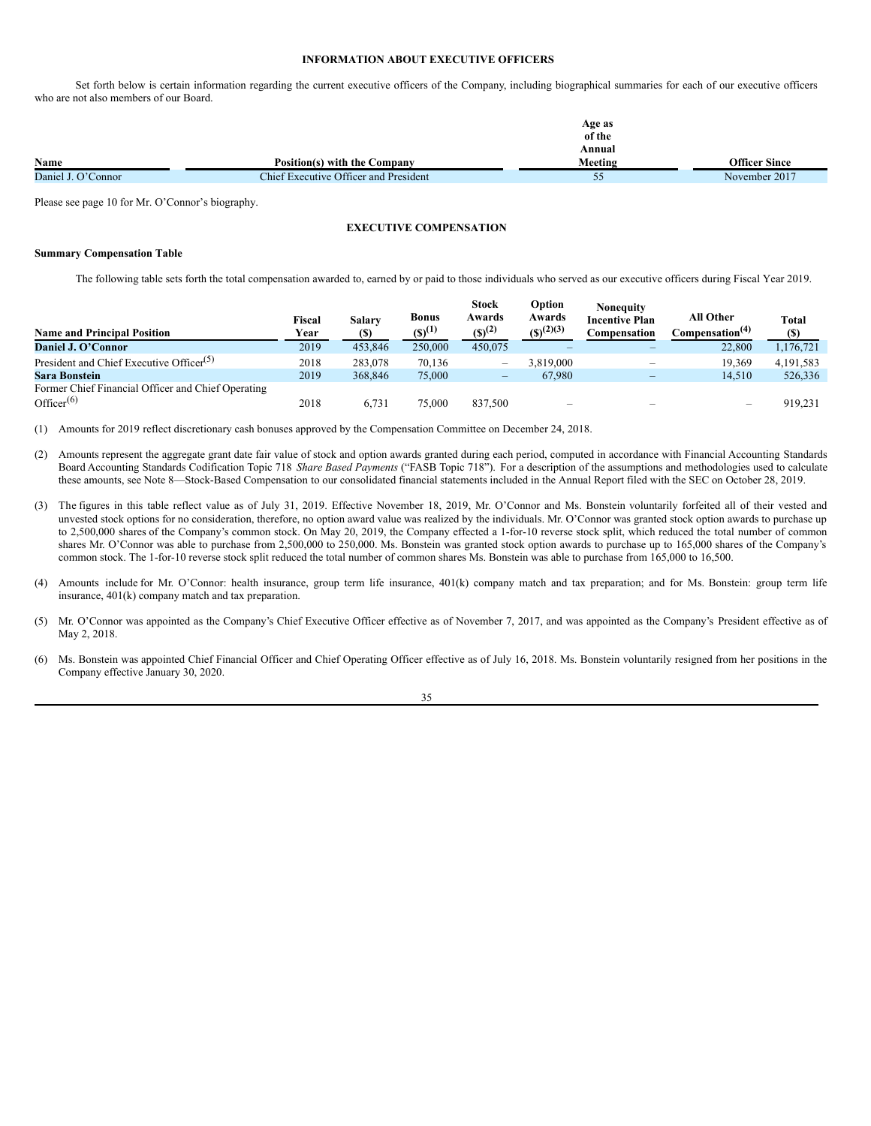#### <span id="page-38-0"></span>**INFORMATION ABOUT EXECUTIVE OFFICERS**

Set forth below is certain information regarding the current executive officers of the Company, including biographical summaries for each of our executive officers who are not also members of our Board.

|                    |                                       | Age as  |               |
|--------------------|---------------------------------------|---------|---------------|
|                    |                                       | of the  |               |
|                    |                                       | Annual  |               |
| Name               | Position(s) with the Company          | Meeting | Officer Since |
| Daniel J. O'Connor | Chief Executive Officer and President | ◡       | November 2017 |

Please see page 10 for Mr. O'Connor's biography.

# **EXECUTIVE COMPENSATION**

#### **Summary Compensation Table**

The following table sets forth the total compensation awarded to, earned by or paid to those individuals who served as our executive officers during Fiscal Year 2019.

| <b>Name and Principal Position</b>                   | Fiscal<br>Year | Salary<br><b>(S)</b> | <b>Bonus</b><br>$(S)^{(1)}$ | <b>Stock</b><br>Awards<br>$(S)^{(2)}$ | Option<br>Awards<br>$(S)^{(2)(3)}$ | Noneauitv<br><b>Incentive Plan</b><br>Compensation | <b>All Other</b><br>Compensation <sup>(4)</sup> | Total<br>(S) |
|------------------------------------------------------|----------------|----------------------|-----------------------------|---------------------------------------|------------------------------------|----------------------------------------------------|-------------------------------------------------|--------------|
| Daniel J. O'Connor                                   | 2019           | 453,846              | 250,000                     | 450,075                               |                                    |                                                    | 22,800                                          | 1,176,721    |
| President and Chief Executive Officer <sup>(5)</sup> | 2018           | 283,078              | 70.136                      | $\overline{\phantom{0}}$              | 3.819.000                          | $\overline{\phantom{a}}$                           | 19.369                                          | 4,191,583    |
| <b>Sara Bonstein</b>                                 | 2019           | 368,846              | 75,000                      | $\qquad \qquad -$                     | 67.980                             |                                                    | 14.510                                          | 526,336      |
| Former Chief Financial Officer and Chief Operating   |                |                      |                             |                                       |                                    |                                                    |                                                 |              |
| Officer $(6)$                                        | 2018           | 6.731                | 75,000                      | 837.500                               | <b>STATE</b>                       |                                                    | $\hspace{0.1mm}-\hspace{0.1mm}$                 | 919.231      |

(1) Amounts for 2019 reflect discretionary cash bonuses approved by the Compensation Committee on December 24, 2018.

- (2) Amounts represent the aggregate grant date fair value of stock and option awards granted during each period, computed in accordance with Financial Accounting Standards Board Accounting Standards Codification Topic 718 *Share Based Payments* ("FASB Topic 718"). For a description of the assumptions and methodologies used to calculate these amounts, see Note 8—Stock-Based Compensation to our consolidated financial statements included in the Annual Report filed with the SEC on October 28, 2019.
- (3) The figures in this table reflect value as of July 31, 2019. Effective November 18, 2019, Mr. O'Connor and Ms. Bonstein voluntarily forfeited all of their vested and unvested stock options for no consideration, therefore, no option award value was realized by the individuals. Mr. O'Connor was granted stock option awards to purchase up to 2,500,000 shares of the Company's common stock. On May 20, 2019, the Company effected a 1-for-10 reverse stock split, which reduced the total number of common shares Mr. O'Connor was able to purchase from 2,500,000 to 250,000. Ms. Bonstein was granted stock option awards to purchase up to 165,000 shares of the Company's common stock. The 1-for-10 reverse stock split reduced the total number of common shares Ms. Bonstein was able to purchase from 165,000 to 16,500.
- (4) Amounts include for Mr. O'Connor: health insurance, group term life insurance, 401(k) company match and tax preparation; and for Ms. Bonstein: group term life insurance, 401(k) company match and tax preparation.
- (5) Mr. O'Connor was appointed as the Company's Chief Executive Officer effective as of November 7, 2017, and was appointed as the Company's President effective as of May 2, 2018.
- (6) Ms. Bonstein was appointed Chief Financial Officer and Chief Operating Officer effective as of July 16, 2018. Ms. Bonstein voluntarily resigned from her positions in the Company effective January 30, 2020.

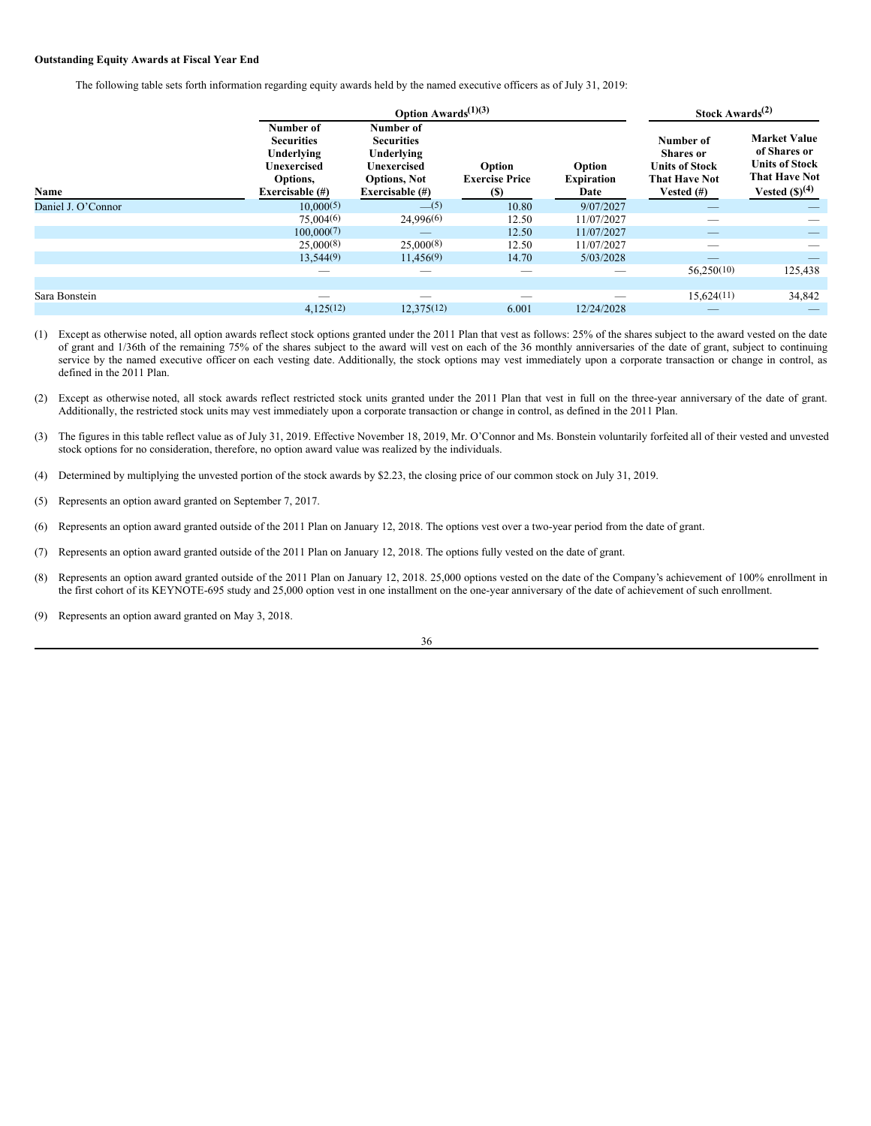# **Outstanding Equity Awards at Fiscal Year End**

The following table sets forth information regarding equity awards held by the named executive officers as of July 31, 2019:

|                    | <b>Option Awards</b> $^{(1)(3)}$                                                           |                                                                                                          |                                               |                                     | Stock Awards <sup>(2)</sup>                                                                     |                                                                                                                      |
|--------------------|--------------------------------------------------------------------------------------------|----------------------------------------------------------------------------------------------------------|-----------------------------------------------|-------------------------------------|-------------------------------------------------------------------------------------------------|----------------------------------------------------------------------------------------------------------------------|
| Name               | Number of<br><b>Securities</b><br>Underlying<br>Unexercised<br>Options,<br>Exercisable (#) | Number of<br><b>Securities</b><br>Underlying<br>Unexercised<br><b>Options, Not</b><br>Exercisable $(\#)$ | Option<br><b>Exercise Price</b><br><b>(S)</b> | Option<br><b>Expiration</b><br>Date | Number of<br><b>Shares or</b><br><b>Units of Stock</b><br><b>That Have Not</b><br>Vested $(\#)$ | <b>Market Value</b><br>of Shares or<br><b>Units of Stock</b><br><b>That Have Not</b><br>Vested $(\mathcal{S})^{(4)}$ |
| Daniel J. O'Connor | 10,000(5)                                                                                  | $-$ (5)                                                                                                  | 10.80                                         | 9/07/2027                           |                                                                                                 |                                                                                                                      |
|                    | 75,004(6)                                                                                  | 24,996(6)                                                                                                | 12.50                                         | 11/07/2027                          | _                                                                                               |                                                                                                                      |
|                    | 100,000(7)                                                                                 |                                                                                                          | 12.50                                         | 11/07/2027                          | _                                                                                               |                                                                                                                      |
|                    | 25,000(8)                                                                                  | 25,000(8)                                                                                                | 12.50                                         | 11/07/2027                          | __                                                                                              |                                                                                                                      |
|                    | 13,544(9)                                                                                  | 11,456(9)                                                                                                | 14.70                                         | 5/03/2028                           | _                                                                                               |                                                                                                                      |
|                    | _                                                                                          |                                                                                                          | _                                             |                                     | 56,250(10)                                                                                      | 125,438                                                                                                              |
|                    |                                                                                            |                                                                                                          |                                               |                                     |                                                                                                 |                                                                                                                      |
| Sara Bonstein      | $\overline{\phantom{a}}$                                                                   | __                                                                                                       | $\sim$                                        | _                                   | 15,624(11)                                                                                      | 34,842                                                                                                               |
|                    | 4,125(12)                                                                                  | 12.375(12)                                                                                               | 6.001                                         | 12/24/2028                          | $\overline{\phantom{a}}$                                                                        |                                                                                                                      |

- (1) Except as otherwise noted, all option awards reflect stock options granted under the 2011 Plan that vest as follows: 25% of the shares subject to the award vested on the date of grant and 1/36th of the remaining 75% of the shares subject to the award will vest on each of the 36 monthly anniversaries of the date of grant, subject to continuing service by the named executive officer on each vesting date. Additionally, the stock options may vest immediately upon a corporate transaction or change in control, as defined in the 2011 Plan.
- (2) Except as otherwise noted, all stock awards reflect restricted stock units granted under the 2011 Plan that vest in full on the three-year anniversary of the date of grant. Additionally, the restricted stock units may vest immediately upon a corporate transaction or change in control, as defined in the 2011 Plan.
- (3) The figures in this table reflect value as of July 31, 2019. Effective November 18, 2019, Mr. O'Connor and Ms. Bonstein voluntarily forfeited all of their vested and unvested stock options for no consideration, therefore, no option award value was realized by the individuals.
- (4) Determined by multiplying the unvested portion of the stock awards by \$2.23, the closing price of our common stock on July 31, 2019.
- (5) Represents an option award granted on September 7, 2017.
- (6) Represents an option award granted outside of the 2011 Plan on January 12, 2018. The options vest over a two-year period from the date of grant.
- (7) Represents an option award granted outside of the 2011 Plan on January 12, 2018. The options fully vested on the date of grant.
- (8) Represents an option award granted outside of the 2011 Plan on January 12, 2018. 25,000 options vested on the date of the Company's achievement of 100% enrollment in the first cohort of its KEYNOTE-695 study and 25,000 option vest in one installment on the one-year anniversary of the date of achievement of such enrollment.
- (9) Represents an option award granted on May 3, 2018.

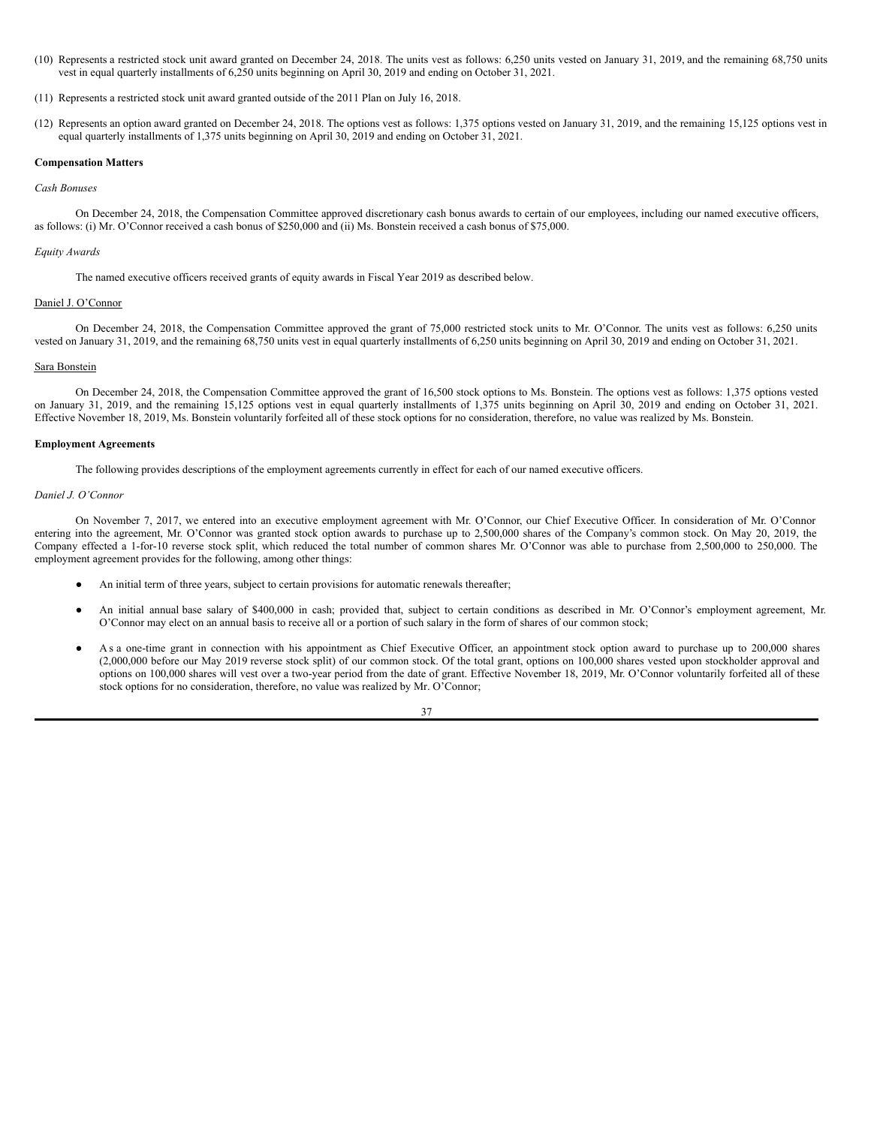(10) Represents a restricted stock unit award granted on December 24, 2018. The units vest as follows: 6,250 units vested on January 31, 2019, and the remaining 68,750 units vest in equal quarterly installments of 6,250 units beginning on April 30, 2019 and ending on October 31, 2021.

(11) Represents a restricted stock unit award granted outside of the 2011 Plan on July 16, 2018.

(12) Represents an option award granted on December 24, 2018. The options vest as follows: 1,375 options vested on January 31, 2019, and the remaining 15,125 options vest in equal quarterly installments of 1,375 units beginning on April 30, 2019 and ending on October 31, 2021.

# **Compensation Matters**

#### *Cash Bonuses*

On December 24, 2018, the Compensation Committee approved discretionary cash bonus awards to certain of our employees, including our named executive officers, as follows: (i) Mr. O'Connor received a cash bonus of \$250,000 and (ii) Ms. Bonstein received a cash bonus of \$75,000.

## *Equity Awards*

The named executive officers received grants of equity awards in Fiscal Year 2019 as described below.

# Daniel J. O'Connor

On December 24, 2018, the Compensation Committee approved the grant of 75,000 restricted stock units to Mr. O'Connor. The units vest as follows: 6,250 units vested on January 31, 2019, and the remaining 68,750 units vest in equal quarterly installments of 6,250 units beginning on April 30, 2019 and ending on October 31, 2021.

# Sara Bonstein

On December 24, 2018, the Compensation Committee approved the grant of 16,500 stock options to Ms. Bonstein. The options vest as follows: 1,375 options vested on January 31, 2019, and the remaining 15,125 options vest in equal quarterly installments of 1,375 units beginning on April 30, 2019 and ending on October 31, 2021. Effective November 18, 2019, Ms. Bonstein voluntarily forfeited all of these stock options for no consideration, therefore, no value was realized by Ms. Bonstein.

## **Employment Agreements**

The following provides descriptions of the employment agreements currently in effect for each of our named executive officers.

#### *Daniel J. O'Connor*

On November 7, 2017, we entered into an executive employment agreement with Mr. O'Connor, our Chief Executive Officer. In consideration of Mr. O'Connor entering into the agreement, Mr. O'Connor was granted stock option awards to purchase up to 2,500,000 shares of the Company's common stock. On May 20, 2019, the Company effected a 1-for-10 reverse stock split, which reduced the total number of common shares Mr. O'Connor was able to purchase from 2,500,000 to 250,000. The employment agreement provides for the following, among other things:

- An initial term of three years, subject to certain provisions for automatic renewals thereafter;
- An initial annual base salary of \$400,000 in cash; provided that, subject to certain conditions as described in Mr. O'Connor's employment agreement, Mr. O'Connor may elect on an annual basis to receive all or a portion of such salary in the form of shares of our common stock;
- As a one-time grant in connection with his appointment as Chief Executive Officer, an appointment stock option award to purchase up to 200,000 shares (2,000,000 before our May 2019 reverse stock split) of our common stock. Of the total grant, options on 100,000 shares vested upon stockholder approval and options on 100,000 shares will vest over a two-year period from the date of grant. Effective November 18, 2019, Mr. O'Connor voluntarily forfeited all of these stock options for no consideration, therefore, no value was realized by Mr. O'Connor;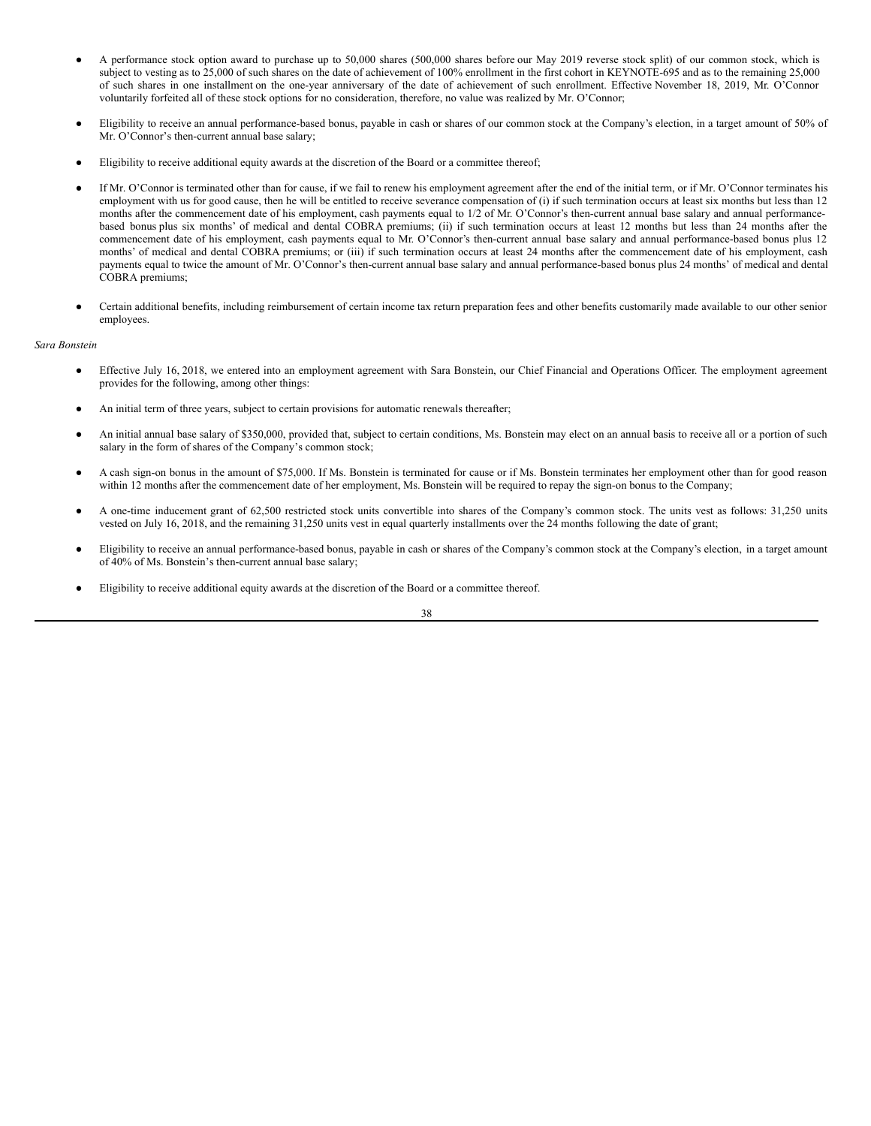- A performance stock option award to purchase up to 50,000 shares (500,000 shares before our May 2019 reverse stock split) of our common stock, which is subject to vesting as to 25,000 of such shares on the date of achievement of 100% enrollment in the first cohort in KEYNOTE-695 and as to the remaining 25,000 of such shares in one installment on the one-year anniversary of the date of achievement of such enrollment. Effective November 18, 2019, Mr. O'Connor voluntarily forfeited all of these stock options for no consideration, therefore, no value was realized by Mr. O'Connor;
- Eligibility to receive an annual performance-based bonus, payable in cash or shares of our common stock at the Company's election, in a target amount of 50% of Mr. O'Connor's then-current annual base salary;
- Eligibility to receive additional equity awards at the discretion of the Board or a committee thereof;
- If Mr. O'Connor is terminated other than for cause, if we fail to renew his employment agreement after the end of the initial term, or if Mr. O'Connor terminates his employment with us for good cause, then he will be entitled to receive severance compensation of (i) if such termination occurs at least six months but less than 12 months after the commencement date of his employment, cash payments equal to 1/2 of Mr. O'Connor's then-current annual base salary and annual performancebased bonus plus six months' of medical and dental COBRA premiums; (ii) if such termination occurs at least 12 months but less than 24 months after the commencement date of his employment, cash payments equal to Mr. O'Connor's then-current annual base salary and annual performance-based bonus plus 12 months' of medical and dental COBRA premiums; or (iii) if such termination occurs at least 24 months after the commencement date of his employment, cash payments equal to twice the amount of Mr. O'Connor's then-current annual base salary and annual performance-based bonus plus 24 months' of medical and dental COBRA premiums;
- Certain additional benefits, including reimbursement of certain income tax return preparation fees and other benefits customarily made available to our other senior employees.

# *Sara Bonstein*

- Effective July 16, 2018, we entered into an employment agreement with Sara Bonstein, our Chief Financial and Operations Officer. The employment agreement provides for the following, among other things:
- An initial term of three years, subject to certain provisions for automatic renewals thereafter;
- An initial annual base salary of \$350,000, provided that, subject to certain conditions, Ms. Bonstein may elect on an annual basis to receive all or a portion of such salary in the form of shares of the Company's common stock;
- A cash sign-on bonus in the amount of \$75,000. If Ms. Bonstein is terminated for cause or if Ms. Bonstein terminates her employment other than for good reason within 12 months after the commencement date of her employment, Ms. Bonstein will be required to repay the sign-on bonus to the Company;
- A one-time inducement grant of 62,500 restricted stock units convertible into shares of the Company's common stock. The units vest as follows: 31,250 units vested on July 16, 2018, and the remaining 31,250 units vest in equal quarterly installments over the 24 months following the date of grant;
- Eligibility to receive an annual performance-based bonus, payable in cash or shares of the Company's common stock at the Company's election, in a target amount of 40% of Ms. Bonstein's then-current annual base salary;
- Eligibility to receive additional equity awards at the discretion of the Board or a committee thereof.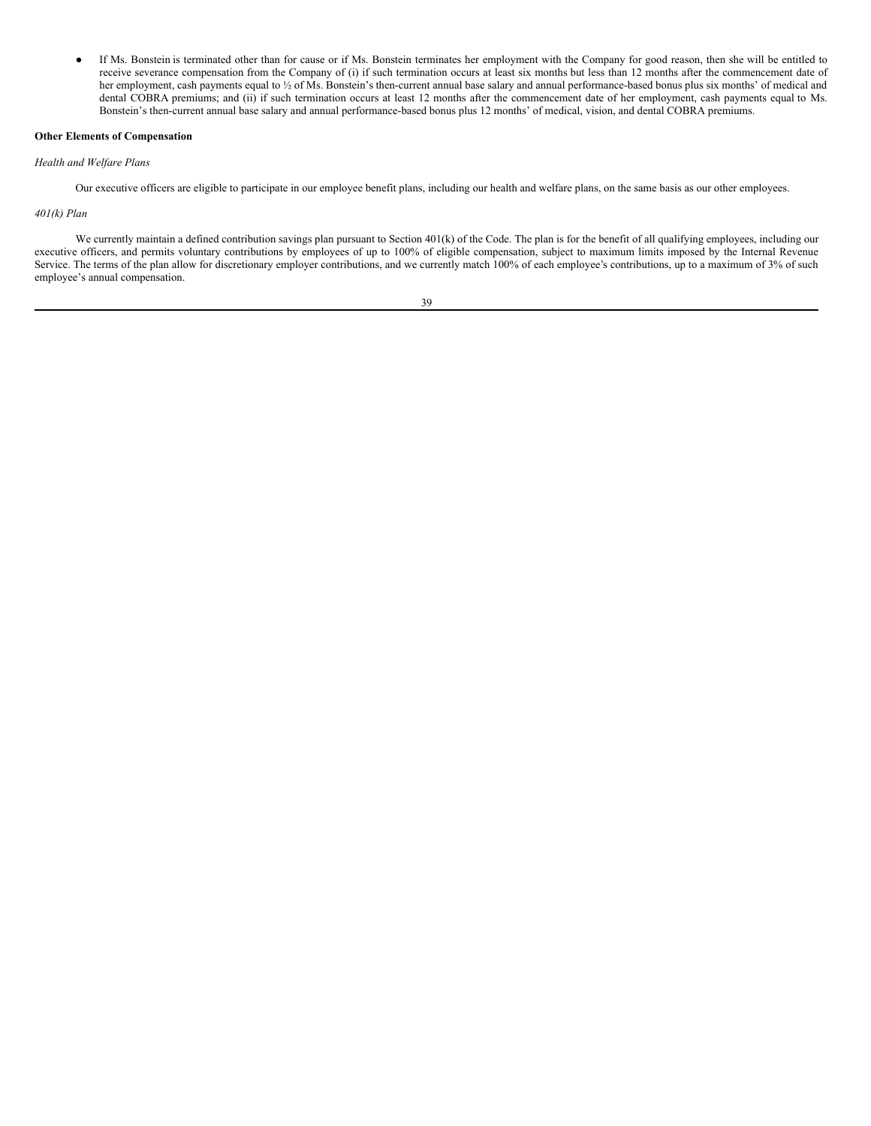● If Ms. Bonstein is terminated other than for cause or if Ms. Bonstein terminates her employment with the Company for good reason, then she will be entitled to receive severance compensation from the Company of (i) if such termination occurs at least six months but less than 12 months after the commencement date of her employment, cash payments equal to 1/2 of Ms. Bonstein's then-current annual base salary and annual performance-based bonus plus six months' of medical and dental COBRA premiums; and (ii) if such termination occurs at least 12 months after the commencement date of her employment, cash payments equal to Ms. Bonstein's then-current annual base salary and annual performance-based bonus plus 12 months' of medical, vision, and dental COBRA premiums.

#### **Other Elements of Compensation**

*Health and Welfare Plans*

Our executive officers are eligible to participate in our employee benefit plans, including our health and welfare plans, on the same basis as our other employees.

## *401(k) Plan*

We currently maintain a defined contribution savings plan pursuant to Section 401(k) of the Code. The plan is for the benefit of all qualifying employees, including our executive officers, and permits voluntary contributions by employees of up to 100% of eligible compensation, subject to maximum limits imposed by the Internal Revenue Service. The terms of the plan allow for discretionary employer contributions, and we currently match 100% of each employee's contributions, up to a maximum of 3% of such employee's annual compensation.

$$
^{39}
$$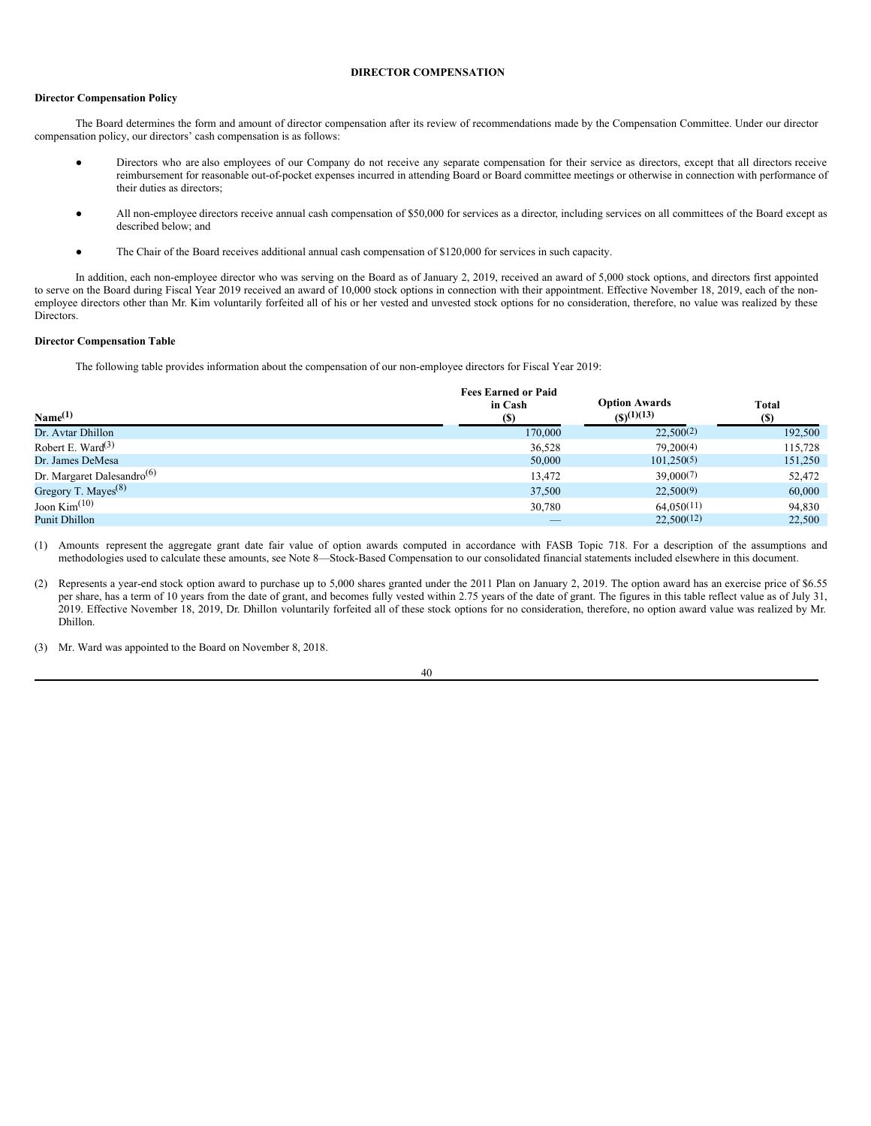# <span id="page-43-0"></span>**DIRECTOR COMPENSATION**

## **Director Compensation Policy**

The Board determines the form and amount of director compensation after its review of recommendations made by the Compensation Committee. Under our director compensation policy, our directors' cash compensation is as follows:

- Directors who are also employees of our Company do not receive any separate compensation for their service as directors, except that all directors receive reimbursement for reasonable out-of-pocket expenses incurred in attending Board or Board committee meetings or otherwise in connection with performance of their duties as directors;
- All non-employee directors receive annual cash compensation of \$50,000 for services as a director, including services on all committees of the Board except as described below; and
- The Chair of the Board receives additional annual cash compensation of \$120,000 for services in such capacity.

In addition, each non-employee director who was serving on the Board as of January 2, 2019, received an award of 5,000 stock options, and directors first appointed to serve on the Board during Fiscal Year 2019 received an award of 10,000 stock options in connection with their appointment. Effective November 18, 2019, each of the nonemployee directors other than Mr. Kim voluntarily forfeited all of his or her vested and unvested stock options for no consideration, therefore, no value was realized by these Directors.

# **Director Compensation Table**

The following table provides information about the compensation of our non-employee directors for Fiscal Year 2019:

| Name <sup>(1)</sup>                    | <b>Fees Earned or Paid</b><br>in Cash<br>(S) | <b>Option Awards</b><br>$(5)^{(1)(13)}$ | <b>Total</b><br>(S) |
|----------------------------------------|----------------------------------------------|-----------------------------------------|---------------------|
| Dr. Avtar Dhillon                      | 170,000                                      | 22,500(2)                               | 192,500             |
| Robert E. Ward $(3)$                   | 36,528                                       | 79,200(4)                               | 115.728             |
| Dr. James DeMesa                       | 50,000                                       | 101,250(5)                              | 151,250             |
| Dr. Margaret Dalesandro <sup>(6)</sup> | 13,472                                       | 39,000(7)                               | 52,472              |
| Gregory T. Mayes <sup>(8)</sup>        | 37,500                                       | 22,500(9)                               | 60,000              |
| Joon $\text{Kim}^{\left(10\right)}$    | 30,780                                       | 64.050(11)                              | 94,830              |
| <b>Punit Dhillon</b>                   |                                              | 22.500(12)                              | 22,500              |

(1) Amounts represent the aggregate grant date fair value of option awards computed in accordance with FASB Topic 718. For a description of the assumptions and methodologies used to calculate these amounts, see Note 8—Stock-Based Compensation to our consolidated financial statements included elsewhere in this document.

(2) Represents a year-end stock option award to purchase up to 5,000 shares granted under the 2011 Plan on January 2, 2019. The option award has an exercise price of \$6.55 per share, has a term of 10 years from the date of grant, and becomes fully vested within 2.75 years of the date of grant. The figures in this table reflect value as of July 31, 2019. Effective November 18, 2019, Dr. Dhillon voluntarily forfeited all of these stock options for no consideration, therefore, no option award value was realized by Mr. Dhillon.

(3) Mr. Ward was appointed to the Board on November 8, 2018.

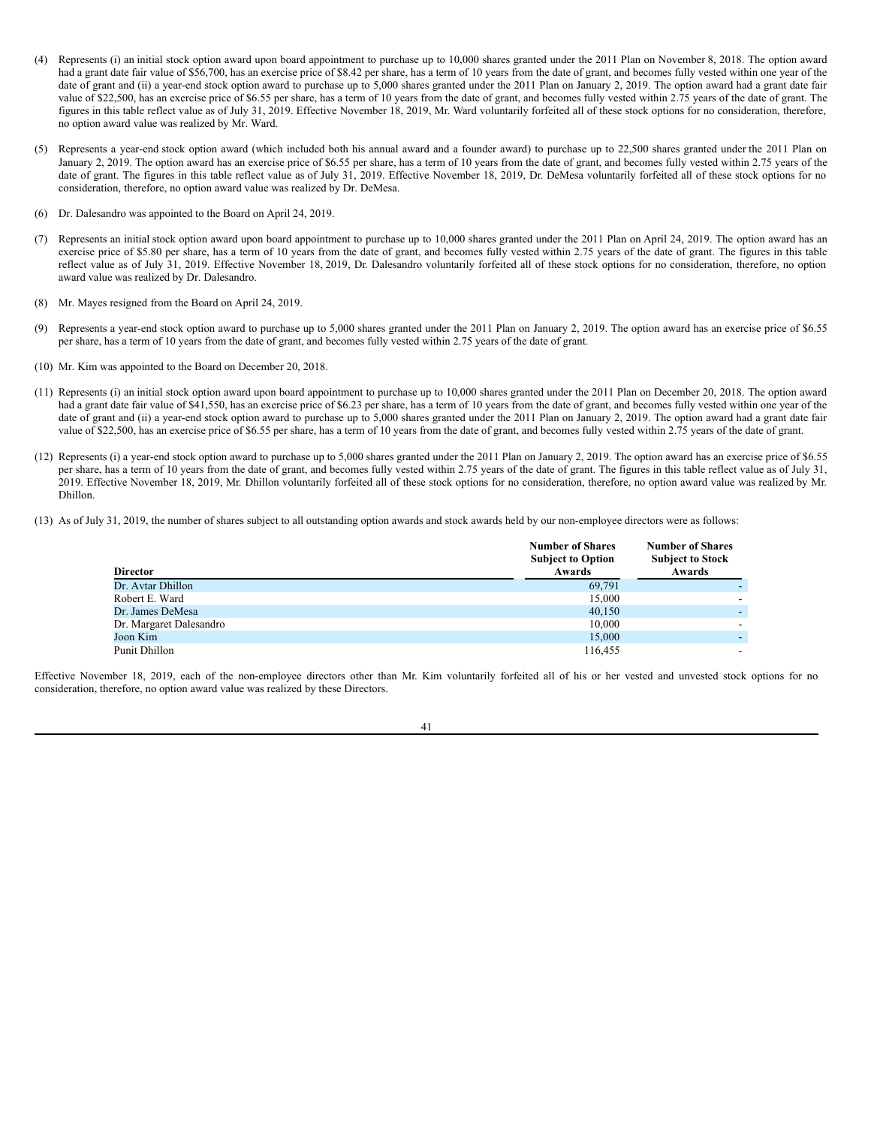- (4) Represents (i) an initial stock option award upon board appointment to purchase up to 10,000 shares granted under the 2011 Plan on November 8, 2018. The option award had a grant date fair value of \$56,700, has an exercise price of \$8.42 per share, has a term of 10 years from the date of grant, and becomes fully vested within one year of the date of grant and (ii) a year-end stock option award to purchase up to 5,000 shares granted under the 2011 Plan on January 2, 2019. The option award had a grant date fair value of \$22,500, has an exercise price of \$6.55 per share, has a term of 10 years from the date of grant, and becomes fully vested within 2.75 years of the date of grant. The figures in this table reflect value as of July 31, 2019. Effective November 18, 2019, Mr. Ward voluntarily forfeited all of these stock options for no consideration, therefore, no option award value was realized by Mr. Ward.
- (5) Represents a year-end stock option award (which included both his annual award and a founder award) to purchase up to 22,500 shares granted under the 2011 Plan on January 2, 2019. The option award has an exercise price of \$6.55 per share, has a term of 10 years from the date of grant, and becomes fully vested within 2.75 years of the date of grant. The figures in this table reflect value as of July 31, 2019. Effective November 18, 2019, Dr. DeMesa voluntarily forfeited all of these stock options for no consideration, therefore, no option award value was realized by Dr. DeMesa.
- (6) Dr. Dalesandro was appointed to the Board on April 24, 2019.
- (7) Represents an initial stock option award upon board appointment to purchase up to 10,000 shares granted under the 2011 Plan on April 24, 2019. The option award has an exercise price of \$5.80 per share, has a term of 10 years from the date of grant, and becomes fully vested within 2.75 years of the date of grant. The figures in this table reflect value as of July 31, 2019. Effective November 18, 2019, Dr. Dalesandro voluntarily forfeited all of these stock options for no consideration, therefore, no option award value was realized by Dr. Dalesandro.
- (8) Mr. Mayes resigned from the Board on April 24, 2019.
- (9) Represents a year-end stock option award to purchase up to 5,000 shares granted under the 2011 Plan on January 2, 2019. The option award has an exercise price of \$6.55 per share, has a term of 10 years from the date of grant, and becomes fully vested within 2.75 years of the date of grant.
- (10) Mr. Kim was appointed to the Board on December 20, 2018.
- (11) Represents (i) an initial stock option award upon board appointment to purchase up to 10,000 shares granted under the 2011 Plan on December 20, 2018. The option award had a grant date fair value of \$41,550, has an exercise price of \$6.23 per share, has a term of 10 years from the date of grant, and becomes fully vested within one year of the date of grant and (ii) a year-end stock option award to purchase up to 5,000 shares granted under the 2011 Plan on January 2, 2019. The option award had a grant date fair value of \$22,500, has an exercise price of \$6.55 per share, has a term of 10 years from the date of grant, and becomes fully vested within 2.75 years of the date of grant.
- (12) Represents (i) a year-end stock option award to purchase up to 5,000 shares granted under the 2011 Plan on January 2, 2019. The option award has an exercise price of \$6.55 per share, has a term of 10 years from the date of grant, and becomes fully vested within 2.75 years of the date of grant. The figures in this table reflect value as of July 31, 2019. Effective November 18, 2019, Mr. Dhillon voluntarily forfeited all of these stock options for no consideration, therefore, no option award value was realized by Mr. Dhillon.
- (13) As of July 31, 2019, the number of shares subject to all outstanding option awards and stock awards held by our non-employee directors were as follows:

| <b>Director</b>         | <b>Number of Shares</b><br><b>Subject to Option</b><br>Awards | <b>Number of Shares</b><br><b>Subject to Stock</b><br>Awards |
|-------------------------|---------------------------------------------------------------|--------------------------------------------------------------|
| Dr. Avtar Dhillon       | 69,791                                                        |                                                              |
| Robert E. Ward          | 15,000                                                        |                                                              |
| Dr. James DeMesa        | 40.150                                                        |                                                              |
| Dr. Margaret Dalesandro | 10,000                                                        |                                                              |
| Joon Kim                | 15,000                                                        |                                                              |
| Punit Dhillon           | 116.455                                                       | -                                                            |

Effective November 18, 2019, each of the non-employee directors other than Mr. Kim voluntarily forfeited all of his or her vested and unvested stock options for no consideration, therefore, no option award value was realized by these Directors.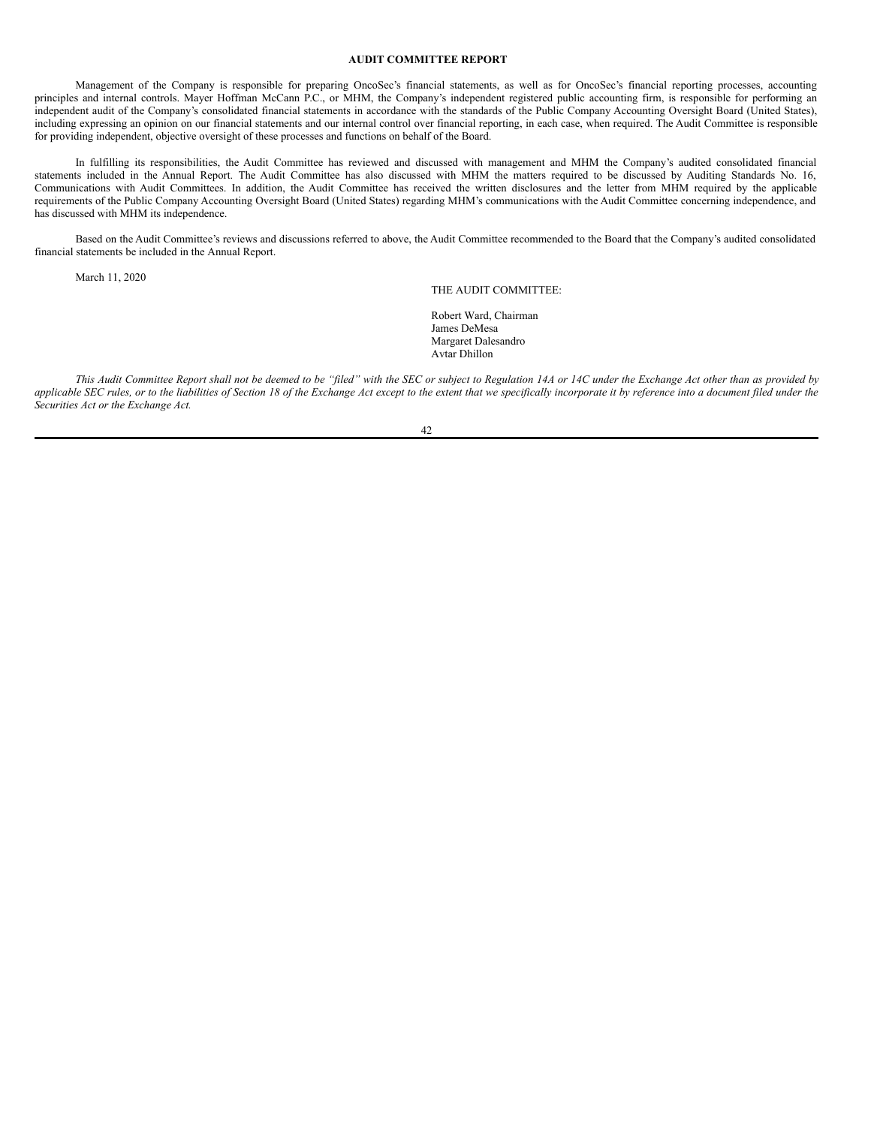#### <span id="page-45-0"></span>**AUDIT COMMITTEE REPORT**

Management of the Company is responsible for preparing OncoSec's financial statements, as well as for OncoSec's financial reporting processes, accounting principles and internal controls. Mayer Hoffman McCann P.C., or MHM, the Company's independent registered public accounting firm, is responsible for performing an independent audit of the Company's consolidated financial statements in accordance with the standards of the Public Company Accounting Oversight Board (United States), including expressing an opinion on our financial statements and our internal control over financial reporting, in each case, when required. The Audit Committee is responsible for providing independent, objective oversight of these processes and functions on behalf of the Board.

In fulfilling its responsibilities, the Audit Committee has reviewed and discussed with management and MHM the Company's audited consolidated financial statements included in the Annual Report. The Audit Committee has also discussed with MHM the matters required to be discussed by Auditing Standards No. 16, Communications with Audit Committees. In addition, the Audit Committee has received the written disclosures and the letter from MHM required by the applicable requirements of the Public Company Accounting Oversight Board (United States) regarding MHM's communications with the Audit Committee concerning independence, and has discussed with MHM its independence.

Based on the Audit Committee's reviews and discussions referred to above, the Audit Committee recommended to the Board that the Company's audited consolidated financial statements be included in the Annual Report.

March 11, 2020

THE AUDIT COMMITTEE:

Robert Ward, Chairman James DeMesa Margaret Dalesandro Avtar Dhillon

This Audit Committee Report shall not be deemed to be "filed" with the SEC or subject to Regulation 14A or 14C under the Exchange Act other than as provided by applicable SEC rules, or to the liabilities of Section 18 of the Exchange Act except to the extent that we specifically incorporate it by reference into a document filed under the *Securities Act or the Exchange Act.*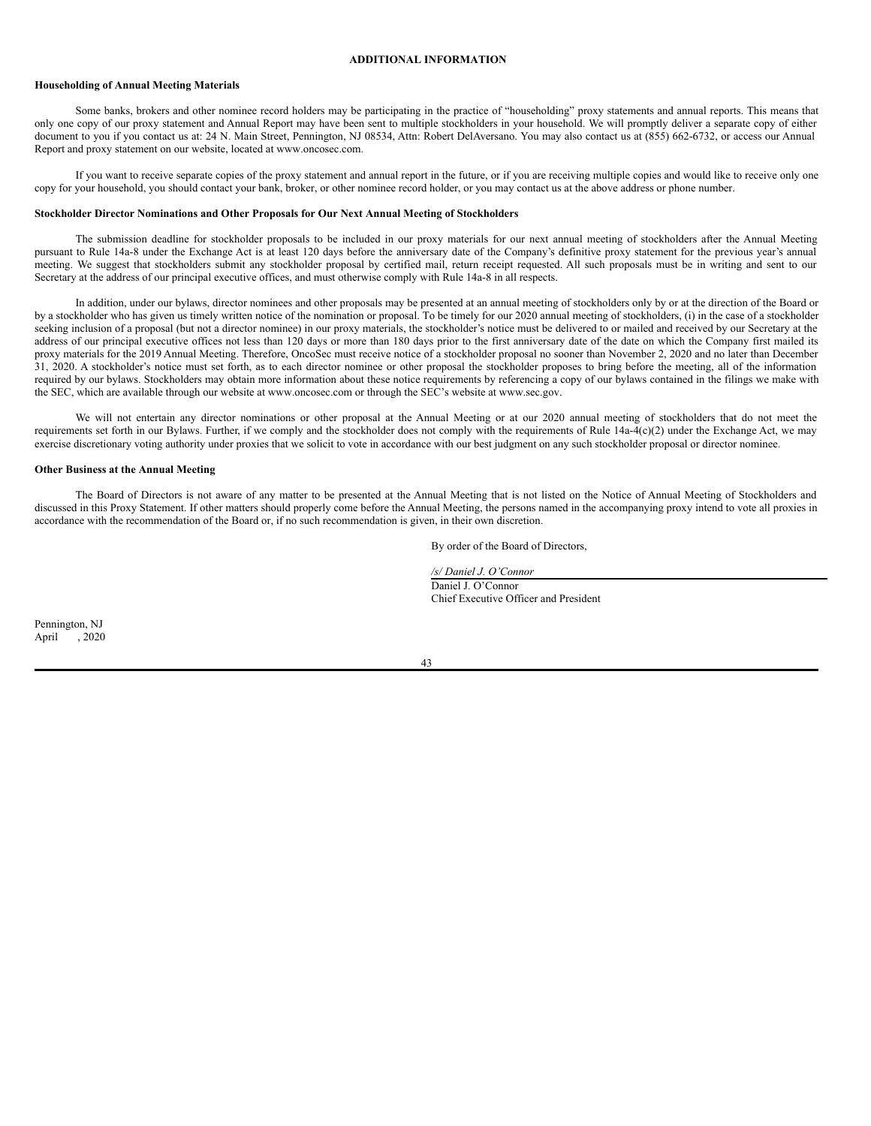#### <span id="page-46-0"></span>**ADDITIONAL INFORMATION**

#### **Householding of Annual Meeting Materials**

Some banks, brokers and other nominee record holders may be participating in the practice of "householding" proxy statements and annual reports. This means that only one copy of our proxy statement and Annual Report may have been sent to multiple stockholders in your household. We will promptly deliver a separate copy of either document to you if you contact us at: 24 N. Main Street, Pennington, NJ 08534, Attn: Robert DelAversano. You may also contact us at (855) 662-6732, or access our Annual Report and proxy statement on our website, located at www.oncosec.com.

If you want to receive separate copies of the proxy statement and annual report in the future, or if you are receiving multiple copies and would like to receive only one copy for your household, you should contact your bank, broker, or other nominee record holder, or you may contact us at the above address or phone number.

# **Stockholder Director Nominations and Other Proposals for Our Next Annual Meeting of Stockholders**

The submission deadline for stockholder proposals to be included in our proxy materials for our next annual meeting of stockholders after the Annual Meeting pursuant to Rule 14a-8 under the Exchange Act is at least 120 days before the anniversary date of the Company's definitive proxy statement for the previous year's annual meeting. We suggest that stockholders submit any stockholder proposal by certified mail, return receipt requested. All such proposals must be in writing and sent to our Secretary at the address of our principal executive offices, and must otherwise comply with Rule 14a-8 in all respects.

In addition, under our bylaws, director nominees and other proposals may be presented at an annual meeting of stockholders only by or at the direction of the Board or by a stockholder who has given us timely written notice of the nomination or proposal. To be timely for our 2020 annual meeting of stockholders, (i) in the case of a stockholder seeking inclusion of a proposal (but not a director nominee) in our proxy materials, the stockholder's notice must be delivered to or mailed and received by our Secretary at the address of our principal executive offices not less than 120 days or more than 180 days prior to the first anniversary date of the date on which the Company first mailed its proxy materials for the 2019 Annual Meeting. Therefore, OncoSec must receive notice of a stockholder proposal no sooner than November 2, 2020 and no later than December 31, 2020. A stockholder's notice must set forth, as to each director nominee or other proposal the stockholder proposes to bring before the meeting, all of the information required by our bylaws. Stockholders may obtain more information about these notice requirements by referencing a copy of our bylaws contained in the filings we make with the SEC, which are available through our website at www.oncosec.com or through the SEC's website at www.sec.gov.

We will not entertain any director nominations or other proposal at the Annual Meeting or at our 2020 annual meeting of stockholders that do not meet the requirements set forth in our Bylaws. Further, if we comply and the stockholder does not comply with the requirements of Rule 14a-4(c)(2) under the Exchange Act, we may exercise discretionary voting authority under proxies that we solicit to vote in accordance with our best judgment on any such stockholder proposal or director nominee.

# **Other Business at the Annual Meeting**

The Board of Directors is not aware of any matter to be presented at the Annual Meeting that is not listed on the Notice of Annual Meeting of Stockholders and discussed in this Proxy Statement. If other matters should properly come before the Annual Meeting, the persons named in the accompanying proxy intend to vote all proxies in accordance with the recommendation of the Board or, if no such recommendation is given, in their own discretion.

By order of the Board of Directors,

*/s/ Daniel J. O'Connor* Daniel J. O'Connor Chief Executive Officer and President

Pennington, NJ April , 2020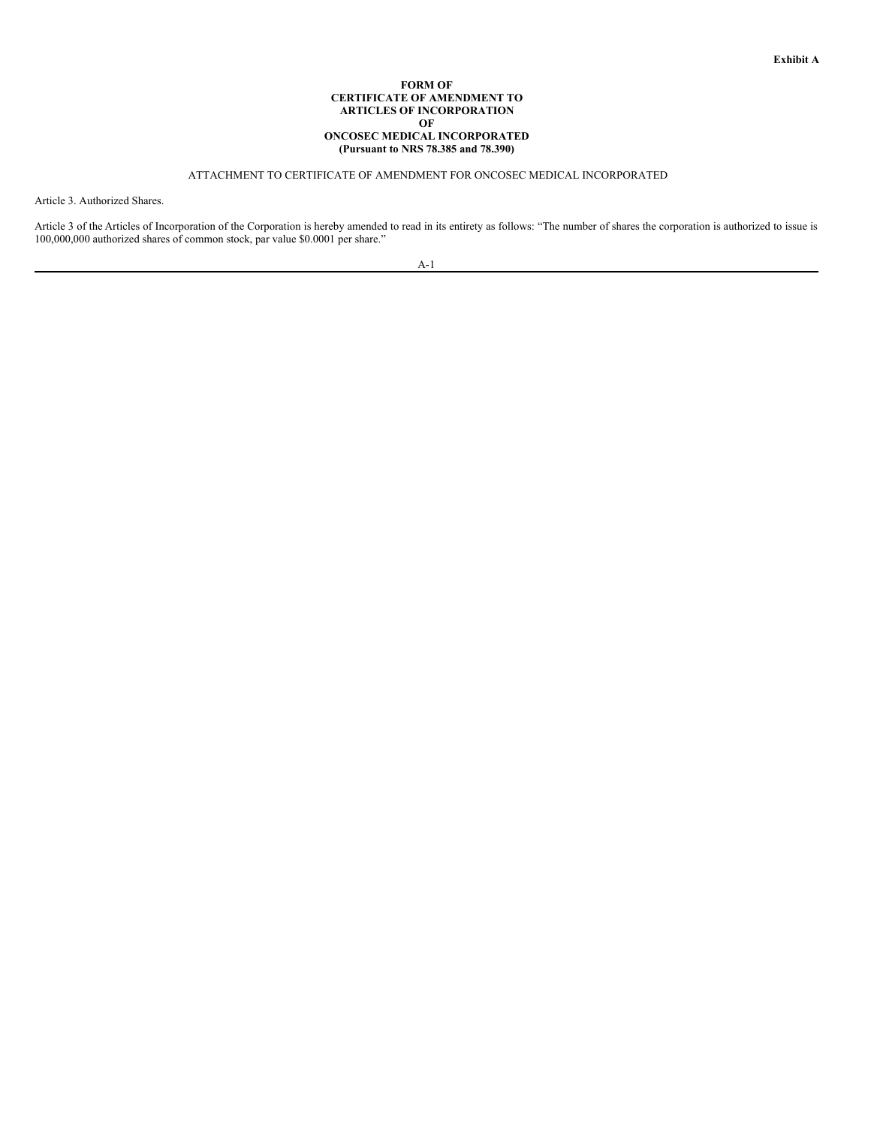## **FORM OF CERTIFICATE OF AMENDMENT TO ARTICLES OF INCORPORATION OF ONCOSEC MEDICAL INCORPORATED (Pursuant to NRS 78.385 and 78.390)**

# ATTACHMENT TO CERTIFICATE OF AMENDMENT FOR ONCOSEC MEDICAL INCORPORATED

Article 3. Authorized Shares.

Article 3 of the Articles of Incorporation of the Corporation is hereby amended to read in its entirety as follows: "The number of shares the corporation is authorized to issue is 100,000,000 authorized shares of common stock, par value \$0.0001 per share."

<span id="page-47-0"></span>

| _ |  |
|---|--|
|   |  |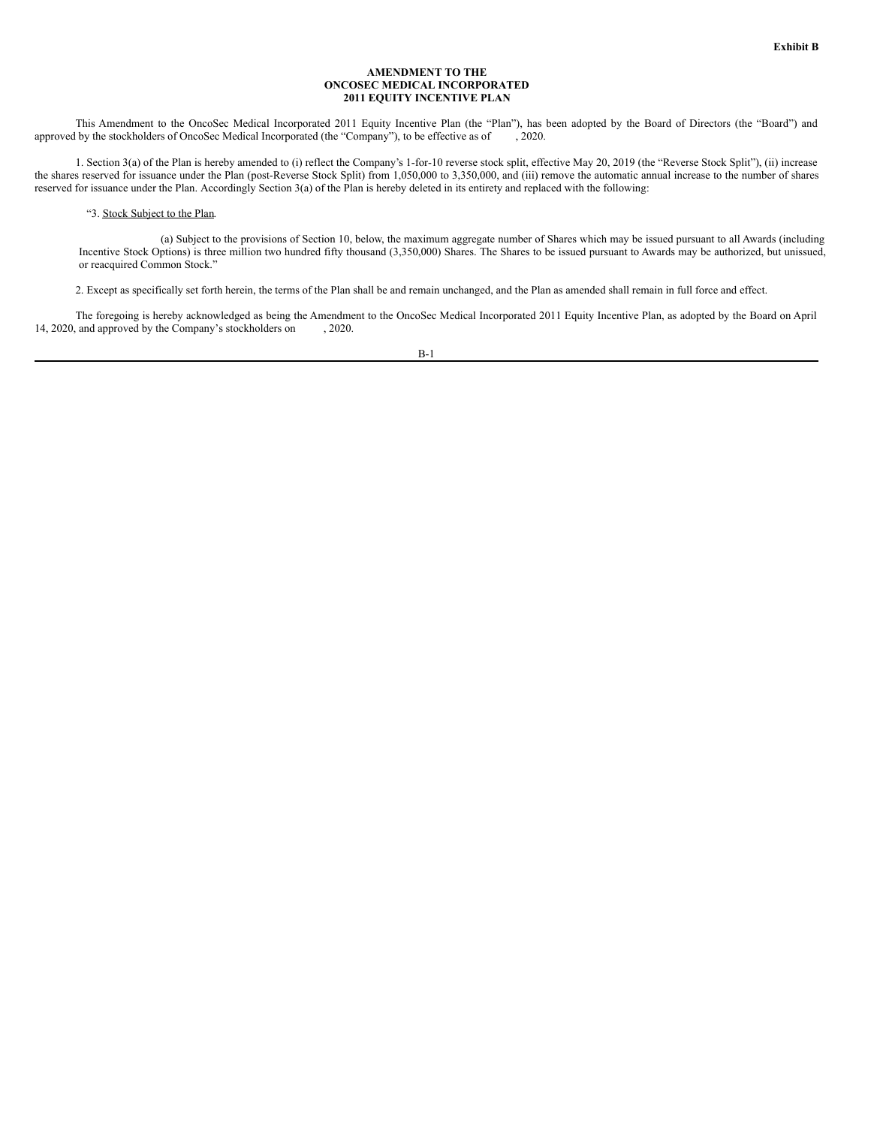#### <span id="page-48-0"></span>**AMENDMENT TO THE ONCOSEC MEDICAL INCORPORATED 2011 EQUITY INCENTIVE PLAN**

This Amendment to the OncoSec Medical Incorporated 2011 Equity Incentive Plan (the "Plan"), has been adopted by the Board of Directors (the "Board") and approved by the stockholders of OncoSec Medical Incorporated (the "Company"), to be effective as of , 2020.

1. Section 3(a) of the Plan is hereby amended to (i) reflect the Company's 1-for-10 reverse stock split, effective May 20, 2019 (the "Reverse Stock Split"), (ii) increase the shares reserved for issuance under the Plan (post-Reverse Stock Split) from 1,050,000 to 3,350,000, and (iii) remove the automatic annual increase to the number of shares reserved for issuance under the Plan. Accordingly Section 3(a) of the Plan is hereby deleted in its entirety and replaced with the following:

# "3. Stock Subject to the Plan.

(a) Subject to the provisions of Section 10, below, the maximum aggregate number of Shares which may be issued pursuant to all Awards (including Incentive Stock Options) is three million two hundred fifty thousand (3,350,000) Shares. The Shares to be issued pursuant to Awards may be authorized, but unissued, or reacquired Common Stock."

2. Except as specifically set forth herein, the terms of the Plan shall be and remain unchanged, and the Plan as amended shall remain in full force and effect.

The foregoing is hereby acknowledged as being the Amendment to the OncoSec Medical Incorporated 2011 Equity Incentive Plan, as adopted by the Board on April 14, 2020, and approved by the Company's stockholders on , 2020.

B-1